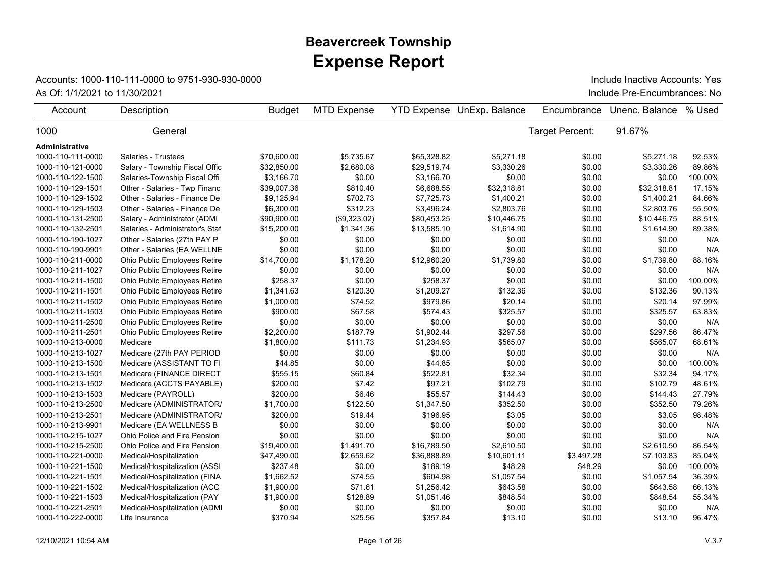## **Expense Report Beavercreek Township**

## Accounts: 1000-110-111-0000 to 9751-930-930-0000

As Of: 1/1/2021 to 11/30/2021 **Include Pre-Encumbrances**: No Include Inactive Accounts: Yes

| Account           | Description                     | <b>Budget</b> | <b>MTD Expense</b> |             | YTD Expense UnExp. Balance | Encumbrance     | Unenc. Balance | % Used  |
|-------------------|---------------------------------|---------------|--------------------|-------------|----------------------------|-----------------|----------------|---------|
| 1000              | General                         |               |                    |             |                            | Target Percent: | 91.67%         |         |
| Administrative    |                                 |               |                    |             |                            |                 |                |         |
| 1000-110-111-0000 | Salaries - Trustees             | \$70,600.00   | \$5,735.67         | \$65,328.82 | \$5,271.18                 | \$0.00          | \$5,271.18     | 92.53%  |
| 1000-110-121-0000 | Salary - Township Fiscal Offic  | \$32,850.00   | \$2,680.08         | \$29,519.74 | \$3,330.26                 | \$0.00          | \$3,330.26     | 89.86%  |
| 1000-110-122-1500 | Salaries-Township Fiscal Offi   | \$3,166.70    | \$0.00             | \$3,166.70  | \$0.00                     | \$0.00          | \$0.00         | 100.00% |
| 1000-110-129-1501 | Other - Salaries - Twp Financ   | \$39,007.36   | \$810.40           | \$6,688.55  | \$32,318.81                | \$0.00          | \$32,318.81    | 17.15%  |
| 1000-110-129-1502 | Other - Salaries - Finance De   | \$9,125.94    | \$702.73           | \$7,725.73  | \$1,400.21                 | \$0.00          | \$1,400.21     | 84.66%  |
| 1000-110-129-1503 | Other - Salaries - Finance De   | \$6,300.00    | \$312.23           | \$3,496.24  | \$2,803.76                 | \$0.00          | \$2,803.76     | 55.50%  |
| 1000-110-131-2500 | Salary - Administrator (ADMI    | \$90,900.00   | (\$9,323.02)       | \$80,453.25 | \$10,446.75                | \$0.00          | \$10,446.75    | 88.51%  |
| 1000-110-132-2501 | Salaries - Administrator's Staf | \$15,200.00   | \$1,341.36         | \$13,585.10 | \$1,614.90                 | \$0.00          | \$1,614.90     | 89.38%  |
| 1000-110-190-1027 | Other - Salaries (27th PAY P    | \$0.00        | \$0.00             | \$0.00      | \$0.00                     | \$0.00          | \$0.00         | N/A     |
| 1000-110-190-9901 | Other - Salaries (EA WELLNE     | \$0.00        | \$0.00             | \$0.00      | \$0.00                     | \$0.00          | \$0.00         | N/A     |
| 1000-110-211-0000 | Ohio Public Employees Retire    | \$14,700.00   | \$1,178.20         | \$12,960.20 | \$1,739.80                 | \$0.00          | \$1,739.80     | 88.16%  |
| 1000-110-211-1027 | Ohio Public Employees Retire    | \$0.00        | \$0.00             | \$0.00      | \$0.00                     | \$0.00          | \$0.00         | N/A     |
| 1000-110-211-1500 | Ohio Public Employees Retire    | \$258.37      | \$0.00             | \$258.37    | \$0.00                     | \$0.00          | \$0.00         | 100.00% |
| 1000-110-211-1501 | Ohio Public Employees Retire    | \$1,341.63    | \$120.30           | \$1,209.27  | \$132.36                   | \$0.00          | \$132.36       | 90.13%  |
| 1000-110-211-1502 | Ohio Public Employees Retire    | \$1,000.00    | \$74.52            | \$979.86    | \$20.14                    | \$0.00          | \$20.14        | 97.99%  |
| 1000-110-211-1503 | Ohio Public Employees Retire    | \$900.00      | \$67.58            | \$574.43    | \$325.57                   | \$0.00          | \$325.57       | 63.83%  |
| 1000-110-211-2500 | Ohio Public Employees Retire    | \$0.00        | \$0.00             | \$0.00      | \$0.00                     | \$0.00          | \$0.00         | N/A     |
| 1000-110-211-2501 | Ohio Public Employees Retire    | \$2,200.00    | \$187.79           | \$1,902.44  | \$297.56                   | \$0.00          | \$297.56       | 86.47%  |
| 1000-110-213-0000 | Medicare                        | \$1,800.00    | \$111.73           | \$1,234.93  | \$565.07                   | \$0.00          | \$565.07       | 68.61%  |
| 1000-110-213-1027 | Medicare (27th PAY PERIOD       | \$0.00        | \$0.00             | \$0.00      | \$0.00                     | \$0.00          | \$0.00         | N/A     |
| 1000-110-213-1500 | Medicare (ASSISTANT TO FI       | \$44.85       | \$0.00             | \$44.85     | \$0.00                     | \$0.00          | \$0.00         | 100.00% |
| 1000-110-213-1501 | Medicare (FINANCE DIRECT        | \$555.15      | \$60.84            | \$522.81    | \$32.34                    | \$0.00          | \$32.34        | 94.17%  |
| 1000-110-213-1502 | Medicare (ACCTS PAYABLE)        | \$200.00      | \$7.42             | \$97.21     | \$102.79                   | \$0.00          | \$102.79       | 48.61%  |
| 1000-110-213-1503 | Medicare (PAYROLL)              | \$200.00      | \$6.46             | \$55.57     | \$144.43                   | \$0.00          | \$144.43       | 27.79%  |
| 1000-110-213-2500 | Medicare (ADMINISTRATOR/        | \$1,700.00    | \$122.50           | \$1,347.50  | \$352.50                   | \$0.00          | \$352.50       | 79.26%  |
| 1000-110-213-2501 | Medicare (ADMINISTRATOR/        | \$200.00      | \$19.44            | \$196.95    | \$3.05                     | \$0.00          | \$3.05         | 98.48%  |
| 1000-110-213-9901 | Medicare (EA WELLNESS B         | \$0.00        | \$0.00             | \$0.00      | \$0.00                     | \$0.00          | \$0.00         | N/A     |
| 1000-110-215-1027 | Ohio Police and Fire Pension    | \$0.00        | \$0.00             | \$0.00      | \$0.00                     | \$0.00          | \$0.00         | N/A     |
| 1000-110-215-2500 | Ohio Police and Fire Pension    | \$19,400.00   | \$1,491.70         | \$16,789.50 | \$2,610.50                 | \$0.00          | \$2,610.50     | 86.54%  |
| 1000-110-221-0000 | Medical/Hospitalization         | \$47,490.00   | \$2,659.62         | \$36,888.89 | \$10,601.11                | \$3,497.28      | \$7,103.83     | 85.04%  |
| 1000-110-221-1500 | Medical/Hospitalization (ASSI   | \$237.48      | \$0.00             | \$189.19    | \$48.29                    | \$48.29         | \$0.00         | 100.00% |
| 1000-110-221-1501 | Medical/Hospitalization (FINA   | \$1,662.52    | \$74.55            | \$604.98    | \$1,057.54                 | \$0.00          | \$1,057.54     | 36.39%  |
| 1000-110-221-1502 | Medical/Hospitalization (ACC    | \$1,900.00    | \$71.61            | \$1,256.42  | \$643.58                   | \$0.00          | \$643.58       | 66.13%  |
| 1000-110-221-1503 | Medical/Hospitalization (PAY    | \$1,900.00    | \$128.89           | \$1,051.46  | \$848.54                   | \$0.00          | \$848.54       | 55.34%  |
| 1000-110-221-2501 | Medical/Hospitalization (ADMI   | \$0.00        | \$0.00             | \$0.00      | \$0.00                     | \$0.00          | \$0.00         | N/A     |
| 1000-110-222-0000 | Life Insurance                  | \$370.94      | \$25.56            | \$357.84    | \$13.10                    | \$0.00          | \$13.10        | 96.47%  |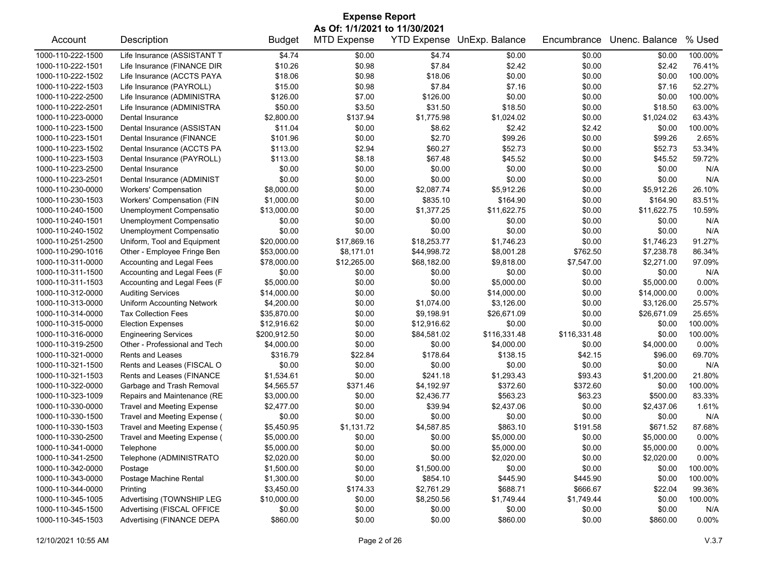| <b>Expense Report</b>                  |                                   |               |                    |                    |                |              |                |          |  |
|----------------------------------------|-----------------------------------|---------------|--------------------|--------------------|----------------|--------------|----------------|----------|--|
| As Of: 1/1/2021 to 11/30/2021          |                                   |               |                    |                    |                |              |                |          |  |
| Account                                | Description                       | <b>Budget</b> | <b>MTD Expense</b> | <b>YTD Expense</b> | UnExp. Balance | Encumbrance  | Unenc. Balance | % Used   |  |
| 1000-110-222-1500                      | Life Insurance (ASSISTANT T       | \$4.74        | \$0.00             | \$4.74             | \$0.00         | \$0.00       | \$0.00         | 100.00%  |  |
| 1000-110-222-1501                      | Life Insurance (FINANCE DIR       | \$10.26       | \$0.98             | \$7.84             | \$2.42         | \$0.00       | \$2.42         | 76.41%   |  |
| 1000-110-222-1502                      | Life Insurance (ACCTS PAYA        | \$18.06       | \$0.98             | \$18.06            | \$0.00         | \$0.00       | \$0.00         | 100.00%  |  |
| 1000-110-222-1503                      | Life Insurance (PAYROLL)          | \$15.00       | \$0.98             | \$7.84             | \$7.16         | \$0.00       | \$7.16         | 52.27%   |  |
| 1000-110-222-2500                      | Life Insurance (ADMINISTRA        | \$126.00      | \$7.00             | \$126.00           | \$0.00         | \$0.00       | \$0.00         | 100.00%  |  |
| 1000-110-222-2501                      | Life Insurance (ADMINISTRA        | \$50.00       | \$3.50             | \$31.50            | \$18.50        | \$0.00       | \$18.50        | 63.00%   |  |
| 1000-110-223-0000                      | Dental Insurance                  | \$2,800.00    | \$137.94           | \$1,775.98         | \$1,024.02     | \$0.00       | \$1,024.02     | 63.43%   |  |
| 1000-110-223-1500                      | Dental Insurance (ASSISTAN        | \$11.04       | \$0.00             | \$8.62             | \$2.42         | \$2.42       | \$0.00         | 100.00%  |  |
| 1000-110-223-1501                      | Dental Insurance (FINANCE         | \$101.96      | \$0.00             | \$2.70             | \$99.26        | \$0.00       | \$99.26        | 2.65%    |  |
| 1000-110-223-1502                      | Dental Insurance (ACCTS PA        | \$113.00      | \$2.94             | \$60.27            | \$52.73        | \$0.00       | \$52.73        | 53.34%   |  |
| 1000-110-223-1503                      | Dental Insurance (PAYROLL)        | \$113.00      | \$8.18             | \$67.48            | \$45.52        | \$0.00       | \$45.52        | 59.72%   |  |
| 1000-110-223-2500                      | Dental Insurance                  | \$0.00        | \$0.00             | \$0.00             | \$0.00         | \$0.00       | \$0.00         | N/A      |  |
| 1000-110-223-2501                      | Dental Insurance (ADMINIST        | \$0.00        | \$0.00             | \$0.00             | \$0.00         | \$0.00       | \$0.00         | N/A      |  |
| 1000-110-230-0000                      | <b>Workers' Compensation</b>      | \$8,000.00    | \$0.00             | \$2,087.74         | \$5,912.26     | \$0.00       | \$5,912.26     | 26.10%   |  |
| 1000-110-230-1503                      | Workers' Compensation (FIN        | \$1,000.00    | \$0.00             | \$835.10           | \$164.90       | \$0.00       | \$164.90       | 83.51%   |  |
| 1000-110-240-1500                      | Unemployment Compensatio          | \$13,000.00   | \$0.00             | \$1,377.25         | \$11,622.75    | \$0.00       | \$11,622.75    | 10.59%   |  |
| 1000-110-240-1501                      | Unemployment Compensatio          | \$0.00        | \$0.00             | \$0.00             | \$0.00         | \$0.00       | \$0.00         | N/A      |  |
| 1000-110-240-1502                      | Unemployment Compensatio          | \$0.00        | \$0.00             | \$0.00             | \$0.00         | \$0.00       | \$0.00         | N/A      |  |
| 1000-110-251-2500                      | Uniform, Tool and Equipment       | \$20,000.00   | \$17,869.16        | \$18,253.77        | \$1,746.23     | \$0.00       | \$1,746.23     | 91.27%   |  |
| 1000-110-290-1016                      | Other - Employee Fringe Ben       | \$53,000.00   | \$8,171.01         | \$44,998.72        | \$8,001.28     | \$762.50     | \$7,238.78     | 86.34%   |  |
| 1000-110-311-0000                      | Accounting and Legal Fees         | \$78,000.00   | \$12,265.00        | \$68,182.00        | \$9,818.00     | \$7,547.00   | \$2,271.00     | 97.09%   |  |
| 1000-110-311-1500                      | Accounting and Legal Fees (F      | \$0.00        | \$0.00             | \$0.00             | \$0.00         | \$0.00       | \$0.00         | N/A      |  |
| 1000-110-311-1503                      | Accounting and Legal Fees (F      | \$5,000.00    | \$0.00             | \$0.00             | \$5,000.00     | \$0.00       | \$5,000.00     | 0.00%    |  |
| 1000-110-312-0000                      | <b>Auditing Services</b>          | \$14,000.00   | \$0.00             | \$0.00             | \$14,000.00    | \$0.00       | \$14,000.00    | 0.00%    |  |
| 1000-110-313-0000                      | <b>Uniform Accounting Network</b> | \$4,200.00    | \$0.00             | \$1,074.00         | \$3,126.00     | \$0.00       | \$3,126.00     | 25.57%   |  |
| 1000-110-314-0000                      | <b>Tax Collection Fees</b>        | \$35,870.00   | \$0.00             | \$9,198.91         | \$26,671.09    | \$0.00       | \$26,671.09    | 25.65%   |  |
| 1000-110-315-0000                      | <b>Election Expenses</b>          | \$12,916.62   | \$0.00             | \$12,916.62        | \$0.00         | \$0.00       | \$0.00         | 100.00%  |  |
| 1000-110-316-0000                      | <b>Engineering Services</b>       | \$200,912.50  | \$0.00             | \$84,581.02        | \$116,331.48   | \$116,331.48 | \$0.00         | 100.00%  |  |
| 1000-110-319-2500                      | Other - Professional and Tech     | \$4,000.00    | \$0.00             | \$0.00             | \$4,000.00     | \$0.00       | \$4,000.00     | $0.00\%$ |  |
| 1000-110-321-0000                      | Rents and Leases                  | \$316.79      | \$22.84            | \$178.64           | \$138.15       | \$42.15      | \$96.00        | 69.70%   |  |
| 1000-110-321-1500                      | Rents and Leases (FISCAL O        | \$0.00        | \$0.00             | \$0.00             | \$0.00         | \$0.00       | \$0.00         | N/A      |  |
| 1000-110-321-1503                      | Rents and Leases (FINANCE         | \$1,534.61    | \$0.00             | \$241.18           | \$1,293.43     | \$93.43      | \$1,200.00     | 21.80%   |  |
| 1000-110-322-0000                      | Garbage and Trash Removal         | \$4,565.57    | \$371.46           | \$4,192.97         | \$372.60       | \$372.60     | \$0.00         | 100.00%  |  |
| 1000-110-323-1009                      | Repairs and Maintenance (RE       | \$3,000.00    | \$0.00             | \$2,436.77         | \$563.23       | \$63.23      | \$500.00       | 83.33%   |  |
| 1000-110-330-0000                      | <b>Travel and Meeting Expense</b> | \$2,477.00    | \$0.00             | \$39.94            | \$2,437.06     | \$0.00       | \$2,437.06     | 1.61%    |  |
| 1000-110-330-1500                      | Travel and Meeting Expense (      | \$0.00        | \$0.00             | \$0.00             | \$0.00         | \$0.00       | \$0.00         | N/A      |  |
| 1000-110-330-1503                      | Travel and Meeting Expense (      | \$5,450.95    | \$1,131.72         | \$4,587.85         | \$863.10       | \$191.58     | \$671.52       | 87.68%   |  |
| 1000-110-330-2500                      |                                   | \$5,000.00    | \$0.00             | \$0.00             | \$5,000.00     | \$0.00       | \$5,000.00     | 0.00%    |  |
|                                        | Travel and Meeting Expense (      | \$5,000.00    | \$0.00             | \$0.00             | \$5,000.00     | \$0.00       | \$5,000.00     | 0.00%    |  |
| 1000-110-341-0000<br>1000-110-341-2500 | Telephone                         |               | \$0.00             | \$0.00             |                |              | \$2,020.00     | $0.00\%$ |  |
|                                        | Telephone (ADMINISTRATO           | \$2,020.00    |                    |                    | \$2,020.00     | \$0.00       |                |          |  |
| 1000-110-342-0000                      | Postage                           | \$1,500.00    | \$0.00             | \$1,500.00         | \$0.00         | \$0.00       | \$0.00         | 100.00%  |  |
| 1000-110-343-0000                      | Postage Machine Rental            | \$1,300.00    | \$0.00             | \$854.10           | \$445.90       | \$445.90     | \$0.00         | 100.00%  |  |
| 1000-110-344-0000                      | Printing                          | \$3,450.00    | \$174.33           | \$2,761.29         | \$688.71       | \$666.67     | \$22.04        | 99.36%   |  |
| 1000-110-345-1005                      | Advertising (TOWNSHIP LEG         | \$10,000.00   | \$0.00             | \$8,250.56         | \$1,749.44     | \$1,749.44   | \$0.00         | 100.00%  |  |
| 1000-110-345-1500                      | Advertising (FISCAL OFFICE        | \$0.00        | \$0.00             | \$0.00             | \$0.00         | \$0.00       | \$0.00         | N/A      |  |
| 1000-110-345-1503                      | Advertising (FINANCE DEPA         | \$860.00      | \$0.00             | \$0.00             | \$860.00       | \$0.00       | \$860.00       | $0.00\%$ |  |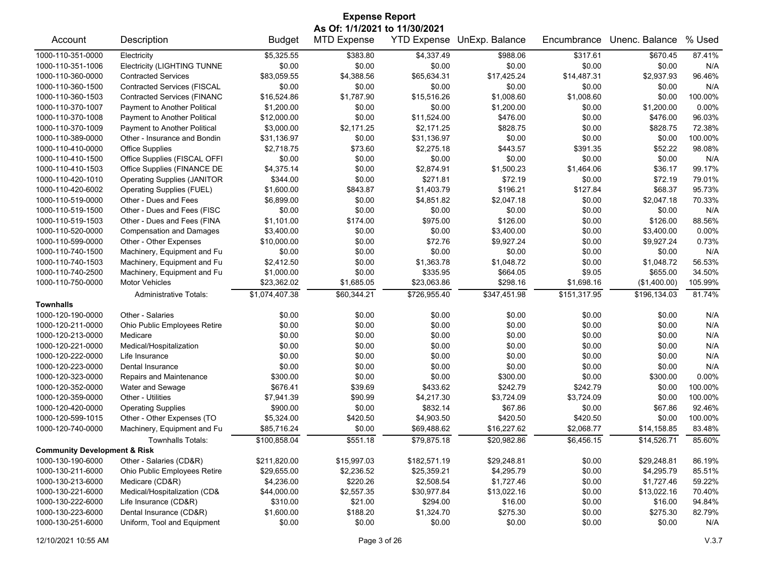| <b>Expense Report</b>                   |                                    |                |                    |                    |                |              |                |          |  |  |
|-----------------------------------------|------------------------------------|----------------|--------------------|--------------------|----------------|--------------|----------------|----------|--|--|
|                                         | As Of: 1/1/2021 to 11/30/2021      |                |                    |                    |                |              |                |          |  |  |
| Account                                 | Description                        | <b>Budget</b>  | <b>MTD Expense</b> | <b>YTD Expense</b> | UnExp. Balance | Encumbrance  | Unenc. Balance | % Used   |  |  |
| 1000-110-351-0000                       | Electricity                        | \$5,325.55     | \$383.80           | \$4,337.49         | \$988.06       | \$317.61     | \$670.45       | 87.41%   |  |  |
| 1000-110-351-1006                       | <b>Electricity (LIGHTING TUNNE</b> | \$0.00         | \$0.00             | \$0.00             | \$0.00         | \$0.00       | \$0.00         | N/A      |  |  |
| 1000-110-360-0000                       | <b>Contracted Services</b>         | \$83,059.55    | \$4,388.56         | \$65,634.31        | \$17,425.24    | \$14,487.31  | \$2,937.93     | 96.46%   |  |  |
| 1000-110-360-1500                       | <b>Contracted Services (FISCAL</b> | \$0.00         | \$0.00             | \$0.00             | \$0.00         | \$0.00       | \$0.00         | N/A      |  |  |
| 1000-110-360-1503                       | <b>Contracted Services (FINANC</b> | \$16,524.86    | \$1,787.90         | \$15,516.26        | \$1,008.60     | \$1,008.60   | \$0.00         | 100.00%  |  |  |
| 1000-110-370-1007                       | Payment to Another Political       | \$1,200.00     | \$0.00             | \$0.00             | \$1,200.00     | \$0.00       | \$1,200.00     | 0.00%    |  |  |
| 1000-110-370-1008                       | Payment to Another Political       | \$12,000.00    | \$0.00             | \$11,524.00        | \$476.00       | \$0.00       | \$476.00       | 96.03%   |  |  |
| 1000-110-370-1009                       | Payment to Another Political       | \$3,000.00     | \$2,171.25         | \$2,171.25         | \$828.75       | \$0.00       | \$828.75       | 72.38%   |  |  |
| 1000-110-389-0000                       | Other - Insurance and Bondin       | \$31,136.97    | \$0.00             | \$31,136.97        | \$0.00         | \$0.00       | \$0.00         | 100.00%  |  |  |
| 1000-110-410-0000                       | <b>Office Supplies</b>             | \$2,718.75     | \$73.60            | \$2,275.18         | \$443.57       | \$391.35     | \$52.22        | 98.08%   |  |  |
| 1000-110-410-1500                       | Office Supplies (FISCAL OFFI       | \$0.00         | \$0.00             | \$0.00             | \$0.00         | \$0.00       | \$0.00         | N/A      |  |  |
| 1000-110-410-1503                       | Office Supplies (FINANCE DE        | \$4,375.14     | \$0.00             | \$2,874.91         | \$1,500.23     | \$1,464.06   | \$36.17        | 99.17%   |  |  |
| 1000-110-420-1010                       | <b>Operating Supplies (JANITOR</b> | \$344.00       | \$0.00             | \$271.81           | \$72.19        | \$0.00       | \$72.19        | 79.01%   |  |  |
| 1000-110-420-6002                       | Operating Supplies (FUEL)          | \$1,600.00     | \$843.87           | \$1,403.79         | \$196.21       | \$127.84     | \$68.37        | 95.73%   |  |  |
| 1000-110-519-0000                       | Other - Dues and Fees              | \$6,899.00     | \$0.00             | \$4,851.82         | \$2,047.18     | \$0.00       | \$2,047.18     | 70.33%   |  |  |
| 1000-110-519-1500                       | Other - Dues and Fees (FISC        | \$0.00         | \$0.00             | \$0.00             | \$0.00         | \$0.00       | \$0.00         | N/A      |  |  |
| 1000-110-519-1503                       | Other - Dues and Fees (FINA        | \$1,101.00     | \$174.00           | \$975.00           | \$126.00       | \$0.00       | \$126.00       | 88.56%   |  |  |
| 1000-110-520-0000                       | <b>Compensation and Damages</b>    | \$3,400.00     | \$0.00             | \$0.00             | \$3,400.00     | \$0.00       | \$3,400.00     | 0.00%    |  |  |
| 1000-110-599-0000                       | Other - Other Expenses             | \$10,000.00    | \$0.00             | \$72.76            | \$9,927.24     | \$0.00       | \$9,927.24     | 0.73%    |  |  |
| 1000-110-740-1500                       | Machinery, Equipment and Fu        | \$0.00         | \$0.00             | \$0.00             | \$0.00         | \$0.00       | \$0.00         | N/A      |  |  |
| 1000-110-740-1503                       | Machinery, Equipment and Fu        | \$2,412.50     | \$0.00             | \$1,363.78         | \$1,048.72     | \$0.00       | \$1,048.72     | 56.53%   |  |  |
| 1000-110-740-2500                       | Machinery, Equipment and Fu        | \$1,000.00     | \$0.00             | \$335.95           | \$664.05       | \$9.05       | \$655.00       | 34.50%   |  |  |
| 1000-110-750-0000                       | <b>Motor Vehicles</b>              | \$23,362.02    | \$1,685.05         | \$23,063.86        | \$298.16       | \$1,698.16   | (\$1,400.00)   | 105.99%  |  |  |
|                                         | <b>Administrative Totals:</b>      | \$1,074,407.38 | \$60,344.21        | \$726,955.40       | \$347,451.98   | \$151,317.95 | \$196,134.03   | 81.74%   |  |  |
| <b>Townhalls</b>                        |                                    |                |                    |                    |                |              |                |          |  |  |
| 1000-120-190-0000                       | Other - Salaries                   | \$0.00         | \$0.00             | \$0.00             | \$0.00         | \$0.00       | \$0.00         | N/A      |  |  |
| 1000-120-211-0000                       | Ohio Public Employees Retire       | \$0.00         | \$0.00             | \$0.00             | \$0.00         | \$0.00       | \$0.00         | N/A      |  |  |
| 1000-120-213-0000                       | Medicare                           | \$0.00         | \$0.00             | \$0.00             | \$0.00         | \$0.00       | \$0.00         | N/A      |  |  |
| 1000-120-221-0000                       | Medical/Hospitalization            | \$0.00         | \$0.00             | \$0.00             | \$0.00         | \$0.00       | \$0.00         | N/A      |  |  |
| 1000-120-222-0000                       | Life Insurance                     | \$0.00         | \$0.00             | \$0.00             | \$0.00         | \$0.00       | \$0.00         | N/A      |  |  |
| 1000-120-223-0000                       | Dental Insurance                   | \$0.00         | \$0.00             | \$0.00             | \$0.00         | \$0.00       | \$0.00         | N/A      |  |  |
| 1000-120-323-0000                       | Repairs and Maintenance            | \$300.00       | \$0.00             | \$0.00             | \$300.00       | \$0.00       | \$300.00       | $0.00\%$ |  |  |
| 1000-120-352-0000                       | Water and Sewage                   | \$676.41       | \$39.69            | \$433.62           | \$242.79       | \$242.79     | \$0.00         | 100.00%  |  |  |
| 1000-120-359-0000                       | Other - Utilities                  | \$7,941.39     | \$90.99            | \$4,217.30         | \$3,724.09     | \$3,724.09   | \$0.00         | 100.00%  |  |  |
| 1000-120-420-0000                       | <b>Operating Supplies</b>          | \$900.00       | \$0.00             | \$832.14           | \$67.86        | \$0.00       | \$67.86        | 92.46%   |  |  |
| 1000-120-599-1015                       | Other - Other Expenses (TO         | \$5,324.00     | \$420.50           | \$4,903.50         | \$420.50       | \$420.50     | \$0.00         | 100.00%  |  |  |
| 1000-120-740-0000                       | Machinery, Equipment and Fu        | \$85.716.24    | \$0.00             | \$69,488.62        | \$16,227.62    | \$2,068.77   | \$14,158.85    | 83.48%   |  |  |
|                                         | <b>Townhalls Totals:</b>           | \$100,858.04   | \$551.18           | \$79,875.18        | \$20,982.86    | \$6,456.15   | \$14,526.71    | 85.60%   |  |  |
| <b>Community Development &amp; Risk</b> |                                    |                |                    |                    |                |              |                |          |  |  |
| 1000-130-190-6000                       | Other - Salaries (CD&R)            | \$211,820.00   | \$15,997.03        | \$182,571.19       | \$29,248.81    | \$0.00       | \$29,248.81    | 86.19%   |  |  |
| 1000-130-211-6000                       | Ohio Public Employees Retire       | \$29,655.00    | \$2,236.52         | \$25,359.21        | \$4,295.79     | \$0.00       | \$4,295.79     | 85.51%   |  |  |
| 1000-130-213-6000                       | Medicare (CD&R)                    | \$4,236.00     | \$220.26           | \$2,508.54         | \$1,727.46     | \$0.00       | \$1,727.46     | 59.22%   |  |  |
| 1000-130-221-6000                       | Medical/Hospitalization (CD&       | \$44,000.00    | \$2,557.35         | \$30,977.84        | \$13,022.16    | \$0.00       | \$13,022.16    | 70.40%   |  |  |
| 1000-130-222-6000                       | Life Insurance (CD&R)              | \$310.00       | \$21.00            | \$294.00           | \$16.00        | \$0.00       | \$16.00        | 94.84%   |  |  |
| 1000-130-223-6000                       | Dental Insurance (CD&R)            | \$1,600.00     | \$188.20           | \$1,324.70         | \$275.30       | \$0.00       | \$275.30       | 82.79%   |  |  |
| 1000-130-251-6000                       | Uniform, Tool and Equipment        | \$0.00         | \$0.00             | \$0.00             | \$0.00         | \$0.00       | \$0.00         | N/A      |  |  |
|                                         |                                    |                |                    |                    |                |              |                |          |  |  |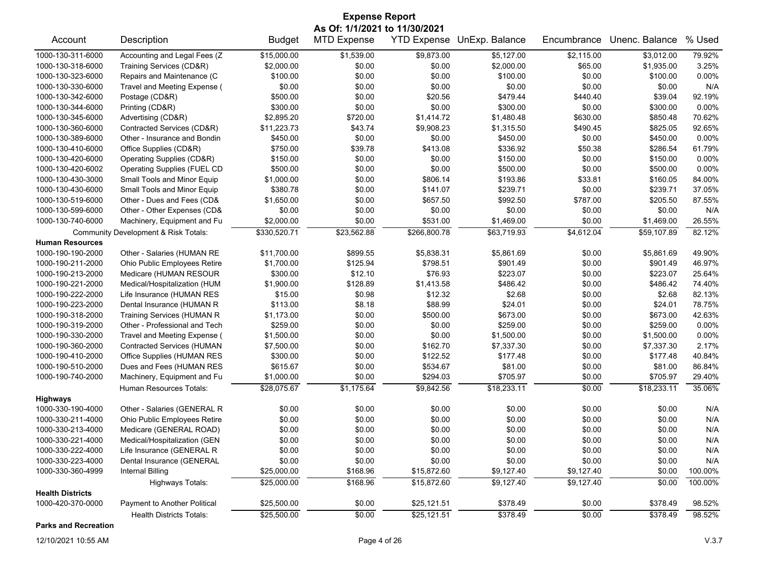| <b>Expense Report</b>   |                                      |               |                                                     |              |                            |             |                |         |
|-------------------------|--------------------------------------|---------------|-----------------------------------------------------|--------------|----------------------------|-------------|----------------|---------|
| Account                 | Description                          | <b>Budget</b> | As Of: 1/1/2021 to 11/30/2021<br><b>MTD Expense</b> |              | YTD Expense UnExp. Balance | Encumbrance | Unenc. Balance | % Used  |
| 1000-130-311-6000       | Accounting and Legal Fees (Z         | \$15,000.00   | \$1,539.00                                          | \$9,873.00   | \$5,127.00                 | \$2,115.00  | \$3,012.00     | 79.92%  |
| 1000-130-318-6000       | Training Services (CD&R)             | \$2,000.00    | \$0.00                                              | \$0.00       | \$2,000.00                 | \$65.00     | \$1,935.00     | 3.25%   |
| 1000-130-323-6000       | Repairs and Maintenance (C           | \$100.00      | \$0.00                                              | \$0.00       | \$100.00                   | \$0.00      | \$100.00       | 0.00%   |
| 1000-130-330-6000       | Travel and Meeting Expense (         | \$0.00        | \$0.00                                              | \$0.00       | \$0.00                     | \$0.00      | \$0.00         | N/A     |
| 1000-130-342-6000       | Postage (CD&R)                       | \$500.00      | \$0.00                                              | \$20.56      | \$479.44                   | \$440.40    | \$39.04        | 92.19%  |
| 1000-130-344-6000       | Printing (CD&R)                      | \$300.00      | \$0.00                                              | \$0.00       | \$300.00                   | \$0.00      | \$300.00       | 0.00%   |
| 1000-130-345-6000       | Advertising (CD&R)                   | \$2,895.20    | \$720.00                                            | \$1,414.72   | \$1,480.48                 | \$630.00    | \$850.48       | 70.62%  |
| 1000-130-360-6000       | Contracted Services (CD&R)           | \$11,223.73   | \$43.74                                             | \$9,908.23   | \$1,315.50                 | \$490.45    | \$825.05       | 92.65%  |
| 1000-130-389-6000       | Other - Insurance and Bondin         | \$450.00      | \$0.00                                              | \$0.00       | \$450.00                   | \$0.00      | \$450.00       | 0.00%   |
| 1000-130-410-6000       | Office Supplies (CD&R)               | \$750.00      | \$39.78                                             | \$413.08     | \$336.92                   | \$50.38     | \$286.54       | 61.79%  |
| 1000-130-420-6000       | Operating Supplies (CD&R)            | \$150.00      | \$0.00                                              | \$0.00       | \$150.00                   | \$0.00      | \$150.00       | 0.00%   |
| 1000-130-420-6002       | Operating Supplies (FUEL CD          | \$500.00      | \$0.00                                              | \$0.00       | \$500.00                   | \$0.00      | \$500.00       | 0.00%   |
| 1000-130-430-3000       | Small Tools and Minor Equip          | \$1,000.00    | \$0.00                                              | \$806.14     | \$193.86                   | \$33.81     | \$160.05       | 84.00%  |
| 1000-130-430-6000       | Small Tools and Minor Equip          | \$380.78      | \$0.00                                              | \$141.07     | \$239.71                   | \$0.00      | \$239.71       | 37.05%  |
| 1000-130-519-6000       | Other - Dues and Fees (CD&           | \$1,650.00    | \$0.00                                              | \$657.50     | \$992.50                   | \$787.00    | \$205.50       | 87.55%  |
| 1000-130-599-6000       | Other - Other Expenses (CD&          | \$0.00        | \$0.00                                              | \$0.00       | \$0.00                     | \$0.00      | \$0.00         | N/A     |
| 1000-130-740-6000       | Machinery, Equipment and Fu          | \$2,000.00    | \$0.00                                              | \$531.00     | \$1,469.00                 | \$0.00      | \$1,469.00     | 26.55%  |
|                         | Community Development & Risk Totals: | \$330,520.71  | \$23,562.88                                         | \$266,800.78 | \$63,719.93                | \$4,612.04  | \$59.107.89    | 82.12%  |
| <b>Human Resources</b>  |                                      |               |                                                     |              |                            |             |                |         |
| 1000-190-190-2000       | Other - Salaries (HUMAN RE           | \$11,700.00   | \$899.55                                            | \$5,838.31   | \$5,861.69                 | \$0.00      | \$5,861.69     | 49.90%  |
| 1000-190-211-2000       | Ohio Public Employees Retire         | \$1,700.00    | \$125.94                                            | \$798.51     | \$901.49                   | \$0.00      | \$901.49       | 46.97%  |
| 1000-190-213-2000       | Medicare (HUMAN RESOUR               | \$300.00      | \$12.10                                             | \$76.93      | \$223.07                   | \$0.00      | \$223.07       | 25.64%  |
| 1000-190-221-2000       | Medical/Hospitalization (HUM         | \$1,900.00    | \$128.89                                            | \$1,413.58   | \$486.42                   | \$0.00      | \$486.42       | 74.40%  |
| 1000-190-222-2000       | Life Insurance (HUMAN RES            | \$15.00       | \$0.98                                              | \$12.32      | \$2.68                     | \$0.00      | \$2.68         | 82.13%  |
| 1000-190-223-2000       | Dental Insurance (HUMAN R            | \$113.00      | \$8.18                                              | \$88.99      | \$24.01                    | \$0.00      | \$24.01        | 78.75%  |
| 1000-190-318-2000       | <b>Training Services (HUMAN R</b>    | \$1,173.00    | \$0.00                                              | \$500.00     | \$673.00                   | \$0.00      | \$673.00       | 42.63%  |
| 1000-190-319-2000       | Other - Professional and Tech        | \$259.00      | \$0.00                                              | \$0.00       | \$259.00                   | \$0.00      | \$259.00       | 0.00%   |
| 1000-190-330-2000       | Travel and Meeting Expense (         | \$1,500.00    | \$0.00                                              | \$0.00       | \$1,500.00                 | \$0.00      | \$1,500.00     | 0.00%   |
| 1000-190-360-2000       | <b>Contracted Services (HUMAN</b>    | \$7,500.00    | \$0.00                                              | \$162.70     | \$7,337.30                 | \$0.00      | \$7,337.30     | 2.17%   |
| 1000-190-410-2000       | Office Supplies (HUMAN RES           | \$300.00      | \$0.00                                              | \$122.52     | \$177.48                   | \$0.00      | \$177.48       | 40.84%  |
| 1000-190-510-2000       | Dues and Fees (HUMAN RES             | \$615.67      | \$0.00                                              | \$534.67     | \$81.00                    | \$0.00      | \$81.00        | 86.84%  |
| 1000-190-740-2000       | Machinery, Equipment and Fu          | \$1,000.00    | \$0.00                                              | \$294.03     | \$705.97                   | \$0.00      | \$705.97       | 29.40%  |
|                         | Human Resources Totals:              | \$28,075.67   | \$1,175.64                                          | \$9,842.56   | \$18,233.11                | \$0.00      | \$18,233.11    | 35.06%  |
| <b>Highways</b>         |                                      |               |                                                     |              |                            |             |                |         |
| 1000-330-190-4000       | Other - Salaries (GENERAL R          | \$0.00        | \$0.00                                              | \$0.00       | \$0.00                     | \$0.00      | \$0.00         | N/A     |
| 1000-330-211-4000       | Ohio Public Employees Retire         | \$0.00        | \$0.00                                              | \$0.00       | \$0.00                     | \$0.00      | \$0.00         | N/A     |
| 1000-330-213-4000       | Medicare (GENERAL ROAD)              | \$0.00        | \$0.00                                              | \$0.00       | \$0.00                     | \$0.00      | \$0.00         | N/A     |
| 1000-330-221-4000       | Medical/Hospitalization (GEN         | \$0.00        | \$0.00                                              | \$0.00       | \$0.00                     | \$0.00      | \$0.00         | N/A     |
| 1000-330-222-4000       | Life Insurance (GENERAL R            | \$0.00        | \$0.00                                              | \$0.00       | \$0.00                     | \$0.00      | \$0.00         | N/A     |
| 1000-330-223-4000       | Dental Insurance (GENERAL            | \$0.00        | \$0.00                                              | \$0.00       | \$0.00                     | \$0.00      | \$0.00         | N/A     |
| 1000-330-360-4999       | <b>Internal Billing</b>              | \$25,000.00   | \$168.96                                            | \$15,872.60  | \$9,127.40                 | \$9,127.40  | \$0.00         | 100.00% |
|                         |                                      |               |                                                     |              |                            |             |                |         |
| <b>Health Districts</b> | Highways Totals:                     | \$25,000.00   | \$168.96                                            | \$15,872.60  | \$9,127.40                 | \$9,127.40  | \$0.00         | 100.00% |
| 1000-420-370-0000       | Payment to Another Political         | \$25,500.00   | \$0.00                                              | \$25,121.51  | \$378.49                   | \$0.00      | \$378.49       | 98.52%  |
|                         |                                      |               |                                                     |              |                            |             |                |         |
|                         | <b>Health Districts Totals:</b>      | \$25,500.00   | \$0.00                                              | \$25,121.51  | \$378.49                   | \$0.00      | \$378.49       | 98.52%  |

**Parks and Recreation**

12/10/2021 10:55 AM Page 4 of 26 V.3.7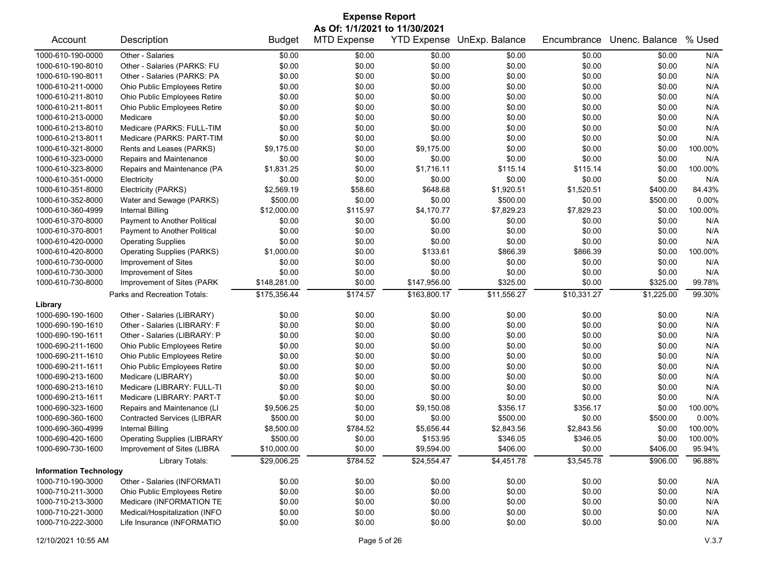| <b>Expense Report</b>                                                                                                          |                                    |                  |                    |                    |                |             |                  |         |  |
|--------------------------------------------------------------------------------------------------------------------------------|------------------------------------|------------------|--------------------|--------------------|----------------|-------------|------------------|---------|--|
| As Of: 1/1/2021 to 11/30/2021                                                                                                  |                                    |                  |                    |                    |                |             |                  |         |  |
| Account                                                                                                                        | Description                        | <b>Budget</b>    | <b>MTD Expense</b> | <b>YTD Expense</b> | UnExp. Balance | Encumbrance | Unenc. Balance   | % Used  |  |
| 1000-610-190-0000                                                                                                              | Other - Salaries                   | \$0.00           | \$0.00             | \$0.00             | \$0.00         | \$0.00      | \$0.00           | N/A     |  |
| 1000-610-190-8010                                                                                                              | Other - Salaries (PARKS: FU        | \$0.00           | \$0.00             | \$0.00             | \$0.00         | \$0.00      | \$0.00           | N/A     |  |
| 1000-610-190-8011                                                                                                              | Other - Salaries (PARKS: PA        | \$0.00           | \$0.00             | \$0.00             | \$0.00         | \$0.00      | \$0.00           | N/A     |  |
| 1000-610-211-0000                                                                                                              | Ohio Public Employees Retire       | \$0.00           | \$0.00             | \$0.00             | \$0.00         | \$0.00      | \$0.00           | N/A     |  |
| 1000-610-211-8010                                                                                                              | Ohio Public Employees Retire       | \$0.00           | \$0.00             | \$0.00             | \$0.00         | \$0.00      | \$0.00           | N/A     |  |
| 1000-610-211-8011                                                                                                              | Ohio Public Employees Retire       | \$0.00           | \$0.00             | \$0.00             | \$0.00         | \$0.00      | \$0.00           | N/A     |  |
| 1000-610-213-0000                                                                                                              | Medicare                           | \$0.00           | \$0.00             | \$0.00             | \$0.00         | \$0.00      | \$0.00           | N/A     |  |
| 1000-610-213-8010                                                                                                              | Medicare (PARKS: FULL-TIM          | \$0.00           | \$0.00             | \$0.00             | \$0.00         | \$0.00      | \$0.00           | N/A     |  |
| 1000-610-213-8011                                                                                                              | Medicare (PARKS: PART-TIM          | \$0.00           | \$0.00             | \$0.00             | \$0.00         | \$0.00      | \$0.00           | N/A     |  |
| 1000-610-321-8000                                                                                                              | Rents and Leases (PARKS)           | \$9,175.00       | \$0.00             | \$9,175.00         | \$0.00         | \$0.00      | \$0.00           | 100.00% |  |
| 1000-610-323-0000                                                                                                              | Repairs and Maintenance            | \$0.00           | \$0.00             | \$0.00             | \$0.00         | \$0.00      | \$0.00           | N/A     |  |
| 1000-610-323-8000                                                                                                              | Repairs and Maintenance (PA        | \$1,831.25       | \$0.00             | \$1,716.11         | \$115.14       | \$115.14    | \$0.00           | 100.00% |  |
| 1000-610-351-0000                                                                                                              | Electricity                        | \$0.00           | \$0.00             | \$0.00             | \$0.00         | \$0.00      | \$0.00           | N/A     |  |
| 1000-610-351-8000                                                                                                              | Electricity (PARKS)                | \$2,569.19       | \$58.60            | \$648.68           | \$1,920.51     | \$1,520.51  | \$400.00         | 84.43%  |  |
| 1000-610-352-8000                                                                                                              | Water and Sewage (PARKS)           | \$500.00         | \$0.00             | \$0.00             | \$500.00       | \$0.00      | \$500.00         | 0.00%   |  |
| 1000-610-360-4999                                                                                                              | <b>Internal Billing</b>            | \$12,000.00      | \$115.97           | \$4,170.77         | \$7,829.23     | \$7,829.23  | \$0.00           | 100.00% |  |
| 1000-610-370-8000                                                                                                              | Payment to Another Political       | \$0.00           | \$0.00             | \$0.00             | \$0.00         | \$0.00      | \$0.00           | N/A     |  |
| 1000-610-370-8001                                                                                                              | Payment to Another Political       | \$0.00           | \$0.00             | \$0.00             | \$0.00         | \$0.00      | \$0.00           | N/A     |  |
| 1000-610-420-0000                                                                                                              | <b>Operating Supplies</b>          | \$0.00           | \$0.00             | \$0.00             | \$0.00         | \$0.00      | \$0.00           | N/A     |  |
| 1000-610-420-8000                                                                                                              | <b>Operating Supplies (PARKS)</b>  | \$1,000.00       | \$0.00             | \$133.61           | \$866.39       | \$866.39    | \$0.00           | 100.00% |  |
| 1000-610-730-0000                                                                                                              | Improvement of Sites               | \$0.00           | \$0.00             | \$0.00             | \$0.00         | \$0.00      | \$0.00           | N/A     |  |
| 1000-610-730-3000                                                                                                              | Improvement of Sites               | \$0.00           | \$0.00             | \$0.00             | \$0.00         | \$0.00      | \$0.00           | N/A     |  |
| 1000-610-730-8000                                                                                                              | Improvement of Sites (PARK         | \$148,281.00     | \$0.00             | \$147,956.00       | \$325.00       | \$0.00      | \$325.00         | 99.78%  |  |
| \$175,356.44<br>\$174.57<br>\$11,556.27<br>\$10,331.27<br>\$1,225.00<br>99.30%<br>Parks and Recreation Totals:<br>\$163,800.17 |                                    |                  |                    |                    |                |             |                  |         |  |
| Library                                                                                                                        |                                    |                  |                    |                    |                |             |                  |         |  |
| 1000-690-190-1600                                                                                                              | Other - Salaries (LIBRARY)         | \$0.00           | \$0.00             | \$0.00             | \$0.00         | \$0.00      | \$0.00           | N/A     |  |
| 1000-690-190-1610                                                                                                              | Other - Salaries (LIBRARY: F       | \$0.00           | \$0.00             | \$0.00             | \$0.00         | \$0.00      | \$0.00           | N/A     |  |
| 1000-690-190-1611                                                                                                              | Other - Salaries (LIBRARY: P       | \$0.00           | \$0.00             | \$0.00             | \$0.00         | \$0.00      | \$0.00           | N/A     |  |
| 1000-690-211-1600                                                                                                              | Ohio Public Employees Retire       | \$0.00           | \$0.00             | \$0.00             | \$0.00         | \$0.00      | \$0.00           | N/A     |  |
| 1000-690-211-1610                                                                                                              | Ohio Public Employees Retire       | \$0.00           | \$0.00             | \$0.00             | \$0.00         | \$0.00      | \$0.00           | N/A     |  |
| 1000-690-211-1611                                                                                                              | Ohio Public Employees Retire       | \$0.00           | \$0.00             | \$0.00             | \$0.00         | \$0.00      | \$0.00           | N/A     |  |
| 1000-690-213-1600                                                                                                              | Medicare (LIBRARY)                 | \$0.00           | \$0.00             | \$0.00             | \$0.00         | \$0.00      | \$0.00           | N/A     |  |
| 1000-690-213-1610                                                                                                              | Medicare (LIBRARY: FULL-TI         | \$0.00           | \$0.00             | \$0.00             | \$0.00         | \$0.00      | \$0.00           | N/A     |  |
| 1000-690-213-1611                                                                                                              | Medicare (LIBRARY: PART-T          | \$0.00           | \$0.00             | \$0.00             | \$0.00         | \$0.00      | \$0.00           | N/A     |  |
| 1000-690-323-1600                                                                                                              | Repairs and Maintenance (LI        | \$9,506.25       | \$0.00             | \$9,150.08         | \$356.17       | \$356.17    | \$0.00           | 100.00% |  |
| 1000-690-360-1600                                                                                                              | <b>Contracted Services (LIBRAR</b> | \$500.00         | \$0.00             | \$0.00             | \$500.00       | \$0.00      | \$500.00         | 0.00%   |  |
| 1000-690-360-4999                                                                                                              | Internal Billing                   | \$8,500.00       | \$784.52           | \$5,656.44         | \$2,843.56     | \$2,843.56  | \$0.00           | 100.00% |  |
| 1000-690-420-1600                                                                                                              | <b>Operating Supplies (LIBRARY</b> | \$500.00         | \$0.00             | \$153.95           | \$346.05       | \$346.05    | \$0.00           | 100.00% |  |
| 1000-690-730-1600                                                                                                              | Improvement of Sites (LIBRA        | \$10,000.00      | \$0.00             | \$9,594.00         | \$406.00       | \$0.00      | \$406.00         | 95.94%  |  |
|                                                                                                                                | Library Totals:                    | \$29,006.25      | \$784.52           | \$24,554.47        | \$4,451.78     | \$3,545.78  | \$906.00         | 96.88%  |  |
| <b>Information Technology</b>                                                                                                  |                                    |                  |                    |                    |                |             |                  |         |  |
| 1000-710-190-3000                                                                                                              | Other - Salaries (INFORMATI        | \$0.00           | \$0.00             |                    |                | \$0.00      | \$0.00           |         |  |
| 1000-710-211-3000                                                                                                              | Ohio Public Employees Retire       | \$0.00           | \$0.00             | \$0.00<br>\$0.00   | \$0.00         |             | \$0.00           | N/A     |  |
| 1000-710-213-3000                                                                                                              | Medicare (INFORMATION TE           |                  |                    |                    | \$0.00         | \$0.00      |                  | N/A     |  |
| 1000-710-221-3000                                                                                                              | Medical/Hospitalization (INFO      | \$0.00<br>\$0.00 | \$0.00<br>\$0.00   | \$0.00             | \$0.00         | \$0.00      | \$0.00<br>\$0.00 | N/A     |  |
| 1000-710-222-3000                                                                                                              | Life Insurance (INFORMATIO         | \$0.00           | \$0.00             | \$0.00             | \$0.00         | \$0.00      |                  | N/A     |  |
|                                                                                                                                |                                    |                  |                    | \$0.00             | \$0.00         | \$0.00      | \$0.00           | N/A     |  |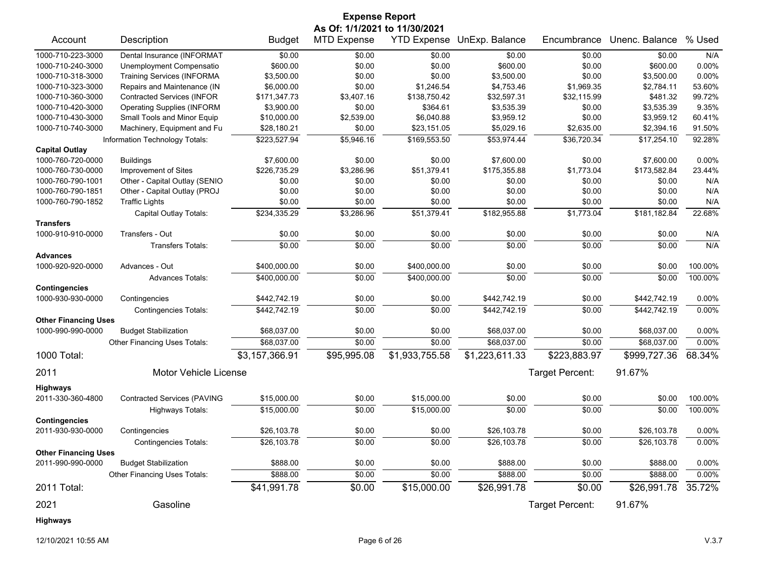|                             |                                    |                | <b>Expense Report</b>         |                    |                |                 |                |          |
|-----------------------------|------------------------------------|----------------|-------------------------------|--------------------|----------------|-----------------|----------------|----------|
|                             |                                    |                | As Of: 1/1/2021 to 11/30/2021 |                    |                |                 |                |          |
| Account                     | Description                        | <b>Budget</b>  | <b>MTD Expense</b>            | <b>YTD Expense</b> | UnExp. Balance | Encumbrance     | Unenc. Balance | % Used   |
| 1000-710-223-3000           | Dental Insurance (INFORMAT         | \$0.00         | \$0.00                        | \$0.00             | \$0.00         | \$0.00          | \$0.00         | N/A      |
| 1000-710-240-3000           | Unemployment Compensatio           | \$600.00       | \$0.00                        | \$0.00             | \$600.00       | \$0.00          | \$600.00       | 0.00%    |
| 1000-710-318-3000           | <b>Training Services (INFORMA</b>  | \$3,500.00     | \$0.00                        | \$0.00             | \$3,500.00     | \$0.00          | \$3,500.00     | 0.00%    |
| 1000-710-323-3000           | Repairs and Maintenance (IN        | \$6,000.00     | \$0.00                        | \$1,246.54         | \$4,753.46     | \$1,969.35      | \$2,784.11     | 53.60%   |
| 1000-710-360-3000           | <b>Contracted Services (INFOR</b>  | \$171,347.73   | \$3,407.16                    | \$138,750.42       | \$32,597.31    | \$32,115.99     | \$481.32       | 99.72%   |
| 1000-710-420-3000           | <b>Operating Supplies (INFORM</b>  | \$3,900.00     | \$0.00                        | \$364.61           | \$3,535.39     | \$0.00          | \$3,535.39     | 9.35%    |
| 1000-710-430-3000           | Small Tools and Minor Equip        | \$10,000.00    | \$2,539.00                    | \$6,040.88         | \$3,959.12     | \$0.00          | \$3,959.12     | 60.41%   |
| 1000-710-740-3000           | Machinery, Equipment and Fu        | \$28,180.21    | \$0.00                        | \$23,151.05        | \$5,029.16     | \$2,635.00      | \$2,394.16     | 91.50%   |
|                             | Information Technology Totals:     | \$223,527.94   | \$5,946.16                    | \$169,553.50       | \$53,974.44    | \$36,720.34     | \$17,254.10    | 92.28%   |
| <b>Capital Outlay</b>       |                                    |                |                               |                    |                |                 |                |          |
| 1000-760-720-0000           | <b>Buildings</b>                   | \$7,600.00     | \$0.00                        | \$0.00             | \$7,600.00     | \$0.00          | \$7,600.00     | 0.00%    |
| 1000-760-730-0000           | Improvement of Sites               | \$226,735.29   | \$3,286.96                    | \$51,379.41        | \$175,355.88   | \$1,773.04      | \$173,582.84   | 23.44%   |
| 1000-760-790-1001           | Other - Capital Outlay (SENIO      | \$0.00         | \$0.00                        | \$0.00             | \$0.00         | \$0.00          | \$0.00         | N/A      |
| 1000-760-790-1851           | Other - Capital Outlay (PROJ       | \$0.00         | \$0.00                        | \$0.00             | \$0.00         | \$0.00          | \$0.00         | N/A      |
| 1000-760-790-1852           | <b>Traffic Lights</b>              | \$0.00         | \$0.00                        | \$0.00             | \$0.00         | \$0.00          | \$0.00         | N/A      |
|                             | Capital Outlay Totals:             | \$234,335.29   | \$3,286.96                    | \$51,379.41        | \$182,955.88   | \$1,773.04      | \$181,182.84   | 22.68%   |
| <b>Transfers</b>            |                                    |                |                               |                    |                |                 |                |          |
| 1000-910-910-0000           | Transfers - Out                    | \$0.00         | \$0.00                        | \$0.00             | \$0.00         | \$0.00          | \$0.00         | N/A      |
|                             | <b>Transfers Totals:</b>           | \$0.00         | \$0.00                        | \$0.00             | \$0.00         | \$0.00          | \$0.00         | N/A      |
| <b>Advances</b>             |                                    |                |                               |                    |                |                 |                |          |
| 1000-920-920-0000           | Advances - Out                     | \$400,000.00   | \$0.00                        | \$400,000.00       | \$0.00         | \$0.00          | \$0.00         | 100.00%  |
|                             | <b>Advances Totals:</b>            | \$400,000.00   | \$0.00                        | \$400,000.00       | \$0.00         | \$0.00          | \$0.00         | 100.00%  |
| <b>Contingencies</b>        |                                    |                |                               |                    |                |                 |                |          |
| 1000-930-930-0000           | Contingencies                      | \$442,742.19   | \$0.00                        | \$0.00             | \$442,742.19   | \$0.00          | \$442,742.19   | $0.00\%$ |
|                             | <b>Contingencies Totals:</b>       | \$442,742.19   | \$0.00                        | \$0.00             | \$442,742.19   | \$0.00          | \$442,742.19   | 0.00%    |
| <b>Other Financing Uses</b> |                                    |                |                               |                    |                |                 |                |          |
| 1000-990-990-0000           | <b>Budget Stabilization</b>        | \$68,037.00    | \$0.00                        | \$0.00             | \$68,037.00    | \$0.00          | \$68,037.00    | $0.00\%$ |
|                             | Other Financing Uses Totals:       | \$68,037.00    | \$0.00                        | \$0.00             | \$68,037.00    | \$0.00          | \$68,037.00    | 0.00%    |
| 1000 Total:                 |                                    | \$3,157,366.91 | \$95,995.08                   | \$1,933,755.58     | \$1,223,611.33 | \$223,883.97    | \$999,727.36   | 68.34%   |
| 2011                        | Motor Vehicle License              |                |                               |                    |                | Target Percent: | 91.67%         |          |
| <b>Highways</b>             |                                    |                |                               |                    |                |                 |                |          |
| 2011-330-360-4800           | <b>Contracted Services (PAVING</b> | \$15,000.00    | \$0.00                        | \$15,000.00        | \$0.00         | \$0.00          | \$0.00         | 100.00%  |
|                             | Highways Totals:                   | \$15,000.00    | \$0.00                        | \$15,000.00        | \$0.00         | \$0.00          | \$0.00         | 100.00%  |
| <b>Contingencies</b>        |                                    |                |                               |                    |                |                 |                |          |
| 2011-930-930-0000           | Contingencies                      | \$26,103.78    | \$0.00                        | \$0.00             | \$26,103.78    | \$0.00          | \$26,103.78    | 0.00%    |
|                             | <b>Contingencies Totals:</b>       | \$26,103.78    | \$0.00                        | \$0.00             | \$26,103.78    | \$0.00          | \$26,103.78    | 0.00%    |
| <b>Other Financing Uses</b> |                                    |                |                               |                    |                |                 |                |          |
| 2011-990-990-0000           | <b>Budget Stabilization</b>        | \$888.00       | \$0.00                        | \$0.00             | \$888.00       | \$0.00          | \$888.00       | 0.00%    |
|                             | Other Financing Uses Totals:       | \$888.00       | \$0.00                        | \$0.00             | \$888.00       | \$0.00          | \$888.00       | 0.00%    |
| 2011 Total:                 |                                    | \$41,991.78    | \$0.00                        | \$15,000.00        | \$26,991.78    | \$0.00          | \$26,991.78    | 35.72%   |
| 2021                        | Gasoline                           |                |                               |                    |                | Target Percent: | 91.67%         |          |
| Highways                    |                                    |                |                               |                    |                |                 |                |          |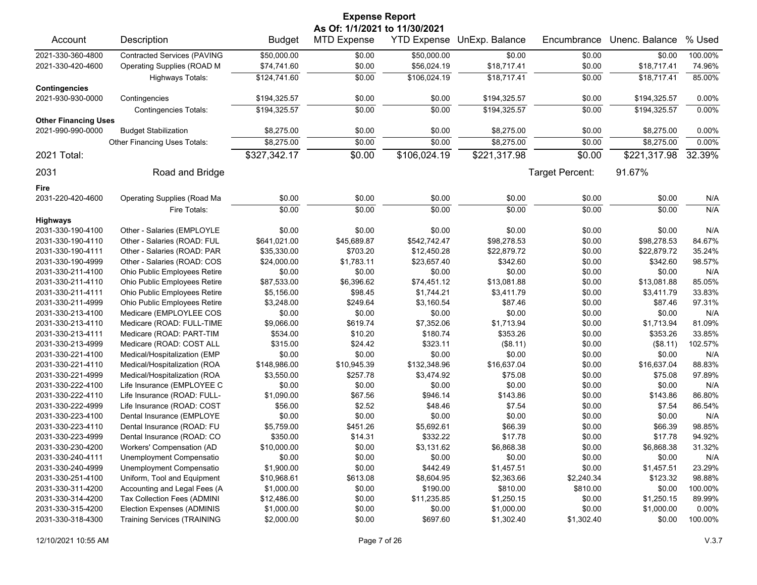| <b>Expense Report</b>       |                                    |               |                               |                    |                |                 |                |         |
|-----------------------------|------------------------------------|---------------|-------------------------------|--------------------|----------------|-----------------|----------------|---------|
|                             |                                    |               | As Of: 1/1/2021 to 11/30/2021 |                    |                |                 |                |         |
| Account                     | Description                        | <b>Budget</b> | <b>MTD Expense</b>            | <b>YTD Expense</b> | UnExp. Balance | Encumbrance     | Unenc. Balance | % Used  |
| 2021-330-360-4800           | <b>Contracted Services (PAVING</b> | \$50,000.00   | \$0.00                        | \$50,000.00        | \$0.00         | \$0.00          | \$0.00         | 100.00% |
| 2021-330-420-4600           | Operating Supplies (ROAD M         | \$74,741.60   | \$0.00                        | \$56,024.19        | \$18,717.41    | \$0.00          | \$18,717.41    | 74.96%  |
|                             | Highways Totals:                   | \$124,741.60  | \$0.00                        | \$106,024.19       | \$18,717.41    | \$0.00          | \$18,717.41    | 85.00%  |
| <b>Contingencies</b>        |                                    |               |                               |                    |                |                 |                |         |
| 2021-930-930-0000           | Contingencies                      | \$194,325.57  | \$0.00                        | \$0.00             | \$194,325.57   | \$0.00          | \$194,325.57   | 0.00%   |
|                             | <b>Contingencies Totals:</b>       | \$194,325.57  | \$0.00                        | \$0.00             | \$194,325.57   | \$0.00          | \$194,325.57   | 0.00%   |
| <b>Other Financing Uses</b> |                                    |               |                               |                    |                |                 |                |         |
| 2021-990-990-0000           | <b>Budget Stabilization</b>        | \$8,275.00    | \$0.00                        | \$0.00             | \$8,275.00     | \$0.00          | \$8,275.00     | 0.00%   |
|                             | Other Financing Uses Totals:       | \$8,275.00    | \$0.00                        | \$0.00             | \$8,275.00     | \$0.00          | \$8,275.00     | 0.00%   |
| 2021 Total:                 |                                    | \$327,342.17  | \$0.00                        | \$106,024.19       | \$221,317.98   | \$0.00          | \$221,317.98   | 32.39%  |
| 2031                        | Road and Bridge                    |               |                               |                    |                | Target Percent: | 91.67%         |         |
| Fire                        |                                    |               |                               |                    |                |                 |                |         |
| 2031-220-420-4600           | <b>Operating Supplies (Road Ma</b> | \$0.00        | \$0.00                        | \$0.00             | \$0.00         | \$0.00          | \$0.00         | N/A     |
|                             | Fire Totals:                       | \$0.00        | \$0.00                        | \$0.00             | \$0.00         | \$0.00          | \$0.00         | N/A     |
| <b>Highways</b>             |                                    |               |                               |                    |                |                 |                |         |
| 2031-330-190-4100           | Other - Salaries (EMPLOYLE         | \$0.00        | \$0.00                        | \$0.00             | \$0.00         | \$0.00          | \$0.00         | N/A     |
| 2031-330-190-4110           | Other - Salaries (ROAD: FUL        | \$641,021.00  | \$45,689.87                   | \$542,742.47       | \$98,278.53    | \$0.00          | \$98,278.53    | 84.67%  |
| 2031-330-190-4111           | Other - Salaries (ROAD: PAR        | \$35,330.00   | \$703.20                      | \$12,450.28        | \$22,879.72    | \$0.00          | \$22,879.72    | 35.24%  |
| 2031-330-190-4999           | Other - Salaries (ROAD: COS        | \$24,000.00   | \$1,783.11                    | \$23,657.40        | \$342.60       | \$0.00          | \$342.60       | 98.57%  |
| 2031-330-211-4100           | Ohio Public Employees Retire       | \$0.00        | \$0.00                        | \$0.00             | \$0.00         | \$0.00          | \$0.00         | N/A     |
| 2031-330-211-4110           | Ohio Public Employees Retire       | \$87,533.00   | \$6,396.62                    | \$74,451.12        | \$13,081.88    | \$0.00          | \$13,081.88    | 85.05%  |
| 2031-330-211-4111           | Ohio Public Employees Retire       | \$5,156.00    | \$98.45                       | \$1,744.21         | \$3,411.79     | \$0.00          | \$3,411.79     | 33.83%  |
| 2031-330-211-4999           | Ohio Public Employees Retire       | \$3,248.00    | \$249.64                      | \$3,160.54         | \$87.46        | \$0.00          | \$87.46        | 97.31%  |
| 2031-330-213-4100           | Medicare (EMPLOYLEE COS            | \$0.00        | \$0.00                        | \$0.00             | \$0.00         | \$0.00          | \$0.00         | N/A     |
| 2031-330-213-4110           | Medicare (ROAD: FULL-TIME          | \$9,066.00    | \$619.74                      | \$7,352.06         | \$1,713.94     | \$0.00          | \$1,713.94     | 81.09%  |
| 2031-330-213-4111           | Medicare (ROAD: PART-TIM           | \$534.00      | \$10.20                       | \$180.74           | \$353.26       | \$0.00          | \$353.26       | 33.85%  |
| 2031-330-213-4999           | Medicare (ROAD: COST ALL           | \$315.00      | \$24.42                       | \$323.11           | (\$8.11)       | \$0.00          | (\$8.11)       | 102.57% |
| 2031-330-221-4100           | Medical/Hospitalization (EMP       | \$0.00        | \$0.00                        | \$0.00             | \$0.00         | \$0.00          | \$0.00         | N/A     |
| 2031-330-221-4110           | Medical/Hospitalization (ROA       | \$148,986.00  | \$10,945.39                   | \$132,348.96       | \$16,637.04    | \$0.00          | \$16,637.04    | 88.83%  |
| 2031-330-221-4999           | Medical/Hospitalization (ROA       | \$3,550.00    | \$257.78                      | \$3,474.92         | \$75.08        | \$0.00          | \$75.08        | 97.89%  |
| 2031-330-222-4100           | Life Insurance (EMPLOYEE C         | \$0.00        | \$0.00                        | \$0.00             | \$0.00         | \$0.00          | \$0.00         | N/A     |
| 2031-330-222-4110           | Life Insurance (ROAD: FULL-        | \$1,090.00    | \$67.56                       | \$946.14           | \$143.86       | \$0.00          | \$143.86       | 86.80%  |
| 2031-330-222-4999           | Life Insurance (ROAD: COST         | \$56.00       | \$2.52                        | \$48.46            | \$7.54         | \$0.00          | \$7.54         | 86.54%  |
| 2031-330-223-4100           | Dental Insurance (EMPLOYE          | \$0.00        | \$0.00                        | \$0.00             | \$0.00         | \$0.00          | \$0.00         | N/A     |
| 2031-330-223-4110           | Dental Insurance (ROAD: FU         | \$5,759.00    | \$451.26                      | \$5,692.61         | \$66.39        | \$0.00          | \$66.39        | 98.85%  |
| 2031-330-223-4999           | Dental Insurance (ROAD: CO         | \$350.00      | \$14.31                       | \$332.22           | \$17.78        | \$0.00          | \$17.78        | 94.92%  |
| 2031-330-230-4200           | Workers' Compensation (AD          | \$10,000.00   | \$0.00                        | \$3,131.62         | \$6,868.38     | \$0.00          | \$6,868.38     | 31.32%  |
| 2031-330-240-4111           | Unemployment Compensatio           | \$0.00        | \$0.00                        | \$0.00             | \$0.00         | \$0.00          | \$0.00         | N/A     |
| 2031-330-240-4999           | Unemployment Compensatio           | \$1,900.00    | \$0.00                        | \$442.49           | \$1,457.51     | \$0.00          | \$1,457.51     | 23.29%  |
| 2031-330-251-4100           | Uniform, Tool and Equipment        | \$10,968.61   | \$613.08                      | \$8,604.95         | \$2,363.66     | \$2,240.34      | \$123.32       | 98.88%  |
| 2031-330-311-4200           | Accounting and Legal Fees (A       | \$1,000.00    | \$0.00                        | \$190.00           | \$810.00       | \$810.00        | \$0.00         | 100.00% |
| 2031-330-314-4200           | Tax Collection Fees (ADMINI        | \$12,486.00   | \$0.00                        | \$11,235.85        | \$1,250.15     | \$0.00          | \$1,250.15     | 89.99%  |
| 2031-330-315-4200           | Election Expenses (ADMINIS         | \$1,000.00    | \$0.00                        | \$0.00             | \$1,000.00     | \$0.00          | \$1,000.00     | 0.00%   |
| 2031-330-318-4300           | <b>Training Services (TRAINING</b> | \$2,000.00    | \$0.00                        | \$697.60           | \$1,302.40     | \$1,302.40      | \$0.00         | 100.00% |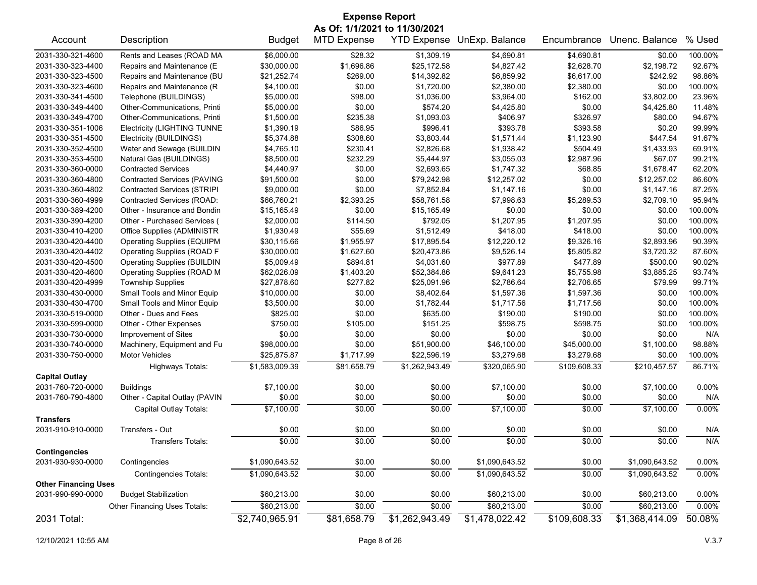| <b>Expense Report</b>                            |                                    |                |                    |                    |                |              |                |          |  |
|--------------------------------------------------|------------------------------------|----------------|--------------------|--------------------|----------------|--------------|----------------|----------|--|
|                                                  | As Of: 1/1/2021 to 11/30/2021      |                |                    |                    |                |              |                |          |  |
| Account                                          | Description                        | <b>Budget</b>  | <b>MTD Expense</b> | <b>YTD Expense</b> | UnExp. Balance | Encumbrance  | Unenc. Balance | % Used   |  |
| 2031-330-321-4600                                | Rents and Leases (ROAD MA          | \$6,000.00     | \$28.32            | \$1,309.19         | \$4,690.81     | \$4,690.81   | \$0.00         | 100.00%  |  |
| 2031-330-323-4400                                | Repairs and Maintenance (E         | \$30,000.00    | \$1,696.86         | \$25,172.58        | \$4,827.42     | \$2,628.70   | \$2,198.72     | 92.67%   |  |
| 2031-330-323-4500                                | Repairs and Maintenance (BU        | \$21,252.74    | \$269.00           | \$14,392.82        | \$6,859.92     | \$6,617.00   | \$242.92       | 98.86%   |  |
| 2031-330-323-4600                                | Repairs and Maintenance (R         | \$4,100.00     | \$0.00             | \$1,720.00         | \$2,380.00     | \$2,380.00   | \$0.00         | 100.00%  |  |
| 2031-330-341-4500                                | Telephone (BUILDINGS)              | \$5,000.00     | \$98.00            | \$1,036.00         | \$3,964.00     | \$162.00     | \$3,802.00     | 23.96%   |  |
| 2031-330-349-4400                                | Other-Communications, Printi       | \$5,000.00     | \$0.00             | \$574.20           | \$4,425.80     | \$0.00       | \$4,425.80     | 11.48%   |  |
| 2031-330-349-4700                                | Other-Communications, Printi       | \$1,500.00     | \$235.38           | \$1,093.03         | \$406.97       | \$326.97     | \$80.00        | 94.67%   |  |
| 2031-330-351-1006                                | <b>Electricity (LIGHTING TUNNE</b> | \$1,390.19     | \$86.95            | \$996.41           | \$393.78       | \$393.58     | \$0.20         | 99.99%   |  |
| 2031-330-351-4500                                | Electricity (BUILDINGS)            | \$5,374.88     | \$308.60           | \$3,803.44         | \$1,571.44     | \$1,123.90   | \$447.54       | 91.67%   |  |
| 2031-330-352-4500                                | Water and Sewage (BUILDIN          | \$4,765.10     | \$230.41           | \$2,826.68         | \$1,938.42     | \$504.49     | \$1,433.93     | 69.91%   |  |
| 2031-330-353-4500                                | Natural Gas (BUILDINGS)            | \$8,500.00     | \$232.29           | \$5,444.97         | \$3,055.03     | \$2,987.96   | \$67.07        | 99.21%   |  |
| 2031-330-360-0000                                | <b>Contracted Services</b>         | \$4,440.97     | \$0.00             | \$2,693.65         | \$1,747.32     | \$68.85      | \$1,678.47     | 62.20%   |  |
| 2031-330-360-4800                                | <b>Contracted Services (PAVING</b> | \$91,500.00    | \$0.00             | \$79,242.98        | \$12,257.02    | \$0.00       | \$12,257.02    | 86.60%   |  |
| 2031-330-360-4802                                | <b>Contracted Services (STRIPI</b> | \$9,000.00     | \$0.00             | \$7,852.84         | \$1,147.16     | \$0.00       | \$1,147.16     | 87.25%   |  |
| 2031-330-360-4999                                | Contracted Services (ROAD:         | \$66,760.21    | \$2,393.25         | \$58,761.58        | \$7,998.63     | \$5,289.53   | \$2,709.10     | 95.94%   |  |
| 2031-330-389-4200                                | Other - Insurance and Bondin       | \$15,165.49    | \$0.00             | \$15,165.49        | \$0.00         | \$0.00       | \$0.00         | 100.00%  |  |
| 2031-330-390-4200                                | Other - Purchased Services (       | \$2,000.00     | \$114.50           | \$792.05           | \$1,207.95     | \$1,207.95   | \$0.00         | 100.00%  |  |
| 2031-330-410-4200                                | Office Supplies (ADMINISTR         | \$1,930.49     | \$55.69            | \$1,512.49         | \$418.00       | \$418.00     | \$0.00         | 100.00%  |  |
| 2031-330-420-4400                                | <b>Operating Supplies (EQUIPM</b>  | \$30,115.66    | \$1,955.97         | \$17,895.54        | \$12,220.12    | \$9,326.16   | \$2,893.96     | 90.39%   |  |
| 2031-330-420-4402                                | <b>Operating Supplies (ROAD F</b>  | \$30,000.00    | \$1,627.60         | \$20,473.86        | \$9,526.14     | \$5,805.82   | \$3,720.32     | 87.60%   |  |
| 2031-330-420-4500                                | <b>Operating Supplies (BUILDIN</b> | \$5,009.49     | \$894.81           | \$4,031.60         | \$977.89       | \$477.89     | \$500.00       | 90.02%   |  |
| 2031-330-420-4600                                | Operating Supplies (ROAD M         | \$62,026.09    | \$1,403.20         | \$52,384.86        | \$9,641.23     | \$5,755.98   | \$3,885.25     | 93.74%   |  |
| 2031-330-420-4999                                | <b>Township Supplies</b>           | \$27,878.60    | \$277.82           | \$25,091.96        | \$2,786.64     | \$2,706.65   | \$79.99        | 99.71%   |  |
| 2031-330-430-0000                                | Small Tools and Minor Equip        | \$10,000.00    | \$0.00             | \$8,402.64         | \$1,597.36     | \$1,597.36   | \$0.00         | 100.00%  |  |
| 2031-330-430-4700                                | Small Tools and Minor Equip        | \$3,500.00     | \$0.00             | \$1,782.44         | \$1,717.56     | \$1,717.56   | \$0.00         | 100.00%  |  |
| 2031-330-519-0000                                | Other - Dues and Fees              | \$825.00       | \$0.00             | \$635.00           | \$190.00       | \$190.00     | \$0.00         | 100.00%  |  |
| 2031-330-599-0000                                | Other - Other Expenses             | \$750.00       | \$105.00           | \$151.25           | \$598.75       | \$598.75     | \$0.00         | 100.00%  |  |
| 2031-330-730-0000                                | Improvement of Sites               | \$0.00         | \$0.00             | \$0.00             | \$0.00         | \$0.00       | \$0.00         | N/A      |  |
| 2031-330-740-0000                                | Machinery, Equipment and Fu        | \$98,000.00    | \$0.00             | \$51,900.00        | \$46,100.00    | \$45,000.00  | \$1,100.00     | 98.88%   |  |
| 2031-330-750-0000                                | Motor Vehicles                     | \$25,875.87    | \$1,717.99         | \$22,596.19        | \$3,279.68     | \$3,279.68   | \$0.00         | 100.00%  |  |
|                                                  |                                    |                |                    |                    | \$320,065.90   | \$109,608.33 | \$210,457.57   | 86.71%   |  |
| <b>Capital Outlay</b>                            | <b>Highways Totals:</b>            | \$1,583,009.39 | \$81,658.79        | \$1,262,943.49     |                |              |                |          |  |
| 2031-760-720-0000                                | <b>Buildings</b>                   | \$7,100.00     | \$0.00             | \$0.00             | \$7,100.00     | \$0.00       | \$7,100.00     | 0.00%    |  |
| 2031-760-790-4800                                | Other - Capital Outlay (PAVIN      | \$0.00         | \$0.00             | \$0.00             | \$0.00         | \$0.00       | \$0.00         | N/A      |  |
|                                                  |                                    |                |                    |                    |                |              |                |          |  |
| <b>Transfers</b>                                 | Capital Outlay Totals:             | \$7,100.00     | \$0.00             | \$0.00             | \$7,100.00     | \$0.00       | \$7,100.00     | 0.00%    |  |
| 2031-910-910-0000                                | Transfers - Out                    | \$0.00         | \$0.00             | \$0.00             | \$0.00         | \$0.00       | \$0.00         | N/A      |  |
|                                                  |                                    |                |                    |                    |                |              |                |          |  |
|                                                  | Transfers Totals:                  | \$0.00         | \$0.00             | \$0.00             | \$0.00         | \$0.00       | \$0.00         | N/A      |  |
| <b>Contingencies</b><br>2031-930-930-0000        | Contingencies                      | \$1,090,643.52 | \$0.00             | \$0.00             | \$1,090,643.52 | \$0.00       | \$1,090,643.52 | $0.00\%$ |  |
|                                                  |                                    |                |                    |                    |                |              |                |          |  |
|                                                  | <b>Contingencies Totals:</b>       | \$1,090,643.52 | \$0.00             | \$0.00             | \$1,090,643.52 | \$0.00       | \$1,090,643.52 | 0.00%    |  |
| <b>Other Financing Uses</b><br>2031-990-990-0000 | <b>Budget Stabilization</b>        | \$60,213.00    | \$0.00             | \$0.00             | \$60,213.00    | \$0.00       | \$60,213.00    | 0.00%    |  |
|                                                  | Other Financing Uses Totals:       | \$60,213.00    | \$0.00             | \$0.00             | \$60,213.00    | \$0.00       | \$60,213.00    | 0.00%    |  |
| 2031 Total:                                      |                                    | \$2,740,965.91 | \$81,658.79        | \$1,262,943.49     | \$1,478,022.42 | \$109,608.33 | \$1,368,414.09 | 50.08%   |  |
|                                                  |                                    |                |                    |                    |                |              |                |          |  |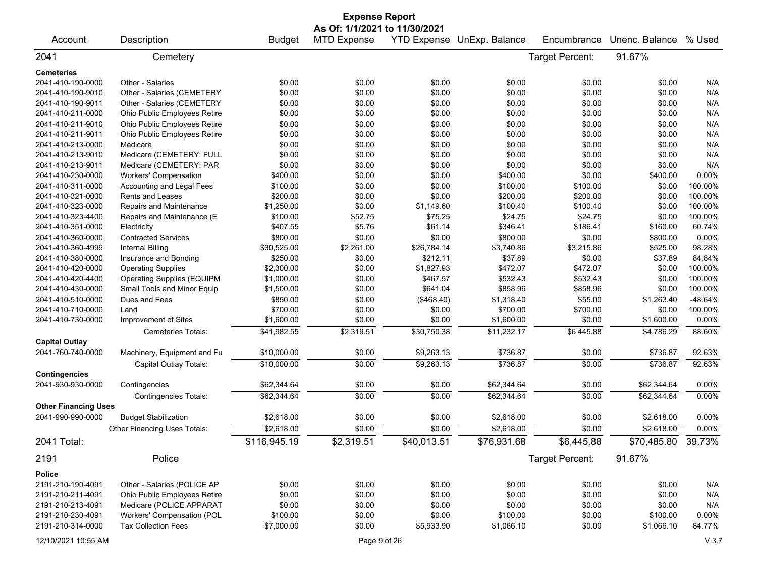|                             |                                   |               | <b>Expense Report</b> |             |                            |                 |                    |         |  |  |
|-----------------------------|-----------------------------------|---------------|-----------------------|-------------|----------------------------|-----------------|--------------------|---------|--|--|
|                             | As Of: 1/1/2021 to 11/30/2021     |               |                       |             |                            |                 |                    |         |  |  |
| Account                     | Description                       | <b>Budget</b> | <b>MTD Expense</b>    |             | YTD Expense UnExp. Balance | Encumbrance     | Unenc. Balance     | % Used  |  |  |
| 2041                        | Cemetery                          |               |                       |             |                            | Target Percent: | 91.67%             |         |  |  |
| <b>Cemeteries</b>           |                                   |               |                       |             |                            |                 |                    |         |  |  |
| 2041-410-190-0000           | Other - Salaries                  | \$0.00        | \$0.00                | \$0.00      | \$0.00                     | \$0.00          | \$0.00             | N/A     |  |  |
| 2041-410-190-9010           | Other - Salaries (CEMETERY        | \$0.00        | \$0.00                | \$0.00      | \$0.00                     | \$0.00          | \$0.00             | N/A     |  |  |
| 2041-410-190-9011           | Other - Salaries (CEMETERY        | \$0.00        | \$0.00                | \$0.00      | \$0.00                     | \$0.00          | \$0.00             | N/A     |  |  |
| 2041-410-211-0000           | Ohio Public Employees Retire      | \$0.00        | \$0.00                | \$0.00      | \$0.00                     | \$0.00          | \$0.00             | N/A     |  |  |
| 2041-410-211-9010           | Ohio Public Employees Retire      | \$0.00        | \$0.00                | \$0.00      | \$0.00                     | \$0.00          | \$0.00             | N/A     |  |  |
| 2041-410-211-9011           | Ohio Public Employees Retire      | \$0.00        | \$0.00                | \$0.00      | \$0.00                     | \$0.00          | \$0.00             | N/A     |  |  |
| 2041-410-213-0000           | Medicare                          | \$0.00        | \$0.00                | \$0.00      | \$0.00                     | \$0.00          | \$0.00             | N/A     |  |  |
| 2041-410-213-9010           | Medicare (CEMETERY: FULL          | \$0.00        | \$0.00                | \$0.00      | \$0.00                     | \$0.00          | \$0.00             | N/A     |  |  |
| 2041-410-213-9011           | Medicare (CEMETERY: PAR           | \$0.00        | \$0.00                | \$0.00      | \$0.00                     | \$0.00          | \$0.00             | N/A     |  |  |
| 2041-410-230-0000           | <b>Workers' Compensation</b>      | \$400.00      | \$0.00                | \$0.00      | \$400.00                   | \$0.00          | \$400.00           | 0.00%   |  |  |
| 2041-410-311-0000           | Accounting and Legal Fees         | \$100.00      | \$0.00                | \$0.00      | \$100.00                   | \$100.00        | \$0.00             | 100.00% |  |  |
| 2041-410-321-0000           | Rents and Leases                  | \$200.00      | \$0.00                | \$0.00      | \$200.00                   | \$200.00        | \$0.00             | 100.00% |  |  |
| 2041-410-323-0000           | Repairs and Maintenance           | \$1,250.00    | \$0.00                | \$1,149.60  | \$100.40                   | \$100.40        | \$0.00             | 100.00% |  |  |
| 2041-410-323-4400           | Repairs and Maintenance (E        | \$100.00      | \$52.75               | \$75.25     | \$24.75                    | \$24.75         | \$0.00             | 100.00% |  |  |
| 2041-410-351-0000           | Electricity                       | \$407.55      | \$5.76                | \$61.14     | \$346.41                   | \$186.41        | \$160.00           | 60.74%  |  |  |
| 2041-410-360-0000           | <b>Contracted Services</b>        | \$800.00      | \$0.00                | \$0.00      | \$800.00                   | \$0.00          | \$800.00           | 0.00%   |  |  |
| 2041-410-360-4999           | <b>Internal Billing</b>           | \$30,525.00   | \$2,261.00            | \$26,784.14 | \$3,740.86                 | \$3,215.86      | \$525.00           | 98.28%  |  |  |
| 2041-410-380-0000           | Insurance and Bonding             | \$250.00      | \$0.00                | \$212.11    | \$37.89                    | \$0.00          | \$37.89            | 84.84%  |  |  |
| 2041-410-420-0000           | <b>Operating Supplies</b>         | \$2,300.00    | \$0.00                | \$1,827.93  | \$472.07                   | \$472.07        | \$0.00             | 100.00% |  |  |
| 2041-410-420-4400           | <b>Operating Supplies (EQUIPM</b> | \$1,000.00    | \$0.00                | \$467.57    | \$532.43                   | \$532.43        | \$0.00             | 100.00% |  |  |
| 2041-410-430-0000           | Small Tools and Minor Equip       | \$1,500.00    | \$0.00                | \$641.04    | \$858.96                   | \$858.96        | \$0.00             | 100.00% |  |  |
| 2041-410-510-0000           | Dues and Fees                     | \$850.00      | \$0.00                | (\$468.40)  | \$1,318.40                 | \$55.00         | \$1,263.40         | -48.64% |  |  |
| 2041-410-710-0000           | Land                              | \$700.00      | \$0.00                | \$0.00      | \$700.00                   | \$700.00        | \$0.00             | 100.00% |  |  |
| 2041-410-730-0000           | Improvement of Sites              | \$1,600.00    | \$0.00                | \$0.00      | \$1,600.00                 | \$0.00          | \$1,600.00         | 0.00%   |  |  |
|                             | Cemeteries Totals:                | \$41,982.55   | \$2,319.51            | \$30,750.38 | \$11,232.17                | \$6,445.88      | \$4,786.29         | 88.60%  |  |  |
| <b>Capital Outlay</b>       |                                   |               |                       |             |                            |                 |                    |         |  |  |
| 2041-760-740-0000           | Machinery, Equipment and Fu       | \$10,000.00   | \$0.00                | \$9,263.13  | \$736.87                   | \$0.00          | \$736.87           | 92.63%  |  |  |
|                             | Capital Outlay Totals:            | \$10,000.00   | \$0.00                | \$9,263.13  | \$736.87                   | \$0.00          | \$736.87           | 92.63%  |  |  |
| <b>Contingencies</b>        |                                   |               |                       |             |                            |                 |                    |         |  |  |
| 2041-930-930-0000           | Contingencies                     | \$62,344.64   | \$0.00                | \$0.00      | \$62,344.64                | \$0.00          | \$62,344.64        | 0.00%   |  |  |
|                             | <b>Contingencies Totals:</b>      | \$62,344.64   | \$0.00                | \$0.00      | \$62,344.64                | \$0.00          | \$62,344.64        | 0.00%   |  |  |
| <b>Other Financing Uses</b> |                                   |               |                       |             |                            |                 |                    |         |  |  |
| 2041-990-990-0000           | <b>Budget Stabilization</b>       | \$2,618.00    | \$0.00                | \$0.00      | \$2,618.00                 | \$0.00          | \$2,618.00         | 0.00%   |  |  |
|                             | Other Financing Uses Totals:      | \$2,618.00    | \$0.00                | \$0.00      | \$2,618.00                 | \$0.00          | \$2,618.00         | 0.00%   |  |  |
| 2041 Total:                 |                                   | \$116,945.19  | \$2,319.51            | \$40,013.51 | \$76,931.68                | \$6,445.88      | \$70,485.80 39.73% |         |  |  |
| 2191                        | Police                            |               |                       |             |                            | Target Percent: | 91.67%             |         |  |  |
| <b>Police</b>               |                                   |               |                       |             |                            |                 |                    |         |  |  |
| 2191-210-190-4091           | Other - Salaries (POLICE AP       | \$0.00        | \$0.00                | \$0.00      | \$0.00                     | \$0.00          | \$0.00             | N/A     |  |  |
| 2191-210-211-4091           | Ohio Public Employees Retire      | \$0.00        | \$0.00                | \$0.00      | \$0.00                     | \$0.00          | \$0.00             | N/A     |  |  |
| 2191-210-213-4091           | Medicare (POLICE APPARAT          | \$0.00        | \$0.00                | \$0.00      | \$0.00                     | \$0.00          | \$0.00             | N/A     |  |  |
| 2191-210-230-4091           | Workers' Compensation (POL        | \$100.00      | \$0.00                | \$0.00      | \$100.00                   | \$0.00          | \$100.00           | 0.00%   |  |  |
| 2191-210-314-0000           | <b>Tax Collection Fees</b>        | \$7,000.00    | \$0.00                | \$5,933.90  | \$1,066.10                 | \$0.00          | \$1,066.10         | 84.77%  |  |  |
|                             |                                   |               |                       |             |                            |                 |                    |         |  |  |
| 12/10/2021 10:55 AM         |                                   |               | Page 9 of 26          |             |                            |                 |                    | V.3.7   |  |  |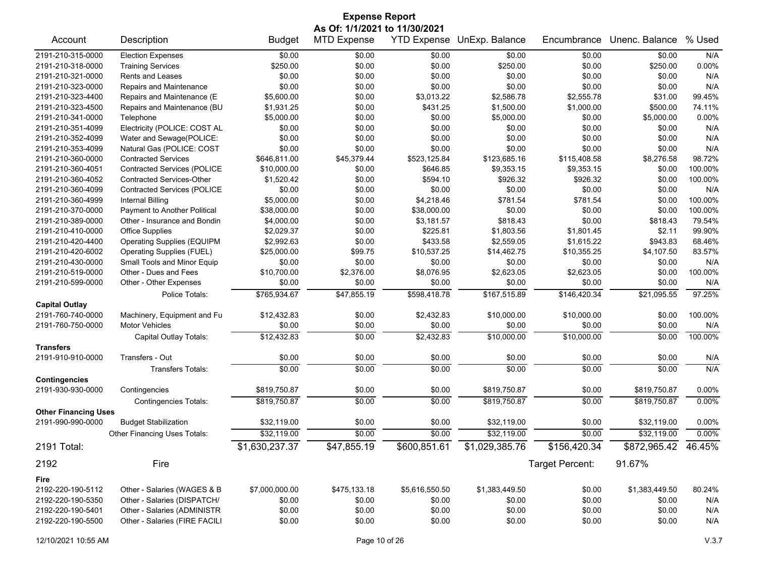| <b>Expense Report</b>                     |                                     |                |                               |                        |                |                 |                     |         |  |
|-------------------------------------------|-------------------------------------|----------------|-------------------------------|------------------------|----------------|-----------------|---------------------|---------|--|
|                                           |                                     |                | As Of: 1/1/2021 to 11/30/2021 |                        |                |                 |                     |         |  |
| Account                                   | Description                         | <b>Budget</b>  | <b>MTD Expense</b>            | <b>YTD Expense</b>     | UnExp. Balance | Encumbrance     | Unenc. Balance      | % Used  |  |
| 2191-210-315-0000                         | <b>Election Expenses</b>            | \$0.00         | \$0.00                        | \$0.00                 | \$0.00         | \$0.00          | \$0.00              | N/A     |  |
| 2191-210-318-0000                         | <b>Training Services</b>            | \$250.00       | \$0.00                        | \$0.00                 | \$250.00       | \$0.00          | \$250.00            | 0.00%   |  |
| 2191-210-321-0000                         | <b>Rents and Leases</b>             | \$0.00         | \$0.00                        | \$0.00                 | \$0.00         | \$0.00          | \$0.00              | N/A     |  |
| 2191-210-323-0000                         | Repairs and Maintenance             | \$0.00         | \$0.00                        | \$0.00                 | \$0.00         | \$0.00          | \$0.00              | N/A     |  |
| 2191-210-323-4400                         | Repairs and Maintenance (E          | \$5,600.00     | \$0.00                        | \$3,013.22             | \$2,586.78     | \$2,555.78      | \$31.00             | 99.45%  |  |
| 2191-210-323-4500                         | Repairs and Maintenance (BU         | \$1,931.25     | \$0.00                        | \$431.25               | \$1,500.00     | \$1,000.00      | \$500.00            | 74.11%  |  |
| 2191-210-341-0000                         | Telephone                           | \$5,000.00     | \$0.00                        | \$0.00                 | \$5,000.00     | \$0.00          | \$5,000.00          | 0.00%   |  |
| 2191-210-351-4099                         | Electricity (POLICE: COST AL        | \$0.00         | \$0.00                        | \$0.00                 | \$0.00         | \$0.00          | \$0.00              | N/A     |  |
| 2191-210-352-4099                         | Water and Sewage(POLICE:            | \$0.00         | \$0.00                        | \$0.00                 | \$0.00         | \$0.00          | \$0.00              | N/A     |  |
| 2191-210-353-4099                         | Natural Gas (POLICE: COST           | \$0.00         | \$0.00                        | \$0.00                 | \$0.00         | \$0.00          | \$0.00              | N/A     |  |
| 2191-210-360-0000                         | <b>Contracted Services</b>          | \$646,811.00   | \$45,379.44                   | \$523,125.84           | \$123,685.16   | \$115,408.58    | \$8,276.58          | 98.72%  |  |
| 2191-210-360-4051                         | <b>Contracted Services (POLICE</b>  | \$10,000.00    | \$0.00                        | \$646.85               | \$9,353.15     | \$9,353.15      | \$0.00              | 100.00% |  |
| 2191-210-360-4052                         | <b>Contracted Services-Other</b>    | \$1,520.42     | \$0.00                        | \$594.10               | \$926.32       | \$926.32        | \$0.00              | 100.00% |  |
| 2191-210-360-4099                         | <b>Contracted Services (POLICE</b>  | \$0.00         | \$0.00                        | \$0.00                 | \$0.00         | \$0.00          | \$0.00              | N/A     |  |
| 2191-210-360-4999                         | Internal Billing                    | \$5,000.00     | \$0.00                        | \$4,218.46             | \$781.54       | \$781.54        | \$0.00              | 100.00% |  |
| 2191-210-370-0000                         | Payment to Another Political        | \$38,000.00    | \$0.00                        | \$38,000.00            | \$0.00         | \$0.00          | \$0.00              | 100.00% |  |
| 2191-210-389-0000                         | Other - Insurance and Bondin        | \$4,000.00     | \$0.00                        | \$3,181.57             | \$818.43       | \$0.00          | \$818.43            | 79.54%  |  |
| 2191-210-410-0000                         | <b>Office Supplies</b>              | \$2,029.37     | \$0.00                        | \$225.81               | \$1,803.56     | \$1,801.45      | \$2.11              | 99.90%  |  |
| 2191-210-420-4400                         | <b>Operating Supplies (EQUIPM</b>   | \$2,992.63     | \$0.00                        | \$433.58               | \$2,559.05     | \$1,615.22      | \$943.83            | 68.46%  |  |
| 2191-210-420-6002                         | <b>Operating Supplies (FUEL)</b>    | \$25,000.00    | \$99.75                       | \$10,537.25            | \$14,462.75    | \$10,355.25     | \$4,107.50          | 83.57%  |  |
| 2191-210-430-0000                         | Small Tools and Minor Equip         | \$0.00         | \$0.00                        | \$0.00                 | \$0.00         | \$0.00          | \$0.00              | N/A     |  |
| 2191-210-519-0000                         | Other - Dues and Fees               | \$10,700.00    | \$2,376.00                    | \$8,076.95             | \$2,623.05     | \$2,623.05      | \$0.00              | 100.00% |  |
| 2191-210-599-0000                         | Other - Other Expenses              | \$0.00         | \$0.00                        | \$0.00                 | \$0.00         | \$0.00          | \$0.00              | N/A     |  |
|                                           | Police Totals:                      | \$765,934.67   | \$47,855.19                   | \$598,418.78           | \$167,515.89   | \$146,420.34    | \$21,095.55         | 97.25%  |  |
| <b>Capital Outlay</b>                     |                                     |                |                               |                        |                |                 |                     |         |  |
| 2191-760-740-0000                         | Machinery, Equipment and Fu         | \$12,432.83    | \$0.00                        | \$2,432.83             | \$10,000.00    | \$10,000.00     | \$0.00              | 100.00% |  |
| 2191-760-750-0000                         | <b>Motor Vehicles</b>               | \$0.00         | \$0.00                        | \$0.00                 | \$0.00         | \$0.00          | \$0.00              | N/A     |  |
|                                           | Capital Outlay Totals:              | \$12,432.83    | \$0.00                        | $\overline{$2,432.83}$ | \$10,000.00    | \$10,000.00     | \$0.00              | 100.00% |  |
| <b>Transfers</b>                          |                                     |                |                               |                        |                |                 |                     |         |  |
| 2191-910-910-0000                         | Transfers - Out                     | \$0.00         | \$0.00                        | \$0.00                 | \$0.00         | \$0.00          | \$0.00              | N/A     |  |
|                                           | <b>Transfers Totals:</b>            | \$0.00         | \$0.00                        | \$0.00                 | \$0.00         | \$0.00          | \$0.00              | N/A     |  |
| <b>Contingencies</b><br>2191-930-930-0000 | Contingencies                       | \$819,750.87   | \$0.00                        | \$0.00                 | \$819,750.87   | \$0.00          | \$819,750.87        | 0.00%   |  |
|                                           | <b>Contingencies Totals:</b>        | \$819,750.87   | \$0.00                        | \$0.00                 | \$819.750.87   | \$0.00          | \$819,750.87        | 0.00%   |  |
| <b>Other Financing Uses</b>               |                                     |                |                               |                        |                |                 |                     |         |  |
| 2191-990-990-0000                         | <b>Budget Stabilization</b>         | \$32,119.00    | \$0.00                        | \$0.00                 | \$32,119.00    | \$0.00          | \$32,119.00         | 0.00%   |  |
|                                           | <b>Other Financing Uses Totals:</b> | \$32,119.00    | \$0.00                        | \$0.00                 | \$32,119.00    | \$0.00          | \$32,119.00         | 0.00%   |  |
| 2191 Total:                               |                                     | \$1,630,237.37 | \$47,855.19                   | \$600,851.61           | \$1,029,385.76 | \$156,420.34    | \$872,965.42 46.45% |         |  |
| 2192                                      | Fire                                |                |                               |                        |                | Target Percent: | 91.67%              |         |  |
| Fire                                      |                                     |                |                               |                        |                |                 |                     |         |  |
| 2192-220-190-5112                         | Other - Salaries (WAGES & B         | \$7,000,000.00 | \$475,133.18                  | \$5,616,550.50         | \$1,383,449.50 | \$0.00          | \$1,383,449.50      | 80.24%  |  |
| 2192-220-190-5350                         | Other - Salaries (DISPATCH/         | \$0.00         | \$0.00                        | \$0.00                 | \$0.00         | \$0.00          | \$0.00              | N/A     |  |
| 2192-220-190-5401                         | Other - Salaries (ADMINISTR         | \$0.00         | \$0.00                        | \$0.00                 | \$0.00         | \$0.00          | \$0.00              | N/A     |  |
| 2192-220-190-5500                         | Other - Salaries (FIRE FACILI       | \$0.00         | \$0.00                        | \$0.00                 | \$0.00         | \$0.00          | \$0.00              | N/A     |  |
|                                           |                                     |                |                               |                        |                |                 |                     |         |  |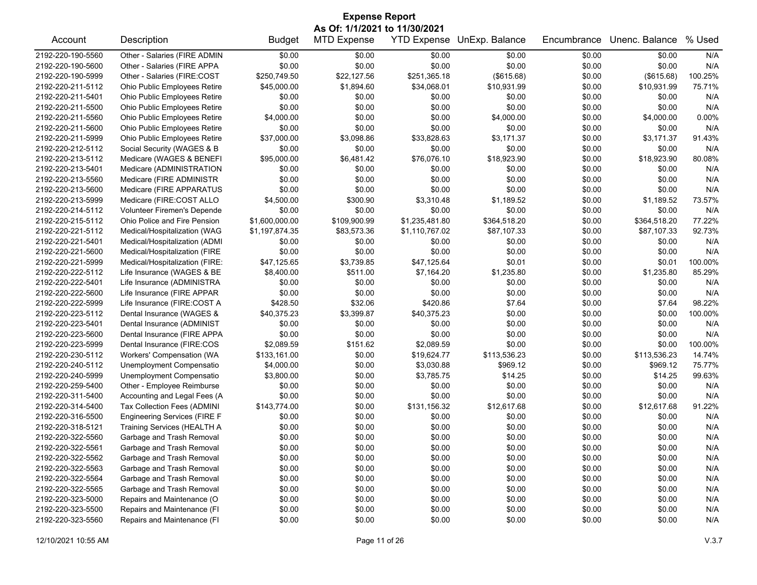| <b>Expense Report</b>         |                                     |                |                    |                |                            |                  |                |         |  |
|-------------------------------|-------------------------------------|----------------|--------------------|----------------|----------------------------|------------------|----------------|---------|--|
| As Of: 1/1/2021 to 11/30/2021 |                                     |                |                    |                |                            |                  |                |         |  |
| Account                       | Description                         | <b>Budget</b>  | <b>MTD Expense</b> |                | YTD Expense UnExp. Balance | Encumbrance      | Unenc. Balance | % Used  |  |
| 2192-220-190-5560             | Other - Salaries (FIRE ADMIN        | \$0.00         | \$0.00             | \$0.00         | \$0.00                     | \$0.00           | \$0.00         | N/A     |  |
| 2192-220-190-5600             | Other - Salaries (FIRE APPA         | \$0.00         | \$0.00             | \$0.00         | \$0.00                     | \$0.00           | \$0.00         | N/A     |  |
| 2192-220-190-5999             | Other - Salaries (FIRE:COST         | \$250,749.50   | \$22,127.56        | \$251,365.18   | (\$615.68)                 | \$0.00           | (\$615.68)     | 100.25% |  |
| 2192-220-211-5112             | Ohio Public Employees Retire        | \$45,000.00    | \$1,894.60         | \$34,068.01    | \$10,931.99                | \$0.00           | \$10,931.99    | 75.71%  |  |
| 2192-220-211-5401             | Ohio Public Employees Retire        | \$0.00         | \$0.00             | \$0.00         | \$0.00                     | \$0.00           | \$0.00         | N/A     |  |
| 2192-220-211-5500             | Ohio Public Employees Retire        | \$0.00         | \$0.00             | \$0.00         | \$0.00                     | \$0.00           | \$0.00         | N/A     |  |
| 2192-220-211-5560             | Ohio Public Employees Retire        | \$4,000.00     | \$0.00             | \$0.00         | \$4,000.00                 | \$0.00           | \$4,000.00     | 0.00%   |  |
| 2192-220-211-5600             | Ohio Public Employees Retire        | \$0.00         | \$0.00             | \$0.00         | \$0.00                     | \$0.00           | \$0.00         | N/A     |  |
| 2192-220-211-5999             | Ohio Public Employees Retire        | \$37,000.00    | \$3,098.86         | \$33,828.63    | \$3,171.37                 | \$0.00           | \$3,171.37     | 91.43%  |  |
| 2192-220-212-5112             | Social Security (WAGES & B          | \$0.00         | \$0.00             | \$0.00         | \$0.00                     | \$0.00           | \$0.00         | N/A     |  |
| 2192-220-213-5112             | Medicare (WAGES & BENEFI            | \$95,000.00    | \$6,481.42         | \$76,076.10    | \$18,923.90                | \$0.00           | \$18,923.90    | 80.08%  |  |
| 2192-220-213-5401             | Medicare (ADMINISTRATION            | \$0.00         | \$0.00             | \$0.00         | \$0.00                     | \$0.00           | \$0.00         | N/A     |  |
| 2192-220-213-5560             | Medicare (FIRE ADMINISTR            | \$0.00         | \$0.00             | \$0.00         | \$0.00                     | \$0.00           | \$0.00         | N/A     |  |
| 2192-220-213-5600             | Medicare (FIRE APPARATUS            | \$0.00         | \$0.00             | \$0.00         | \$0.00                     | \$0.00           | \$0.00         | N/A     |  |
| 2192-220-213-5999             | Medicare (FIRE:COST ALLO            | \$4,500.00     | \$300.90           | \$3,310.48     | \$1,189.52                 | \$0.00           | \$1,189.52     | 73.57%  |  |
| 2192-220-214-5112             | Volunteer Firemen's Depende         | \$0.00         | \$0.00             | \$0.00         | \$0.00                     | \$0.00           | \$0.00         | N/A     |  |
| 2192-220-215-5112             | Ohio Police and Fire Pension        | \$1,600,000.00 | \$109,900.99       | \$1,235,481.80 | \$364,518.20               | \$0.00           | \$364,518.20   | 77.22%  |  |
| 2192-220-221-5112             | Medical/Hospitalization (WAG        | \$1,197,874.35 | \$83,573.36        | \$1,110,767.02 | \$87,107.33                | \$0.00           | \$87,107.33    | 92.73%  |  |
| 2192-220-221-5401             | Medical/Hospitalization (ADMI       | \$0.00         | \$0.00             | \$0.00         | \$0.00                     | \$0.00           | \$0.00         | N/A     |  |
| 2192-220-221-5600             | Medical/Hospitalization (FIRE       | \$0.00         | \$0.00             | \$0.00         | \$0.00                     | \$0.00           | \$0.00         | N/A     |  |
| 2192-220-221-5999             | Medical/Hospitalization (FIRE:      | \$47,125.65    | \$3,739.85         | \$47,125.64    | \$0.01                     | \$0.00           | \$0.01         | 100.00% |  |
| 2192-220-222-5112             | Life Insurance (WAGES & BE          | \$8,400.00     | \$511.00           | \$7,164.20     | \$1,235.80                 | \$0.00           | \$1,235.80     | 85.29%  |  |
| 2192-220-222-5401             | Life Insurance (ADMINISTRA          | \$0.00         | \$0.00             | \$0.00         | \$0.00                     | \$0.00           | \$0.00         | N/A     |  |
| 2192-220-222-5600             | Life Insurance (FIRE APPAR          | \$0.00         | \$0.00             | \$0.00         | \$0.00                     | \$0.00           | \$0.00         | N/A     |  |
| 2192-220-222-5999             | Life Insurance (FIRE:COST A         | \$428.50       | \$32.06            | \$420.86       | \$7.64                     | \$0.00           | \$7.64         | 98.22%  |  |
| 2192-220-223-5112             | Dental Insurance (WAGES &           | \$40,375.23    | \$3,399.87         | \$40,375.23    | \$0.00                     | \$0.00           | \$0.00         | 100.00% |  |
| 2192-220-223-5401             | Dental Insurance (ADMINIST          | \$0.00         | \$0.00             | \$0.00         | \$0.00                     | \$0.00           | \$0.00         | N/A     |  |
| 2192-220-223-5600             | Dental Insurance (FIRE APPA         | \$0.00         | \$0.00             | \$0.00         | \$0.00                     | \$0.00           | \$0.00         | N/A     |  |
| 2192-220-223-5999             | Dental Insurance (FIRE:COS          | \$2,089.59     | \$151.62           | \$2,089.59     | \$0.00                     | \$0.00           | \$0.00         | 100.00% |  |
| 2192-220-230-5112             | Workers' Compensation (WA           | \$133,161.00   | \$0.00             | \$19,624.77    | \$113,536.23               |                  | \$113,536.23   | 14.74%  |  |
| 2192-220-240-5112             |                                     | \$4,000.00     | \$0.00             | \$3,030.88     | \$969.12                   | \$0.00<br>\$0.00 | \$969.12       | 75.77%  |  |
|                               | Unemployment Compensatio            |                |                    |                |                            |                  |                | 99.63%  |  |
| 2192-220-240-5999             | Unemployment Compensatio            | \$3,800.00     | \$0.00             | \$3,785.75     | \$14.25                    | \$0.00           | \$14.25        |         |  |
| 2192-220-259-5400             | Other - Employee Reimburse          | \$0.00         | \$0.00             | \$0.00         | \$0.00                     | \$0.00           | \$0.00         | N/A     |  |
| 2192-220-311-5400             | Accounting and Legal Fees (A        | \$0.00         | \$0.00             | \$0.00         | \$0.00                     | \$0.00           | \$0.00         | N/A     |  |
| 2192-220-314-5400             | Tax Collection Fees (ADMINI         | \$143,774.00   | \$0.00             | \$131,156.32   | \$12,617.68                | \$0.00           | \$12,617.68    | 91.22%  |  |
| 2192-220-316-5500             | <b>Engineering Services (FIRE F</b> | \$0.00         | \$0.00             | \$0.00         | \$0.00                     | \$0.00           | \$0.00         | N/A     |  |
| 2192-220-318-5121             | Training Services (HEALTH A         | \$0.00         | \$0.00             | \$0.00         | \$0.00                     | \$0.00           | \$0.00         | N/A     |  |
| 2192-220-322-5560             | Garbage and Trash Removal           | \$0.00         | \$0.00             | \$0.00         | \$0.00                     | \$0.00           | \$0.00         | N/A     |  |
| 2192-220-322-5561             | Garbage and Trash Removal           | \$0.00         | \$0.00             | \$0.00         | \$0.00                     | \$0.00           | \$0.00         | N/A     |  |
| 2192-220-322-5562             | Garbage and Trash Removal           | \$0.00         | \$0.00             | \$0.00         | \$0.00                     | \$0.00           | \$0.00         | N/A     |  |
| 2192-220-322-5563             | Garbage and Trash Removal           | \$0.00         | \$0.00             | \$0.00         | \$0.00                     | \$0.00           | \$0.00         | N/A     |  |
| 2192-220-322-5564             | Garbage and Trash Removal           | \$0.00         | \$0.00             | \$0.00         | \$0.00                     | \$0.00           | \$0.00         | N/A     |  |
| 2192-220-322-5565             | Garbage and Trash Removal           | \$0.00         | \$0.00             | \$0.00         | \$0.00                     | \$0.00           | \$0.00         | N/A     |  |
| 2192-220-323-5000             | Repairs and Maintenance (O          | \$0.00         | \$0.00             | \$0.00         | \$0.00                     | \$0.00           | \$0.00         | N/A     |  |
| 2192-220-323-5500             | Repairs and Maintenance (FI         | \$0.00         | \$0.00             | \$0.00         | \$0.00                     | \$0.00           | \$0.00         | N/A     |  |
| 2192-220-323-5560             | Repairs and Maintenance (FI         | \$0.00         | \$0.00             | \$0.00         | \$0.00                     | \$0.00           | \$0.00         | N/A     |  |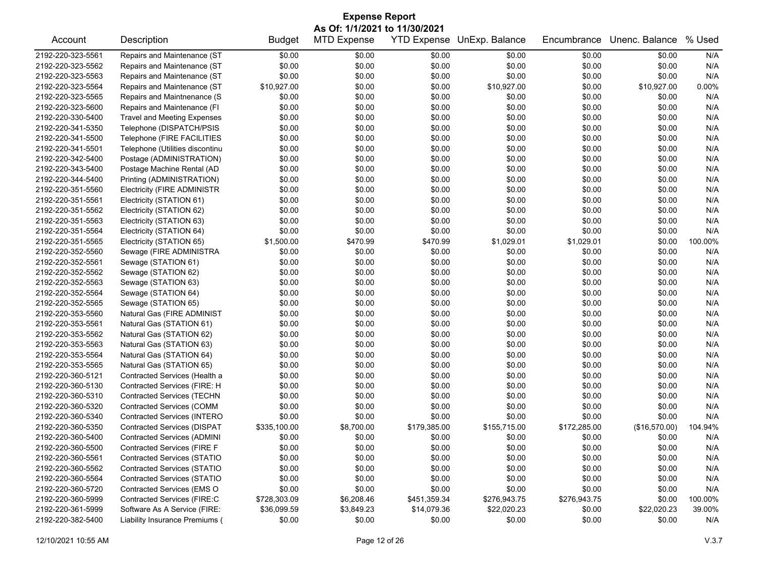| <b>Expense Report</b>         |                                    |               |                    |                    |                |              |                |         |  |
|-------------------------------|------------------------------------|---------------|--------------------|--------------------|----------------|--------------|----------------|---------|--|
| As Of: 1/1/2021 to 11/30/2021 |                                    |               |                    |                    |                |              |                |         |  |
| Account                       | Description                        | <b>Budget</b> | <b>MTD Expense</b> | <b>YTD Expense</b> | UnExp. Balance | Encumbrance  | Unenc. Balance | % Used  |  |
| 2192-220-323-5561             | Repairs and Maintenance (ST        | \$0.00        | \$0.00             | \$0.00             | \$0.00         | \$0.00       | \$0.00         | N/A     |  |
| 2192-220-323-5562             | Repairs and Maintenance (ST        | \$0.00        | \$0.00             | \$0.00             | \$0.00         | \$0.00       | \$0.00         | N/A     |  |
| 2192-220-323-5563             | Repairs and Maintenance (ST        | \$0.00        | \$0.00             | \$0.00             | \$0.00         | \$0.00       | \$0.00         | N/A     |  |
| 2192-220-323-5564             | Repairs and Maintenance (ST        | \$10,927.00   | \$0.00             | \$0.00             | \$10,927.00    | \$0.00       | \$10,927.00    | 0.00%   |  |
| 2192-220-323-5565             | Repairs and Maintnenance (S        | \$0.00        | \$0.00             | \$0.00             | \$0.00         | \$0.00       | \$0.00         | N/A     |  |
| 2192-220-323-5600             | Repairs and Maintenance (FI        | \$0.00        | \$0.00             | \$0.00             | \$0.00         | \$0.00       | \$0.00         | N/A     |  |
| 2192-220-330-5400             | <b>Travel and Meeting Expenses</b> | \$0.00        | \$0.00             | \$0.00             | \$0.00         | \$0.00       | \$0.00         | N/A     |  |
| 2192-220-341-5350             | Telephone (DISPATCH/PSIS           | \$0.00        | \$0.00             | \$0.00             | \$0.00         | \$0.00       | \$0.00         | N/A     |  |
| 2192-220-341-5500             | Telephone (FIRE FACILITIES         | \$0.00        | \$0.00             | \$0.00             | \$0.00         | \$0.00       | \$0.00         | N/A     |  |
| 2192-220-341-5501             | Telephone (Utilities discontinu    | \$0.00        | \$0.00             | \$0.00             | \$0.00         | \$0.00       | \$0.00         | N/A     |  |
| 2192-220-342-5400             | Postage (ADMINISTRATION)           | \$0.00        | \$0.00             | \$0.00             | \$0.00         | \$0.00       | \$0.00         | N/A     |  |
| 2192-220-343-5400             | Postage Machine Rental (AD         | \$0.00        | \$0.00             | \$0.00             | \$0.00         | \$0.00       | \$0.00         | N/A     |  |
| 2192-220-344-5400             | Printing (ADMINISTRATION)          | \$0.00        | \$0.00             | \$0.00             | \$0.00         | \$0.00       | \$0.00         | N/A     |  |
| 2192-220-351-5560             | <b>Electricity (FIRE ADMINISTR</b> | \$0.00        | \$0.00             | \$0.00             | \$0.00         | \$0.00       | \$0.00         | N/A     |  |
| 2192-220-351-5561             | Electricity (STATION 61)           | \$0.00        | \$0.00             | \$0.00             | \$0.00         | \$0.00       | \$0.00         | N/A     |  |
| 2192-220-351-5562             | Electricity (STATION 62)           | \$0.00        | \$0.00             | \$0.00             | \$0.00         | \$0.00       | \$0.00         | N/A     |  |
| 2192-220-351-5563             | Electricity (STATION 63)           | \$0.00        | \$0.00             | \$0.00             | \$0.00         | \$0.00       | \$0.00         | N/A     |  |
| 2192-220-351-5564             | Electricity (STATION 64)           | \$0.00        | \$0.00             | \$0.00             | \$0.00         | \$0.00       | \$0.00         | N/A     |  |
| 2192-220-351-5565             | Electricity (STATION 65)           | \$1,500.00    | \$470.99           | \$470.99           | \$1,029.01     | \$1,029.01   | \$0.00         | 100.00% |  |
| 2192-220-352-5560             | Sewage (FIRE ADMINISTRA            | \$0.00        | \$0.00             | \$0.00             | \$0.00         | \$0.00       | \$0.00         | N/A     |  |
| 2192-220-352-5561             | Sewage (STATION 61)                | \$0.00        | \$0.00             | \$0.00             | \$0.00         | \$0.00       | \$0.00         | N/A     |  |
| 2192-220-352-5562             | Sewage (STATION 62)                | \$0.00        | \$0.00             | \$0.00             | \$0.00         | \$0.00       | \$0.00         | N/A     |  |
| 2192-220-352-5563             | Sewage (STATION 63)                | \$0.00        | \$0.00             | \$0.00             | \$0.00         | \$0.00       | \$0.00         | N/A     |  |
| 2192-220-352-5564             | Sewage (STATION 64)                | \$0.00        | \$0.00             | \$0.00             | \$0.00         | \$0.00       | \$0.00         | N/A     |  |
| 2192-220-352-5565             | Sewage (STATION 65)                | \$0.00        | \$0.00             | \$0.00             | \$0.00         | \$0.00       | \$0.00         | N/A     |  |
| 2192-220-353-5560             | Natural Gas (FIRE ADMINIST         | \$0.00        | \$0.00             | \$0.00             | \$0.00         | \$0.00       | \$0.00         | N/A     |  |
| 2192-220-353-5561             | Natural Gas (STATION 61)           | \$0.00        | \$0.00             | \$0.00             | \$0.00         | \$0.00       | \$0.00         | N/A     |  |
| 2192-220-353-5562             | Natural Gas (STATION 62)           | \$0.00        | \$0.00             | \$0.00             | \$0.00         | \$0.00       | \$0.00         | N/A     |  |
| 2192-220-353-5563             | Natural Gas (STATION 63)           | \$0.00        | \$0.00             | \$0.00             | \$0.00         | \$0.00       | \$0.00         | N/A     |  |
| 2192-220-353-5564             | Natural Gas (STATION 64)           | \$0.00        | \$0.00             | \$0.00             | \$0.00         | \$0.00       | \$0.00         | N/A     |  |
| 2192-220-353-5565             | Natural Gas (STATION 65)           | \$0.00        | \$0.00             | \$0.00             | \$0.00         | \$0.00       | \$0.00         | N/A     |  |
| 2192-220-360-5121             | Contracted Services (Health a      | \$0.00        | \$0.00             | \$0.00             | \$0.00         | \$0.00       | \$0.00         | N/A     |  |
| 2192-220-360-5130             | Contracted Services (FIRE: H       | \$0.00        | \$0.00             | \$0.00             | \$0.00         | \$0.00       | \$0.00         | N/A     |  |
| 2192-220-360-5310             | <b>Contracted Services (TECHN</b>  | \$0.00        | \$0.00             | \$0.00             | \$0.00         | \$0.00       | \$0.00         | N/A     |  |
| 2192-220-360-5320             | <b>Contracted Services (COMM</b>   | \$0.00        | \$0.00             | \$0.00             | \$0.00         | \$0.00       | \$0.00         | N/A     |  |
| 2192-220-360-5340             | Contracted Services (INTERO        | \$0.00        | \$0.00             | \$0.00             | \$0.00         | \$0.00       | \$0.00         | N/A     |  |
| 2192-220-360-5350             | <b>Contracted Services (DISPAT</b> | \$335,100.00  | \$8,700.00         | \$179,385.00       | \$155,715.00   | \$172,285.00 | (\$16,570.00)  | 104.94% |  |
| 2192-220-360-5400             | <b>Contracted Services (ADMINI</b> | \$0.00        | \$0.00             | \$0.00             | \$0.00         | \$0.00       | \$0.00         | N/A     |  |
| 2192-220-360-5500             | <b>Contracted Services (FIRE F</b> | \$0.00        | \$0.00             | \$0.00             | \$0.00         | \$0.00       | \$0.00         | N/A     |  |
| 2192-220-360-5561             | <b>Contracted Services (STATIO</b> | \$0.00        | \$0.00             | \$0.00             | \$0.00         | \$0.00       | \$0.00         | N/A     |  |
| 2192-220-360-5562             | <b>Contracted Services (STATIO</b> | \$0.00        | \$0.00             | \$0.00             | \$0.00         | \$0.00       | \$0.00         | N/A     |  |
| 2192-220-360-5564             | Contracted Services (STATIO        | \$0.00        | \$0.00             | \$0.00             | \$0.00         | \$0.00       | \$0.00         | N/A     |  |
| 2192-220-360-5720             | Contracted Services (EMS O         | \$0.00        | \$0.00             | \$0.00             | \$0.00         | \$0.00       | \$0.00         | N/A     |  |
| 2192-220-360-5999             | Contracted Services (FIRE:C        | \$728,303.09  | \$6,208.46         | \$451,359.34       | \$276,943.75   | \$276,943.75 | \$0.00         | 100.00% |  |
| 2192-220-361-5999             | Software As A Service (FIRE:       | \$36,099.59   | \$3,849.23         | \$14,079.36        | \$22,020.23    | \$0.00       | \$22,020.23    | 39.00%  |  |
| 2192-220-382-5400             | Liability Insurance Premiums (     | \$0.00        | \$0.00             | \$0.00             | \$0.00         | \$0.00       | \$0.00         | N/A     |  |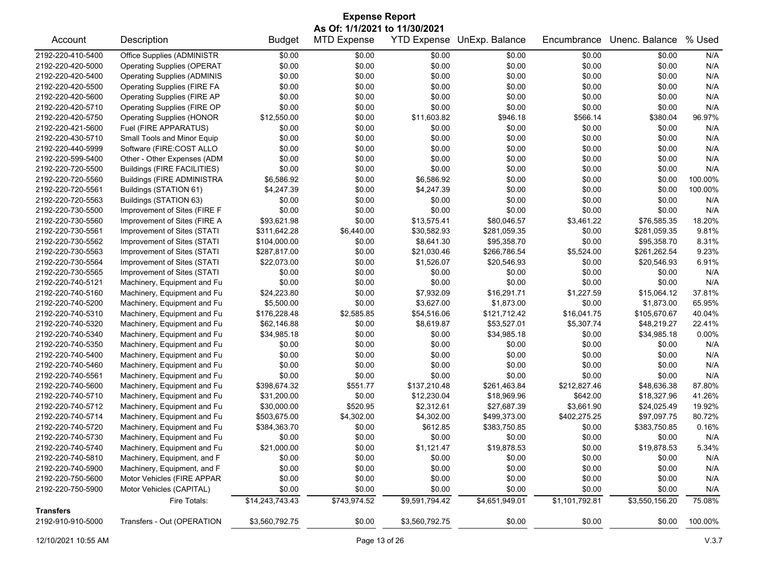| <b>Expense Report</b>                  |                                                            |                 |                    |                    |                             |                |                            |                  |  |
|----------------------------------------|------------------------------------------------------------|-----------------|--------------------|--------------------|-----------------------------|----------------|----------------------------|------------------|--|
| As Of: 1/1/2021 to 11/30/2021          |                                                            |                 |                    |                    |                             |                |                            |                  |  |
| Account                                | Description                                                | <b>Budget</b>   | <b>MTD Expense</b> | <b>YTD Expense</b> | UnExp. Balance              | Encumbrance    | Unenc. Balance             | % Used           |  |
| 2192-220-410-5400                      | Office Supplies (ADMINISTR                                 | \$0.00          | \$0.00             | \$0.00             | \$0.00                      | \$0.00         | \$0.00                     | N/A              |  |
| 2192-220-420-5000                      | <b>Operating Supplies (OPERAT</b>                          | \$0.00          | \$0.00             | \$0.00             | \$0.00                      | \$0.00         | \$0.00                     | N/A              |  |
| 2192-220-420-5400                      | <b>Operating Supplies (ADMINIS</b>                         | \$0.00          | \$0.00             | \$0.00             | \$0.00                      | \$0.00         | \$0.00                     | N/A              |  |
| 2192-220-420-5500                      | <b>Operating Supplies (FIRE FA</b>                         | \$0.00          | \$0.00             | \$0.00             | \$0.00                      | \$0.00         | \$0.00                     | N/A              |  |
| 2192-220-420-5600                      | <b>Operating Supplies (FIRE AP</b>                         | \$0.00          | \$0.00             | \$0.00             | \$0.00                      | \$0.00         | \$0.00                     | N/A              |  |
| 2192-220-420-5710                      | Operating Supplies (FIRE OP                                | \$0.00          | \$0.00             | \$0.00             | \$0.00                      | \$0.00         | \$0.00                     | N/A              |  |
| 2192-220-420-5750                      | <b>Operating Supplies (HONOR</b>                           | \$12,550.00     | \$0.00             | \$11,603.82        | \$946.18                    | \$566.14       | \$380.04                   | 96.97%           |  |
| 2192-220-421-5600                      | Fuel (FIRE APPARATUS)                                      | \$0.00          | \$0.00             | \$0.00             | \$0.00                      | \$0.00         | \$0.00                     | N/A              |  |
| 2192-220-430-5710                      | Small Tools and Minor Equip                                | \$0.00          | \$0.00             | \$0.00             | \$0.00                      | \$0.00         | \$0.00                     | N/A              |  |
| 2192-220-440-5999                      | Software (FIRE:COST ALLO                                   | \$0.00          | \$0.00             | \$0.00             | \$0.00                      | \$0.00         | \$0.00                     | N/A              |  |
| 2192-220-599-5400                      | Other - Other Expenses (ADM                                | \$0.00          | \$0.00             | \$0.00             | \$0.00                      | \$0.00         | \$0.00                     | N/A              |  |
| 2192-220-720-5500                      | Buildings (FIRE FACILITIES)                                | \$0.00          | \$0.00             | \$0.00             | \$0.00                      | \$0.00         | \$0.00                     | N/A              |  |
| 2192-220-720-5560                      | <b>Buildings (FIRE ADMINISTRA</b>                          | \$6,586.92      | \$0.00             | \$6,586.92         | \$0.00                      | \$0.00         | \$0.00                     | 100.00%          |  |
| 2192-220-720-5561                      | Buildings (STATION 61)                                     | \$4,247.39      | \$0.00             | \$4,247.39         | \$0.00                      | \$0.00         | \$0.00                     | 100.00%          |  |
| 2192-220-720-5563                      | Buildings (STATION 63)                                     | \$0.00          | \$0.00             | \$0.00             | \$0.00                      | \$0.00         | \$0.00                     | N/A              |  |
| 2192-220-730-5500                      | Improvement of Sites (FIRE F                               | \$0.00          | \$0.00             | \$0.00             | \$0.00                      | \$0.00         | \$0.00                     | N/A              |  |
| 2192-220-730-5560                      | Improvement of Sites (FIRE A                               | \$93,621.98     | \$0.00             | \$13,575.41        | \$80,046.57                 | \$3,461.22     | \$76,585.35                | 18.20%           |  |
| 2192-220-730-5561                      | Improvement of Sites (STATI                                | \$311,642.28    | \$6,440.00         | \$30,582.93        | \$281,059.35                | \$0.00         | \$281,059.35               | 9.81%            |  |
| 2192-220-730-5562                      | Improvement of Sites (STATI                                | \$104,000.00    | \$0.00             | \$8,641.30         | \$95,358.70                 | \$0.00         | \$95,358.70                | 8.31%            |  |
| 2192-220-730-5563                      | Improvement of Sites (STATI                                | \$287,817.00    | \$0.00             | \$21,030.46        | \$266,786.54                | \$5,524.00     | \$261,262.54               | 9.23%            |  |
| 2192-220-730-5564                      | Improvement of Sites (STATI                                | \$22,073.00     | \$0.00             | \$1,526.07         | \$20,546.93                 | \$0.00         | \$20,546.93                | 6.91%            |  |
| 2192-220-730-5565                      | Improvement of Sites (STATI                                | \$0.00          | \$0.00             | \$0.00             | \$0.00                      | \$0.00         | \$0.00                     | N/A              |  |
| 2192-220-740-5121                      | Machinery, Equipment and Fu                                | \$0.00          | \$0.00             | \$0.00             | \$0.00                      | \$0.00         | \$0.00                     | N/A              |  |
| 2192-220-740-5160                      | Machinery, Equipment and Fu                                | \$24,223.80     | \$0.00             | \$7,932.09         | \$16,291.71                 | \$1,227.59     | \$15,064.12                | 37.81%           |  |
| 2192-220-740-5200                      | Machinery, Equipment and Fu                                | \$5,500.00      | \$0.00             | \$3,627.00         | \$1,873.00                  | \$0.00         | \$1,873.00                 | 65.95%           |  |
| 2192-220-740-5310                      | Machinery, Equipment and Fu                                | \$176,228.48    | \$2,585.85         | \$54,516.06        | \$121,712.42                | \$16,041.75    | \$105,670.67               | 40.04%           |  |
| 2192-220-740-5320                      | Machinery, Equipment and Fu                                | \$62,146.88     | \$0.00             | \$8,619.87         | \$53,527.01                 | \$5,307.74     | \$48,219.27                | 22.41%           |  |
| 2192-220-740-5340                      | Machinery, Equipment and Fu                                | \$34,985.18     | \$0.00             | \$0.00             | \$34,985.18                 | \$0.00         | \$34,985.18                | 0.00%            |  |
| 2192-220-740-5350                      | Machinery, Equipment and Fu                                | \$0.00          | \$0.00             | \$0.00             | \$0.00                      | \$0.00         | \$0.00                     | N/A              |  |
| 2192-220-740-5400                      | Machinery, Equipment and Fu                                | \$0.00          | \$0.00             | \$0.00             | \$0.00                      | \$0.00         | \$0.00                     | N/A              |  |
| 2192-220-740-5460                      | Machinery, Equipment and Fu                                | \$0.00          | \$0.00             | \$0.00             | \$0.00                      | \$0.00         | \$0.00                     | N/A              |  |
| 2192-220-740-5561                      |                                                            | \$0.00          | \$0.00             | \$0.00             | \$0.00                      | \$0.00         | \$0.00                     | N/A              |  |
| 2192-220-740-5600                      | Machinery, Equipment and Fu<br>Machinery, Equipment and Fu | \$398,674.32    | \$551.77           | \$137,210.48       | \$261,463.84                | \$212,827.46   | \$48,636.38                | 87.80%           |  |
| 2192-220-740-5710                      |                                                            | \$31,200.00     | \$0.00             | \$12,230.04        | \$18,969.96                 | \$642.00       | \$18,327.96                | 41.26%           |  |
|                                        | Machinery, Equipment and Fu                                |                 |                    |                    |                             |                |                            |                  |  |
| 2192-220-740-5712<br>2192-220-740-5714 | Machinery, Equipment and Fu                                | \$30,000.00     | \$520.95           | \$2,312.61         | \$27,687.39<br>\$499,373.00 | \$3,661.90     | \$24,025.49<br>\$97,097.75 | 19.92%<br>80.72% |  |
|                                        | Machinery, Equipment and Fu                                | \$503,675.00    | \$4,302.00         | \$4,302.00         | \$383,750.85                | \$402,275.25   |                            |                  |  |
| 2192-220-740-5720                      | Machinery, Equipment and Fu                                | \$384,363.70    | \$0.00             | \$612.85           |                             | \$0.00         | \$383,750.85               | 0.16%            |  |
| 2192-220-740-5730                      | Machinery, Equipment and Fu                                | \$0.00          | \$0.00             | \$0.00             | \$0.00                      | \$0.00         | \$0.00                     | N/A              |  |
| 2192-220-740-5740                      | Machinery, Equipment and Fu                                | \$21,000.00     | \$0.00             | \$1,121.47         | \$19,878.53                 | \$0.00         | \$19,878.53                | 5.34%            |  |
| 2192-220-740-5810                      | Machinery, Equipment, and F                                | \$0.00          | \$0.00             | \$0.00             | \$0.00                      | \$0.00         | \$0.00                     | N/A              |  |
| 2192-220-740-5900                      | Machinery, Equipment, and F                                | \$0.00          | \$0.00             | \$0.00             | \$0.00                      | \$0.00         | \$0.00                     | N/A              |  |
| 2192-220-750-5600                      | Motor Vehicles (FIRE APPAR                                 | \$0.00          | \$0.00             | \$0.00             | \$0.00                      | \$0.00         | \$0.00                     | N/A              |  |
| 2192-220-750-5900                      | Motor Vehicles (CAPITAL)                                   | \$0.00          | \$0.00             | \$0.00             | \$0.00                      | \$0.00         | \$0.00                     | N/A              |  |
|                                        | Fire Totals:                                               | \$14,243,743.43 | \$743,974.52       | \$9,591,794.42     | \$4,651,949.01              | \$1,101,792.81 | \$3,550,156.20             | 75.08%           |  |
| <b>Transfers</b><br>2192-910-910-5000  | Transfers - Out (OPERATION                                 | \$3,560,792.75  | \$0.00             | \$3,560,792.75     | \$0.00                      | \$0.00         | \$0.00                     | 100.00%          |  |
|                                        |                                                            |                 |                    |                    |                             |                |                            |                  |  |

12/10/2021 10:55 AM Page 13 of 26 V.3.7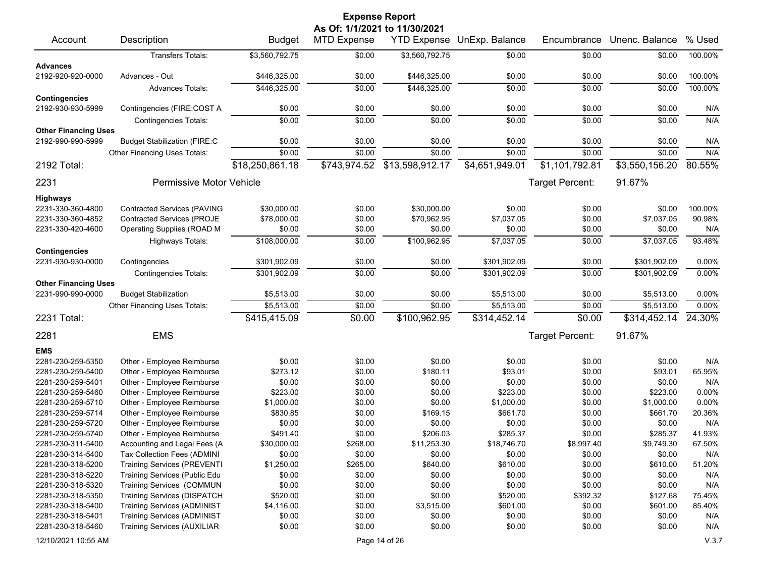| <b>Expense Report</b><br>As Of: 1/1/2021 to 11/30/2021 |                                                                   |                      |                    |                      |                    |                  |                    |               |
|--------------------------------------------------------|-------------------------------------------------------------------|----------------------|--------------------|----------------------|--------------------|------------------|--------------------|---------------|
| Account                                                | Description                                                       | <b>Budget</b>        | <b>MTD Expense</b> | <b>YTD Expense</b>   | UnExp. Balance     | Encumbrance      | Unenc. Balance     | % Used        |
|                                                        | Transfers Totals:                                                 | \$3,560,792.75       | \$0.00             | \$3,560,792.75       | \$0.00             | \$0.00           | \$0.00             | 100.00%       |
| <b>Advances</b>                                        |                                                                   |                      |                    |                      |                    |                  |                    |               |
| 2192-920-920-0000                                      | Advances - Out                                                    | \$446,325.00         | \$0.00             | \$446,325.00         | \$0.00             | \$0.00           | \$0.00             | 100.00%       |
|                                                        | <b>Advances Totals:</b>                                           | \$446,325.00         | \$0.00             | \$446,325.00         | \$0.00             | \$0.00           | \$0.00             | 100.00%       |
| <b>Contingencies</b>                                   |                                                                   |                      |                    |                      |                    |                  |                    |               |
| 2192-930-930-5999                                      | Contingencies (FIRE:COST A                                        | \$0.00               | \$0.00             | \$0.00               | \$0.00             | \$0.00           | \$0.00             | N/A           |
|                                                        | <b>Contingencies Totals:</b>                                      | \$0.00               | \$0.00             | \$0.00               | \$0.00             | \$0.00           | \$0.00             | N/A           |
| <b>Other Financing Uses</b>                            |                                                                   |                      |                    |                      |                    |                  |                    |               |
| 2192-990-990-5999                                      | <b>Budget Stabilization (FIRE:C</b>                               | \$0.00               | \$0.00             | \$0.00               | \$0.00             | \$0.00           | \$0.00             | N/A           |
|                                                        | Other Financing Uses Totals:                                      | \$0.00               | \$0.00             | \$0.00               | \$0.00             | \$0.00           | \$0.00             | N/A           |
| 2192 Total:                                            |                                                                   | \$18,250,861.18      | \$743,974.52       | \$13,598,912.17      | \$4,651,949.01     | \$1,101,792.81   | \$3,550,156.20     | 80.55%        |
| 2231                                                   | Permissive Motor Vehicle                                          |                      |                    |                      |                    | Target Percent:  | 91.67%             |               |
| <b>Highways</b>                                        |                                                                   |                      |                    |                      |                    |                  |                    |               |
| 2231-330-360-4800                                      | <b>Contracted Services (PAVING</b>                                | \$30,000.00          | \$0.00             | \$30,000.00          | \$0.00             | \$0.00           | \$0.00             | 100.00%       |
| 2231-330-360-4852                                      | <b>Contracted Services (PROJE</b>                                 | \$78,000.00          | \$0.00             | \$70,962.95          | \$7,037.05         | \$0.00           | \$7,037.05         | 90.98%        |
| 2231-330-420-4600                                      | Operating Supplies (ROAD M                                        | \$0.00               | \$0.00             | \$0.00               | \$0.00             | \$0.00           | \$0.00             | N/A           |
|                                                        | Highways Totals:                                                  | \$108,000.00         | \$0.00             | \$100,962.95         | \$7,037.05         | \$0.00           | \$7,037.05         | 93.48%        |
| <b>Contingencies</b>                                   |                                                                   |                      |                    |                      |                    |                  |                    |               |
| 2231-930-930-0000                                      | Contingencies                                                     | \$301,902.09         | \$0.00             | \$0.00               | \$301,902.09       | \$0.00           | \$301,902.09       | 0.00%         |
|                                                        | <b>Contingencies Totals:</b>                                      | \$301,902.09         | \$0.00             | \$0.00               | \$301,902.09       | \$0.00           | \$301.902.09       | 0.00%         |
| <b>Other Financing Uses</b>                            |                                                                   |                      |                    |                      |                    |                  |                    |               |
| 2231-990-990-0000                                      | <b>Budget Stabilization</b>                                       | \$5,513.00           | \$0.00             | \$0.00               | \$5,513.00         | \$0.00           | \$5,513.00         | 0.00%         |
|                                                        | Other Financing Uses Totals:                                      | \$5,513.00           | \$0.00             | \$0.00               | \$5,513.00         | \$0.00           | \$5,513.00         | 0.00%         |
| 2231 Total:                                            |                                                                   | \$415,415.09         | \$0.00             | \$100,962.95         | \$314,452.14       | \$0.00           | \$314,452.14       | 24.30%        |
| 2281                                                   | <b>EMS</b>                                                        |                      |                    |                      |                    | Target Percent:  | 91.67%             |               |
| <b>EMS</b>                                             |                                                                   |                      |                    |                      |                    |                  |                    |               |
| 2281-230-259-5350                                      | Other - Employee Reimburse                                        | \$0.00               | \$0.00             | \$0.00               | \$0.00             | \$0.00           | \$0.00             | N/A           |
| 2281-230-259-5400                                      | Other - Employee Reimburse                                        | \$273.12             | \$0.00             | \$180.11             | \$93.01            | \$0.00           | \$93.01            | 65.95%        |
| 2281-230-259-5401                                      | Other - Employee Reimburse                                        | \$0.00               | \$0.00             | \$0.00               | \$0.00             | \$0.00           | \$0.00             | N/A           |
| 2281-230-259-5460                                      | Other - Employee Reimburse                                        | \$223.00             | \$0.00             | \$0.00               | \$223.00           | \$0.00           | \$223.00           | 0.00%         |
| 2281-230-259-5710                                      | Other - Employee Reimburse                                        | \$1,000.00           | \$0.00             | \$0.00               | \$1,000.00         | \$0.00           | \$1,000.00         | 0.00%         |
| 2281-230-259-5714                                      | Other - Employee Reimburse                                        | \$830.85             | \$0.00             | \$169.15             | \$661.70           | \$0.00           | \$661.70           | 20.36%        |
| 2281-230-259-5720                                      | Other - Employee Reimburse                                        | \$0.00               | \$0.00             | \$0.00               | \$0.00             | \$0.00           | \$0.00             | N/A           |
| 2281-230-259-5740                                      | Other - Employee Reimburse                                        | \$491.40             | \$0.00             | \$206.03             | \$285.37           | \$0.00           | \$285.37           | 41.93%        |
| 2281-230-311-5400                                      | Accounting and Legal Fees (A                                      | \$30,000.00          | \$268.00           | \$11,253.30          | \$18,746.70        | \$8,997.40       | \$9,749.30         | 67.50%        |
| 2281-230-314-5400                                      | Tax Collection Fees (ADMINI                                       | \$0.00               | \$0.00             | \$0.00               | \$0.00             | \$0.00           | \$0.00             | N/A           |
| 2281-230-318-5200                                      | <b>Training Services (PREVENTI</b>                                | \$1,250.00           | \$265.00           | \$640.00             | \$610.00           | \$0.00           | \$610.00           | 51.20%        |
| 2281-230-318-5220                                      | Training Services (Public Edu                                     | \$0.00               | \$0.00             | \$0.00               | \$0.00             | \$0.00           | \$0.00             | N/A           |
| 2281-230-318-5320                                      | Training Services (COMMUN                                         | \$0.00               | \$0.00             | \$0.00               | \$0.00             | \$0.00           | \$0.00             | N/A           |
| 2281-230-318-5350                                      | Training Services (DISPATCH<br><b>Training Services (ADMINIST</b> | \$520.00             | \$0.00             | \$0.00               | \$520.00           | \$392.32         | \$127.68           | 75.45%        |
| 2281-230-318-5400<br>2281-230-318-5401                 | <b>Training Services (ADMINIST</b>                                | \$4,116.00<br>\$0.00 | \$0.00<br>\$0.00   | \$3,515.00<br>\$0.00 | \$601.00<br>\$0.00 | \$0.00<br>\$0.00 | \$601.00<br>\$0.00 | 85.40%<br>N/A |
| 2281-230-318-5460                                      | <b>Training Services (AUXILIAR</b>                                | \$0.00               | \$0.00             | \$0.00               | \$0.00             | \$0.00           | \$0.00             | N/A           |
|                                                        |                                                                   |                      |                    |                      |                    |                  |                    |               |
| 12/10/2021 10:55 AM                                    |                                                                   |                      |                    | Page 14 of 26        |                    |                  |                    | V.3.7         |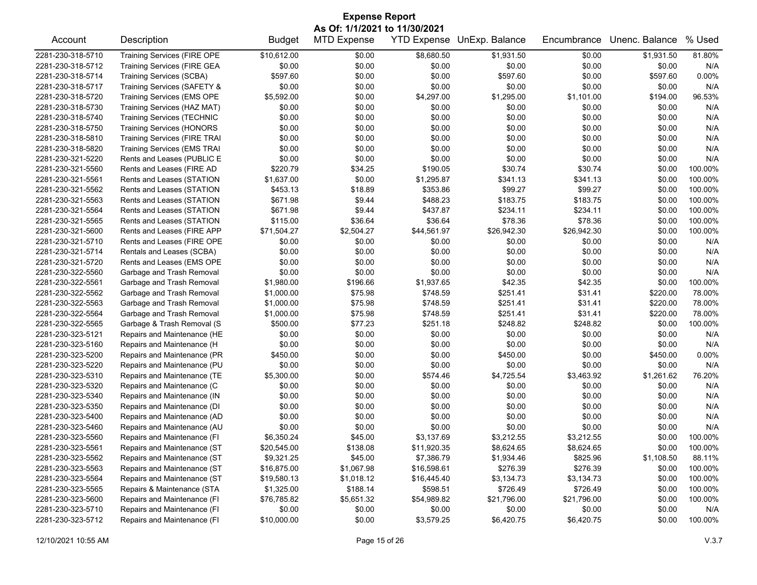| <b>Expense Report</b>         |                                     |               |                    |                    |                |             |                |         |  |
|-------------------------------|-------------------------------------|---------------|--------------------|--------------------|----------------|-------------|----------------|---------|--|
| As Of: 1/1/2021 to 11/30/2021 |                                     |               |                    |                    |                |             |                |         |  |
| Account                       | Description                         | <b>Budget</b> | <b>MTD Expense</b> | <b>YTD Expense</b> | UnExp. Balance | Encumbrance | Unenc. Balance | % Used  |  |
| 2281-230-318-5710             | <b>Training Services (FIRE OPE</b>  | \$10,612.00   | \$0.00             | \$8,680.50         | \$1,931.50     | \$0.00      | \$1,931.50     | 81.80%  |  |
| 2281-230-318-5712             | <b>Training Services (FIRE GEA</b>  | \$0.00        | \$0.00             | \$0.00             | \$0.00         | \$0.00      | \$0.00         | N/A     |  |
| 2281-230-318-5714             | Training Services (SCBA)            | \$597.60      | \$0.00             | \$0.00             | \$597.60       | \$0.00      | \$597.60       | 0.00%   |  |
| 2281-230-318-5717             | Training Services (SAFETY &         | \$0.00        | \$0.00             | \$0.00             | \$0.00         | \$0.00      | \$0.00         | N/A     |  |
| 2281-230-318-5720             | Training Services (EMS OPE          | \$5,592.00    | \$0.00             | \$4,297.00         | \$1,295.00     | \$1,101.00  | \$194.00       | 96.53%  |  |
| 2281-230-318-5730             | Training Services (HAZ MAT)         | \$0.00        | \$0.00             | \$0.00             | \$0.00         | \$0.00      | \$0.00         | N/A     |  |
| 2281-230-318-5740             | <b>Training Services (TECHNIC</b>   | \$0.00        | \$0.00             | \$0.00             | \$0.00         | \$0.00      | \$0.00         | N/A     |  |
| 2281-230-318-5750             | <b>Training Services (HONORS</b>    | \$0.00        | \$0.00             | \$0.00             | \$0.00         | \$0.00      | \$0.00         | N/A     |  |
| 2281-230-318-5810             | <b>Training Services (FIRE TRAI</b> | \$0.00        | \$0.00             | \$0.00             | \$0.00         | \$0.00      | \$0.00         | N/A     |  |
| 2281-230-318-5820             | Training Services (EMS TRAI         | \$0.00        | \$0.00             | \$0.00             | \$0.00         | \$0.00      | \$0.00         | N/A     |  |
| 2281-230-321-5220             | Rents and Leases (PUBLIC E          | \$0.00        | \$0.00             | \$0.00             | \$0.00         | \$0.00      | \$0.00         | N/A     |  |
| 2281-230-321-5560             | Rents and Leases (FIRE AD           | \$220.79      | \$34.25            | \$190.05           | \$30.74        | \$30.74     | \$0.00         | 100.00% |  |
| 2281-230-321-5561             | Rents and Leases (STATION           | \$1,637.00    | \$0.00             | \$1,295.87         | \$341.13       | \$341.13    | \$0.00         | 100.00% |  |
| 2281-230-321-5562             | Rents and Leases (STATION           | \$453.13      | \$18.89            | \$353.86           | \$99.27        | \$99.27     | \$0.00         | 100.00% |  |
| 2281-230-321-5563             | Rents and Leases (STATION           | \$671.98      | \$9.44             | \$488.23           | \$183.75       | \$183.75    | \$0.00         | 100.00% |  |
| 2281-230-321-5564             | Rents and Leases (STATION           | \$671.98      | \$9.44             | \$437.87           | \$234.11       | \$234.11    | \$0.00         | 100.00% |  |
| 2281-230-321-5565             | Rents and Leases (STATION           | \$115.00      | \$36.64            | \$36.64            | \$78.36        | \$78.36     | \$0.00         | 100.00% |  |
| 2281-230-321-5600             | Rents and Leases (FIRE APP          | \$71,504.27   | \$2,504.27         | \$44,561.97        | \$26,942.30    | \$26,942.30 | \$0.00         | 100.00% |  |
| 2281-230-321-5710             | Rents and Leases (FIRE OPE          | \$0.00        | \$0.00             | \$0.00             | \$0.00         | \$0.00      | \$0.00         | N/A     |  |
| 2281-230-321-5714             | Rentals and Leases (SCBA)           | \$0.00        | \$0.00             | \$0.00             | \$0.00         | \$0.00      | \$0.00         | N/A     |  |
| 2281-230-321-5720             | Rents and Leases (EMS OPE           | \$0.00        | \$0.00             | \$0.00             | \$0.00         | \$0.00      | \$0.00         | N/A     |  |
| 2281-230-322-5560             | Garbage and Trash Removal           | \$0.00        | \$0.00             | \$0.00             | \$0.00         | \$0.00      | \$0.00         | N/A     |  |
| 2281-230-322-5561             | Garbage and Trash Removal           | \$1,980.00    | \$196.66           | \$1,937.65         | \$42.35        | \$42.35     | \$0.00         | 100.00% |  |
| 2281-230-322-5562             | Garbage and Trash Removal           | \$1,000.00    | \$75.98            | \$748.59           | \$251.41       | \$31.41     | \$220.00       | 78.00%  |  |
| 2281-230-322-5563             | Garbage and Trash Removal           | \$1,000.00    | \$75.98            | \$748.59           | \$251.41       | \$31.41     | \$220.00       | 78.00%  |  |
| 2281-230-322-5564             | Garbage and Trash Removal           | \$1,000.00    | \$75.98            | \$748.59           | \$251.41       | \$31.41     | \$220.00       | 78.00%  |  |
| 2281-230-322-5565             | Garbage & Trash Removal (S          | \$500.00      | \$77.23            | \$251.18           | \$248.82       | \$248.82    | \$0.00         | 100.00% |  |
| 2281-230-323-5121             | Repairs and Maintenance (HE         | \$0.00        | \$0.00             | \$0.00             | \$0.00         | \$0.00      | \$0.00         | N/A     |  |
| 2281-230-323-5160             | Repairs and Maintenance (H          | \$0.00        | \$0.00             | \$0.00             | \$0.00         | \$0.00      | \$0.00         | N/A     |  |
| 2281-230-323-5200             | Repairs and Maintenance (PR         | \$450.00      | \$0.00             | \$0.00             | \$450.00       | \$0.00      | \$450.00       | 0.00%   |  |
| 2281-230-323-5220             | Repairs and Maintenance (PU         | \$0.00        | \$0.00             | \$0.00             | \$0.00         | \$0.00      | \$0.00         | N/A     |  |
| 2281-230-323-5310             | Repairs and Maintenance (TE         | \$5,300.00    | \$0.00             | \$574.46           | \$4,725.54     | \$3,463.92  | \$1,261.62     | 76.20%  |  |
| 2281-230-323-5320             | Repairs and Maintenance (C          | \$0.00        | \$0.00             | \$0.00             | \$0.00         | \$0.00      | \$0.00         | N/A     |  |
| 2281-230-323-5340             | Repairs and Maintenance (IN         | \$0.00        | \$0.00             | \$0.00             | \$0.00         | \$0.00      | \$0.00         | N/A     |  |
| 2281-230-323-5350             | Repairs and Maintenance (DI         | \$0.00        | \$0.00             | \$0.00             | \$0.00         | \$0.00      | \$0.00         | N/A     |  |
| 2281-230-323-5400             | Repairs and Maintenance (AD         | \$0.00        | \$0.00             | \$0.00             | \$0.00         | \$0.00      | \$0.00         | N/A     |  |
| 2281-230-323-5460             | Repairs and Maintenance (AU         | \$0.00        | \$0.00             | \$0.00             | \$0.00         | \$0.00      | \$0.00         | N/A     |  |
| 2281-230-323-5560             | Repairs and Maintenance (FI         | \$6,350.24    | \$45.00            | \$3,137.69         | \$3,212.55     | \$3,212.55  | \$0.00         | 100.00% |  |
| 2281-230-323-5561             | Repairs and Maintenance (ST         | \$20,545.00   | \$138.08           | \$11,920.35        | \$8,624.65     | \$8,624.65  | \$0.00         | 100.00% |  |
| 2281-230-323-5562             | Repairs and Maintenance (ST         | \$9,321.25    | \$45.00            | \$7,386.79         | \$1,934.46     | \$825.96    | \$1,108.50     | 88.11%  |  |
| 2281-230-323-5563             | Repairs and Maintenance (ST         | \$16,875.00   | \$1,067.98         | \$16,598.61        | \$276.39       | \$276.39    | \$0.00         | 100.00% |  |
| 2281-230-323-5564             | Repairs and Maintenance (ST         | \$19,580.13   | \$1,018.12         | \$16,445.40        | \$3,134.73     | \$3,134.73  | \$0.00         | 100.00% |  |
| 2281-230-323-5565             | Repairs & Maintenance (STA          | \$1,325.00    | \$188.14           | \$598.51           | \$726.49       | \$726.49    | \$0.00         | 100.00% |  |
| 2281-230-323-5600             | Repairs and Maintenance (FI         | \$76,785.82   | \$5,651.32         | \$54,989.82        | \$21,796.00    | \$21,796.00 | \$0.00         | 100.00% |  |
| 2281-230-323-5710             | Repairs and Maintenance (FI         | \$0.00        | \$0.00             | \$0.00             | \$0.00         | \$0.00      | \$0.00         | N/A     |  |
| 2281-230-323-5712             | Repairs and Maintenance (FI         | \$10,000.00   | \$0.00             | \$3,579.25         | \$6,420.75     | \$6,420.75  | \$0.00         | 100.00% |  |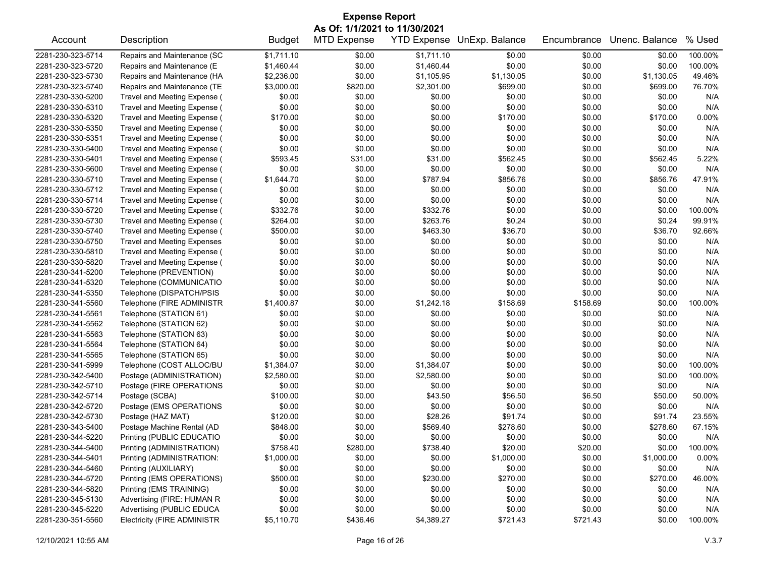| <b>Expense Report</b> |                                    |               |                                                     |            |                                   |             |                |         |
|-----------------------|------------------------------------|---------------|-----------------------------------------------------|------------|-----------------------------------|-------------|----------------|---------|
| Account               | Description                        | <b>Budget</b> | As Of: 1/1/2021 to 11/30/2021<br><b>MTD Expense</b> |            | <b>YTD Expense</b> UnExp. Balance | Encumbrance | Unenc. Balance | % Used  |
| 2281-230-323-5714     | Repairs and Maintenance (SC        | \$1,711.10    | \$0.00                                              | \$1,711.10 | \$0.00                            | \$0.00      | \$0.00         | 100.00% |
| 2281-230-323-5720     | Repairs and Maintenance (E         | \$1,460.44    | \$0.00                                              | \$1,460.44 | \$0.00                            | \$0.00      | \$0.00         | 100.00% |
| 2281-230-323-5730     | Repairs and Maintenance (HA        | \$2,236.00    | \$0.00                                              | \$1,105.95 | \$1,130.05                        | \$0.00      | \$1,130.05     | 49.46%  |
| 2281-230-323-5740     | Repairs and Maintenance (TE        | \$3,000.00    | \$820.00                                            | \$2,301.00 | \$699.00                          | \$0.00      | \$699.00       | 76.70%  |
| 2281-230-330-5200     | Travel and Meeting Expense (       | \$0.00        | \$0.00                                              | \$0.00     | \$0.00                            | \$0.00      | \$0.00         | N/A     |
| 2281-230-330-5310     | Travel and Meeting Expense (       | \$0.00        | \$0.00                                              | \$0.00     | \$0.00                            | \$0.00      | \$0.00         | N/A     |
| 2281-230-330-5320     | Travel and Meeting Expense (       | \$170.00      | \$0.00                                              | \$0.00     | \$170.00                          | \$0.00      | \$170.00       | 0.00%   |
| 2281-230-330-5350     | Travel and Meeting Expense (       | \$0.00        | \$0.00                                              | \$0.00     | \$0.00                            | \$0.00      | \$0.00         | N/A     |
| 2281-230-330-5351     | Travel and Meeting Expense (       | \$0.00        | \$0.00                                              | \$0.00     | \$0.00                            | \$0.00      | \$0.00         | N/A     |
| 2281-230-330-5400     | Travel and Meeting Expense (       | \$0.00        | \$0.00                                              | \$0.00     | \$0.00                            | \$0.00      | \$0.00         | N/A     |
| 2281-230-330-5401     | Travel and Meeting Expense (       | \$593.45      | \$31.00                                             | \$31.00    | \$562.45                          | \$0.00      | \$562.45       | 5.22%   |
| 2281-230-330-5600     | Travel and Meeting Expense (       | \$0.00        | \$0.00                                              | \$0.00     | \$0.00                            | \$0.00      | \$0.00         | N/A     |
| 2281-230-330-5710     | Travel and Meeting Expense (       | \$1,644.70    | \$0.00                                              | \$787.94   | \$856.76                          | \$0.00      | \$856.76       | 47.91%  |
| 2281-230-330-5712     | Travel and Meeting Expense (       | \$0.00        | \$0.00                                              | \$0.00     | \$0.00                            | \$0.00      | \$0.00         | N/A     |
| 2281-230-330-5714     | Travel and Meeting Expense (       | \$0.00        | \$0.00                                              | \$0.00     | \$0.00                            | \$0.00      | \$0.00         | N/A     |
| 2281-230-330-5720     | Travel and Meeting Expense (       | \$332.76      | \$0.00                                              | \$332.76   | \$0.00                            | \$0.00      | \$0.00         | 100.00% |
| 2281-230-330-5730     | Travel and Meeting Expense (       | \$264.00      | \$0.00                                              | \$263.76   | \$0.24                            | \$0.00      | \$0.24         | 99.91%  |
| 2281-230-330-5740     | Travel and Meeting Expense (       | \$500.00      | \$0.00                                              | \$463.30   | \$36.70                           | \$0.00      | \$36.70        | 92.66%  |
| 2281-230-330-5750     | <b>Travel and Meeting Expenses</b> | \$0.00        | \$0.00                                              | \$0.00     | \$0.00                            | \$0.00      | \$0.00         | N/A     |
| 2281-230-330-5810     | Travel and Meeting Expense (       | \$0.00        | \$0.00                                              | \$0.00     | \$0.00                            | \$0.00      | \$0.00         | N/A     |
| 2281-230-330-5820     | Travel and Meeting Expense (       | \$0.00        | \$0.00                                              | \$0.00     | \$0.00                            | \$0.00      | \$0.00         | N/A     |
| 2281-230-341-5200     | Telephone (PREVENTION)             | \$0.00        | \$0.00                                              | \$0.00     | \$0.00                            | \$0.00      | \$0.00         | N/A     |
| 2281-230-341-5320     | Telephone (COMMUNICATIO            | \$0.00        | \$0.00                                              | \$0.00     | \$0.00                            | \$0.00      | \$0.00         | N/A     |
| 2281-230-341-5350     | Telephone (DISPATCH/PSIS           | \$0.00        | \$0.00                                              | \$0.00     | \$0.00                            | \$0.00      | \$0.00         | N/A     |
| 2281-230-341-5560     | Telephone (FIRE ADMINISTR          | \$1,400.87    | \$0.00                                              | \$1,242.18 | \$158.69                          | \$158.69    | \$0.00         | 100.00% |
| 2281-230-341-5561     | Telephone (STATION 61)             | \$0.00        | \$0.00                                              | \$0.00     | \$0.00                            | \$0.00      | \$0.00         | N/A     |
| 2281-230-341-5562     | Telephone (STATION 62)             | \$0.00        | \$0.00                                              | \$0.00     | \$0.00                            | \$0.00      | \$0.00         | N/A     |
| 2281-230-341-5563     | Telephone (STATION 63)             | \$0.00        | \$0.00                                              | \$0.00     | \$0.00                            | \$0.00      | \$0.00         | N/A     |
| 2281-230-341-5564     | Telephone (STATION 64)             | \$0.00        | \$0.00                                              | \$0.00     | \$0.00                            | \$0.00      | \$0.00         | N/A     |
| 2281-230-341-5565     | Telephone (STATION 65)             | \$0.00        | \$0.00                                              | \$0.00     | \$0.00                            | \$0.00      | \$0.00         | N/A     |
| 2281-230-341-5999     | Telephone (COST ALLOC/BU           | \$1,384.07    | \$0.00                                              | \$1,384.07 | \$0.00                            | \$0.00      | \$0.00         | 100.00% |
| 2281-230-342-5400     | Postage (ADMINISTRATION)           | \$2,580.00    | \$0.00                                              | \$2,580.00 | \$0.00                            | \$0.00      | \$0.00         | 100.00% |
| 2281-230-342-5710     | Postage (FIRE OPERATIONS           | \$0.00        | \$0.00                                              | \$0.00     | \$0.00                            | \$0.00      | \$0.00         | N/A     |
| 2281-230-342-5714     | Postage (SCBA)                     | \$100.00      | \$0.00                                              | \$43.50    | \$56.50                           | \$6.50      | \$50.00        | 50.00%  |
| 2281-230-342-5720     | Postage (EMS OPERATIONS            | \$0.00        | \$0.00                                              | \$0.00     | \$0.00                            | \$0.00      | \$0.00         | N/A     |
| 2281-230-342-5730     | Postage (HAZ MAT)                  | \$120.00      | \$0.00                                              | \$28.26    | \$91.74                           | \$0.00      | \$91.74        | 23.55%  |
| 2281-230-343-5400     | Postage Machine Rental (AD         | \$848.00      | \$0.00                                              | \$569.40   | \$278.60                          | \$0.00      | \$278.60       | 67.15%  |
| 2281-230-344-5220     | Printing (PUBLIC EDUCATIO          | \$0.00        | \$0.00                                              | \$0.00     | \$0.00                            | \$0.00      | \$0.00         | N/A     |
| 2281-230-344-5400     | Printing (ADMINISTRATION)          | \$758.40      | \$280.00                                            | \$738.40   | \$20.00                           | \$20.00     | \$0.00         | 100.00% |
| 2281-230-344-5401     | Printing (ADMINISTRATION:          | \$1,000.00    | \$0.00                                              | \$0.00     | \$1,000.00                        | \$0.00      | \$1,000.00     | 0.00%   |
| 2281-230-344-5460     | Printing (AUXILIARY)               | \$0.00        | \$0.00                                              | \$0.00     | \$0.00                            | \$0.00      | \$0.00         | N/A     |
| 2281-230-344-5720     | Printing (EMS OPERATIONS)          | \$500.00      | \$0.00                                              | \$230.00   | \$270.00                          | \$0.00      | \$270.00       | 46.00%  |
| 2281-230-344-5820     | Printing (EMS TRAINING)            | \$0.00        | \$0.00                                              | \$0.00     | \$0.00                            | \$0.00      | \$0.00         | N/A     |
| 2281-230-345-5130     | Advertising (FIRE: HUMAN R         | \$0.00        | \$0.00                                              | \$0.00     | \$0.00                            | \$0.00      | \$0.00         | N/A     |
| 2281-230-345-5220     | Advertising (PUBLIC EDUCA          | \$0.00        | \$0.00                                              | \$0.00     | \$0.00                            | \$0.00      | \$0.00         | N/A     |
| 2281-230-351-5560     | <b>Electricity (FIRE ADMINISTR</b> | \$5,110.70    | \$436.46                                            | \$4,389.27 | \$721.43                          | \$721.43    | \$0.00         | 100.00% |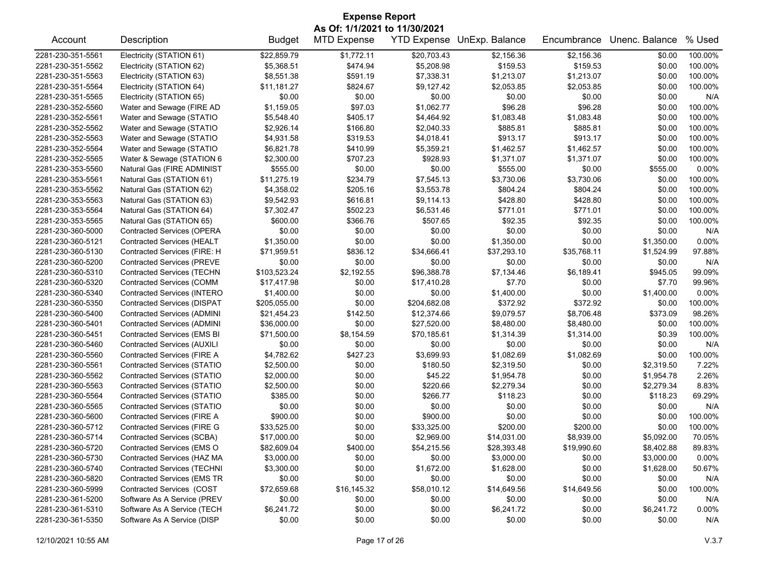| <b>Expense Report</b> |                                    |               |                               |              |                                   |             |                |         |  |
|-----------------------|------------------------------------|---------------|-------------------------------|--------------|-----------------------------------|-------------|----------------|---------|--|
|                       |                                    |               | As Of: 1/1/2021 to 11/30/2021 |              |                                   |             |                |         |  |
| Account               | Description                        | <b>Budget</b> | <b>MTD Expense</b>            |              | <b>YTD Expense UnExp. Balance</b> | Encumbrance | Unenc. Balance | % Used  |  |
| 2281-230-351-5561     | Electricity (STATION 61)           | \$22,859.79   | \$1,772.11                    | \$20,703.43  | \$2,156.36                        | \$2,156.36  | \$0.00         | 100.00% |  |
| 2281-230-351-5562     | Electricity (STATION 62)           | \$5,368.51    | \$474.94                      | \$5,208.98   | \$159.53                          | \$159.53    | \$0.00         | 100.00% |  |
| 2281-230-351-5563     | Electricity (STATION 63)           | \$8,551.38    | \$591.19                      | \$7,338.31   | \$1,213.07                        | \$1,213.07  | \$0.00         | 100.00% |  |
| 2281-230-351-5564     | Electricity (STATION 64)           | \$11,181.27   | \$824.67                      | \$9,127.42   | \$2,053.85                        | \$2,053.85  | \$0.00         | 100.00% |  |
| 2281-230-351-5565     | Electricity (STATION 65)           | \$0.00        | \$0.00                        | \$0.00       | \$0.00                            | \$0.00      | \$0.00         | N/A     |  |
| 2281-230-352-5560     | Water and Sewage (FIRE AD          | \$1,159.05    | \$97.03                       | \$1,062.77   | \$96.28                           | \$96.28     | \$0.00         | 100.00% |  |
| 2281-230-352-5561     | Water and Sewage (STATIO           | \$5,548.40    | \$405.17                      | \$4,464.92   | \$1,083.48                        | \$1,083.48  | \$0.00         | 100.00% |  |
| 2281-230-352-5562     | Water and Sewage (STATIO           | \$2,926.14    | \$166.80                      | \$2,040.33   | \$885.81                          | \$885.81    | \$0.00         | 100.00% |  |
| 2281-230-352-5563     | Water and Sewage (STATIO           | \$4,931.58    | \$319.53                      | \$4,018.41   | \$913.17                          | \$913.17    | \$0.00         | 100.00% |  |
| 2281-230-352-5564     | Water and Sewage (STATIO           | \$6,821.78    | \$410.99                      | \$5,359.21   | \$1,462.57                        | \$1,462.57  | \$0.00         | 100.00% |  |
| 2281-230-352-5565     | Water & Sewage (STATION 6          | \$2,300.00    | \$707.23                      | \$928.93     | \$1,371.07                        | \$1,371.07  | \$0.00         | 100.00% |  |
| 2281-230-353-5560     | Natural Gas (FIRE ADMINIST         | \$555.00      | \$0.00                        | \$0.00       | \$555.00                          | \$0.00      | \$555.00       | 0.00%   |  |
| 2281-230-353-5561     | Natural Gas (STATION 61)           | \$11,275.19   | \$234.79                      | \$7,545.13   | \$3,730.06                        | \$3,730.06  | \$0.00         | 100.00% |  |
| 2281-230-353-5562     | Natural Gas (STATION 62)           | \$4,358.02    | \$205.16                      | \$3,553.78   | \$804.24                          | \$804.24    | \$0.00         | 100.00% |  |
| 2281-230-353-5563     | Natural Gas (STATION 63)           | \$9,542.93    | \$616.81                      | \$9,114.13   | \$428.80                          | \$428.80    | \$0.00         | 100.00% |  |
| 2281-230-353-5564     | Natural Gas (STATION 64)           | \$7,302.47    | \$502.23                      | \$6,531.46   | \$771.01                          | \$771.01    | \$0.00         | 100.00% |  |
| 2281-230-353-5565     | Natural Gas (STATION 65)           | \$600.00      | \$366.76                      | \$507.65     | \$92.35                           | \$92.35     | \$0.00         | 100.00% |  |
| 2281-230-360-5000     | <b>Contracted Services (OPERA</b>  | \$0.00        | \$0.00                        | \$0.00       | \$0.00                            | \$0.00      | \$0.00         | N/A     |  |
| 2281-230-360-5121     | <b>Contracted Services (HEALT</b>  | \$1,350.00    | \$0.00                        | \$0.00       | \$1,350.00                        | \$0.00      | \$1,350.00     | 0.00%   |  |
|                       | Contracted Services (FIRE: H       | \$71,959.51   | \$836.12                      | \$34,666.41  | \$37,293.10                       | \$35,768.11 | \$1,524.99     | 97.88%  |  |
| 2281-230-360-5130     |                                    |               | \$0.00                        | \$0.00       | \$0.00                            | \$0.00      |                | N/A     |  |
| 2281-230-360-5200     | <b>Contracted Services (PREVE</b>  | \$0.00        |                               | \$96,388.78  |                                   |             | \$0.00         |         |  |
| 2281-230-360-5310     | <b>Contracted Services (TECHN</b>  | \$103,523.24  | \$2,192.55                    |              | \$7,134.46                        | \$6,189.41  | \$945.05       | 99.09%  |  |
| 2281-230-360-5320     | <b>Contracted Services (COMM</b>   | \$17,417.98   | \$0.00                        | \$17,410.28  | \$7.70                            | \$0.00      | \$7.70         | 99.96%  |  |
| 2281-230-360-5340     | Contracted Services (INTERO        | \$1,400.00    | \$0.00                        | \$0.00       | \$1,400.00                        | \$0.00      | \$1,400.00     | 0.00%   |  |
| 2281-230-360-5350     | <b>Contracted Services (DISPAT</b> | \$205,055.00  | \$0.00                        | \$204,682.08 | \$372.92                          | \$372.92    | \$0.00         | 100.00% |  |
| 2281-230-360-5400     | <b>Contracted Services (ADMINI</b> | \$21,454.23   | \$142.50                      | \$12,374.66  | \$9,079.57                        | \$8,706.48  | \$373.09       | 98.26%  |  |
| 2281-230-360-5401     | <b>Contracted Services (ADMINI</b> | \$36,000.00   | \$0.00                        | \$27,520.00  | \$8,480.00                        | \$8,480.00  | \$0.00         | 100.00% |  |
| 2281-230-360-5451     | Contracted Services (EMS BI        | \$71,500.00   | \$8,154.59                    | \$70,185.61  | \$1,314.39                        | \$1,314.00  | \$0.39         | 100.00% |  |
| 2281-230-360-5460     | Contracted Services (AUXILI        | \$0.00        | \$0.00                        | \$0.00       | \$0.00                            | \$0.00      | \$0.00         | N/A     |  |
| 2281-230-360-5560     | Contracted Services (FIRE A        | \$4,782.62    | \$427.23                      | \$3,699.93   | \$1,082.69                        | \$1,082.69  | \$0.00         | 100.00% |  |
| 2281-230-360-5561     | Contracted Services (STATIO        | \$2,500.00    | \$0.00                        | \$180.50     | \$2,319.50                        | \$0.00      | \$2,319.50     | 7.22%   |  |
| 2281-230-360-5562     | Contracted Services (STATIO        | \$2,000.00    | \$0.00                        | \$45.22      | \$1,954.78                        | \$0.00      | \$1,954.78     | 2.26%   |  |
| 2281-230-360-5563     | Contracted Services (STATIO        | \$2,500.00    | \$0.00                        | \$220.66     | \$2,279.34                        | \$0.00      | \$2,279.34     | 8.83%   |  |
| 2281-230-360-5564     | <b>Contracted Services (STATIO</b> | \$385.00      | \$0.00                        | \$266.77     | \$118.23                          | \$0.00      | \$118.23       | 69.29%  |  |
| 2281-230-360-5565     | <b>Contracted Services (STATIO</b> | \$0.00        | \$0.00                        | \$0.00       | \$0.00                            | \$0.00      | \$0.00         | N/A     |  |
| 2281-230-360-5600     | Contracted Services (FIRE A        | \$900.00      | \$0.00                        | \$900.00     | \$0.00                            | \$0.00      | \$0.00         | 100.00% |  |
| 2281-230-360-5712     | <b>Contracted Services (FIRE G</b> | \$33,525.00   | \$0.00                        | \$33,325.00  | \$200.00                          | \$200.00    | \$0.00         | 100.00% |  |
| 2281-230-360-5714     | Contracted Services (SCBA)         | \$17,000.00   | \$0.00                        | \$2,969.00   | \$14,031.00                       | \$8,939.00  | \$5,092.00     | 70.05%  |  |
| 2281-230-360-5720     | Contracted Services (EMS O         | \$82,609.04   | \$400.00                      | \$54,215.56  | \$28,393.48                       | \$19,990.60 | \$8,402.88     | 89.83%  |  |
| 2281-230-360-5730     | Contracted Services (HAZ MA        | \$3,000.00    | \$0.00                        | \$0.00       | \$3,000.00                        | \$0.00      | \$3,000.00     | 0.00%   |  |
| 2281-230-360-5740     | <b>Contracted Services (TECHNI</b> | \$3,300.00    | \$0.00                        | \$1,672.00   | \$1,628.00                        | \$0.00      | \$1,628.00     | 50.67%  |  |
| 2281-230-360-5820     | <b>Contracted Services (EMS TR</b> | \$0.00        | \$0.00                        | \$0.00       | \$0.00                            | \$0.00      | \$0.00         | N/A     |  |
| 2281-230-360-5999     | Contracted Services (COST          | \$72,659.68   | \$16,145.32                   | \$58,010.12  | \$14,649.56                       | \$14,649.56 | \$0.00         | 100.00% |  |
| 2281-230-361-5200     | Software As A Service (PREV        | \$0.00        | \$0.00                        | \$0.00       | \$0.00                            | \$0.00      | \$0.00         | N/A     |  |
| 2281-230-361-5310     | Software As A Service (TECH        | \$6,241.72    | \$0.00                        | \$0.00       | \$6,241.72                        | \$0.00      | \$6,241.72     | 0.00%   |  |
| 2281-230-361-5350     | Software As A Service (DISP        | \$0.00        | \$0.00                        | \$0.00       | \$0.00                            | \$0.00      | \$0.00         | N/A     |  |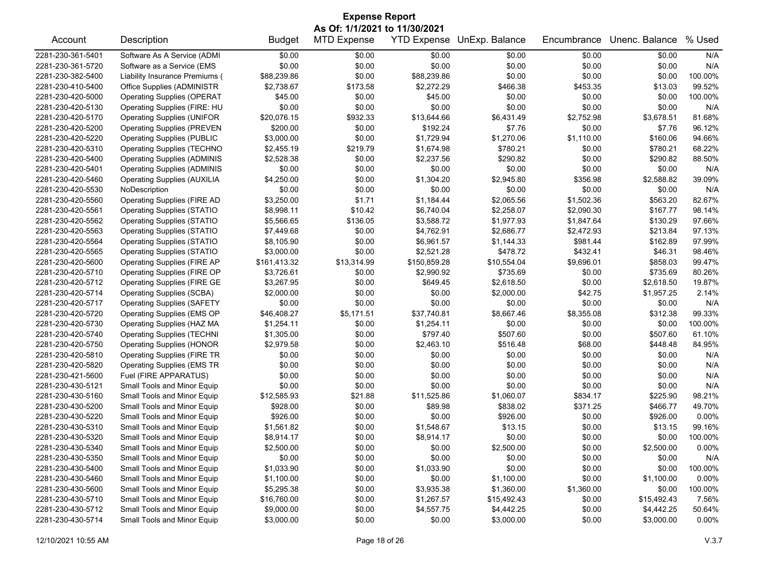| As Of: 1/1/2021 to 11/30/2021<br><b>MTD Expense</b><br><b>YTD Expense</b><br>UnExp. Balance<br>Unenc. Balance<br>% Used<br>Description<br><b>Budget</b><br>Encumbrance<br>Account<br>2281-230-361-5401<br>Software As A Service (ADMI<br>\$0.00<br>\$0.00<br>N/A<br>\$0.00<br>\$0.00<br>\$0.00<br>\$0.00<br>\$0.00<br>2281-230-361-5720<br>Software as a Service (EMS<br>\$0.00<br>\$0.00<br>\$0.00<br>\$0.00<br>\$0.00<br>N/A<br>Liability Insurance Premiums (<br>\$0.00<br>\$0.00<br>\$0.00<br>100.00%<br>2281-230-382-5400<br>\$88,239.86<br>\$88,239.86<br>\$0.00<br>2281-230-410-5400<br>Office Supplies (ADMINISTR<br>\$2,738.67<br>\$173.58<br>\$2,272.29<br>\$466.38<br>\$453.35<br>99.52%<br>\$13.03<br><b>Operating Supplies (OPERAT</b><br>\$45.00<br>\$0.00<br>\$45.00<br>\$0.00<br>\$0.00<br>100.00%<br>2281-230-420-5000<br>\$0.00<br>\$0.00<br>\$0.00<br>\$0.00<br>\$0.00<br>\$0.00<br>2281-230-420-5130<br>Operating Supplies (FIRE: HU<br>\$0.00<br>N/A<br>2281-230-420-5170<br><b>Operating Supplies (UNIFOR</b><br>\$20,076.15<br>\$932.33<br>\$13,644.66<br>\$6,431.49<br>\$2,752.98<br>\$3,678.51<br>81.68%<br>96.12%<br>2281-230-420-5200<br><b>Operating Supplies (PREVEN</b><br>\$200.00<br>\$0.00<br>\$192.24<br>\$7.76<br>\$0.00<br>\$7.76<br>\$3,000.00<br>\$0.00<br>\$1,729.94<br>\$1,270.06<br>\$1,110.00<br>\$160.06<br>94.66%<br>2281-230-420-5220<br><b>Operating Supplies (PUBLIC</b><br>68.22%<br>2281-230-420-5310<br><b>Operating Supplies (TECHNO</b><br>\$2,455.19<br>\$219.79<br>\$1,674.98<br>\$780.21<br>\$0.00<br>\$780.21<br>88.50%<br>2281-230-420-5400<br><b>Operating Supplies (ADMINIS</b><br>\$2,528.38<br>\$0.00<br>\$2,237.56<br>\$290.82<br>\$0.00<br>\$290.82<br>2281-230-420-5401<br><b>Operating Supplies (ADMINIS</b><br>\$0.00<br>\$0.00<br>\$0.00<br>\$0.00<br>\$0.00<br>\$0.00<br>N/A<br>\$4,250.00<br>\$0.00<br>39.09%<br>2281-230-420-5460<br><b>Operating Supplies (AUXILIA</b><br>\$1,304.20<br>\$2,945.80<br>\$356.98<br>\$2,588.82<br>2281-230-420-5530<br>\$0.00<br>\$0.00<br>\$0.00<br>\$0.00<br>\$0.00<br>\$0.00<br>N/A<br>NoDescription<br><b>Operating Supplies (FIRE AD</b><br>\$3,250.00<br>\$1.71<br>\$1,184.44<br>\$2,065.56<br>\$1,502.36<br>82.67%<br>2281-230-420-5560<br>\$563.20<br>\$10.42<br>\$6,740.04<br>\$2,258.07<br>\$2,090.30<br>2281-230-420-5561<br><b>Operating Supplies (STATIO</b><br>\$8,998.11<br>\$167.77<br>98.14%<br>2281-230-420-5562<br><b>Operating Supplies (STATIO</b><br>\$5,566.65<br>\$136.05<br>\$3,588.72<br>\$1,977.93<br>\$1,847.64<br>\$130.29<br>97.66%<br>\$2,472.93<br>\$213.84<br>97.13%<br>2281-230-420-5563<br><b>Operating Supplies (STATIO</b><br>\$7,449.68<br>\$0.00<br>\$4,762.91<br>\$2,686.77<br>2281-230-420-5564<br>\$0.00<br>\$6,961.57<br>\$1,144.33<br>\$981.44<br>\$162.89<br>97.99%<br><b>Operating Supplies (STATIO</b><br>\$8,105.90<br>\$2,521.28<br>\$478.72<br>\$432.41<br>98.46%<br>2281-230-420-5565<br><b>Operating Supplies (STATIO</b><br>\$3,000.00<br>\$0.00<br>\$46.31<br>99.47%<br>2281-230-420-5600<br><b>Operating Supplies (FIRE AP</b><br>\$161,413.32<br>\$13,314.99<br>\$150,859.28<br>\$10,554.04<br>\$9,696.01<br>\$858.03<br>2281-230-420-5710<br>Operating Supplies (FIRE OP<br>\$3,726.61<br>\$0.00<br>\$2,990.92<br>\$735.69<br>\$0.00<br>\$735.69<br>80.26%<br><b>Operating Supplies (FIRE GE</b><br>\$0.00<br>\$649.45<br>19.87%<br>2281-230-420-5712<br>\$3,267.95<br>\$2,618.50<br>\$0.00<br>\$2,618.50<br>2281-230-420-5714<br>\$2,000.00<br>\$0.00<br>\$0.00<br>\$42.75<br>\$1,957.25<br>2.14%<br><b>Operating Supplies (SCBA)</b><br>\$2,000.00<br>\$0.00<br>\$0.00<br>\$0.00<br>\$0.00<br>\$0.00<br>2281-230-420-5717<br><b>Operating Supplies (SAFETY</b><br>\$0.00<br>N/A<br>\$46,408.27<br>99.33%<br>2281-230-420-5720<br>Operating Supplies (EMS OP<br>\$5,171.51<br>\$37,740.81<br>\$8,667.46<br>\$8,355.08<br>\$312.38<br>2281-230-420-5730<br>Operating Supplies (HAZ MA<br>\$1,254.11<br>\$0.00<br>\$1,254.11<br>\$0.00<br>\$0.00<br>\$0.00<br>100.00%<br><b>Operating Supplies (TECHNI</b><br>\$0.00<br>\$797.40<br>61.10%<br>2281-230-420-5740<br>\$1,305.00<br>\$507.60<br>\$0.00<br>\$507.60<br>\$2,979.58<br>\$0.00<br>\$2,463.10<br>\$516.48<br>\$448.48<br>84.95%<br>2281-230-420-5750<br><b>Operating Supplies (HONOR</b><br>\$68.00<br>2281-230-420-5810<br><b>Operating Supplies (FIRE TR</b><br>\$0.00<br>\$0.00<br>\$0.00<br>\$0.00<br>\$0.00<br>\$0.00<br>N/A<br>\$0.00<br>\$0.00<br>\$0.00<br>N/A<br>2281-230-420-5820<br><b>Operating Supplies (EMS TR</b><br>\$0.00<br>\$0.00<br>\$0.00<br>N/A<br>2281-230-421-5600<br>Fuel (FIRE APPARATUS)<br>\$0.00<br>\$0.00<br>\$0.00<br>\$0.00<br>\$0.00<br>\$0.00<br>\$0.00<br>\$0.00<br>\$0.00<br>\$0.00<br>N/A<br>2281-230-430-5121<br>Small Tools and Minor Equip<br>\$0.00<br>\$0.00<br>2281-230-430-5160<br>Small Tools and Minor Equip<br>\$12,585.93<br>\$21.88<br>\$11,525.86<br>\$1,060.07<br>\$834.17<br>\$225.90<br>98.21%<br>Small Tools and Minor Equip<br>\$928.00<br>\$0.00<br>\$371.25<br>49.70%<br>2281-230-430-5200<br>\$89.98<br>\$838.02<br>\$466.77<br>\$0.00<br>0.00%<br>2281-230-430-5220<br>Small Tools and Minor Equip<br>\$926.00<br>\$0.00<br>\$0.00<br>\$926.00<br>\$926.00<br>2281-230-430-5310<br>Small Tools and Minor Equip<br>\$1,561.82<br>\$0.00<br>\$1,548.67<br>\$13.15<br>\$0.00<br>\$13.15<br>99.16%<br>2281-230-430-5320<br>\$0.00<br>\$0.00<br>\$0.00<br>\$0.00<br>100.00%<br>Small Tools and Minor Equip<br>\$8,914.17<br>\$8,914.17<br>\$0.00<br>2281-230-430-5340<br>Small Tools and Minor Equip<br>\$2,500.00<br>\$0.00<br>\$2,500.00<br>\$0.00<br>\$2,500.00<br>0.00%<br>\$0.00<br>\$0.00<br>N/A<br>2281-230-430-5350<br>Small Tools and Minor Equip<br>\$0.00<br>\$0.00<br>\$0.00<br>\$0.00<br>\$0.00<br>100.00%<br>2281-230-430-5400<br>Small Tools and Minor Equip<br>\$1,033.90<br>\$0.00<br>\$1,033.90<br>\$0.00<br>\$0.00<br>2281-230-430-5460<br>Small Tools and Minor Equip<br>\$1,100.00<br>\$0.00<br>\$0.00<br>\$1,100.00<br>\$0.00<br>0.00%<br>\$1,100.00<br>\$0.00<br>2281-230-430-5600<br>Small Tools and Minor Equip<br>\$5,295.38<br>\$3,935.38<br>\$1,360.00<br>\$1,360.00<br>100.00%<br>\$0.00<br>\$0.00<br>7.56%<br>2281-230-430-5710<br>Small Tools and Minor Equip<br>\$16,760.00<br>\$1,267.57<br>\$15,492.43<br>\$0.00<br>\$15,492.43<br>2281-230-430-5712<br>Small Tools and Minor Equip<br>\$9,000.00<br>\$0.00<br>\$4,557.75<br>\$4,442.25<br>\$0.00<br>\$4,442.25<br>50.64%<br>Small Tools and Minor Equip | <b>Expense Report</b> |  |            |        |        |            |        |            |          |  |
|-----------------------------------------------------------------------------------------------------------------------------------------------------------------------------------------------------------------------------------------------------------------------------------------------------------------------------------------------------------------------------------------------------------------------------------------------------------------------------------------------------------------------------------------------------------------------------------------------------------------------------------------------------------------------------------------------------------------------------------------------------------------------------------------------------------------------------------------------------------------------------------------------------------------------------------------------------------------------------------------------------------------------------------------------------------------------------------------------------------------------------------------------------------------------------------------------------------------------------------------------------------------------------------------------------------------------------------------------------------------------------------------------------------------------------------------------------------------------------------------------------------------------------------------------------------------------------------------------------------------------------------------------------------------------------------------------------------------------------------------------------------------------------------------------------------------------------------------------------------------------------------------------------------------------------------------------------------------------------------------------------------------------------------------------------------------------------------------------------------------------------------------------------------------------------------------------------------------------------------------------------------------------------------------------------------------------------------------------------------------------------------------------------------------------------------------------------------------------------------------------------------------------------------------------------------------------------------------------------------------------------------------------------------------------------------------------------------------------------------------------------------------------------------------------------------------------------------------------------------------------------------------------------------------------------------------------------------------------------------------------------------------------------------------------------------------------------------------------------------------------------------------------------------------------------------------------------------------------------------------------------------------------------------------------------------------------------------------------------------------------------------------------------------------------------------------------------------------------------------------------------------------------------------------------------------------------------------------------------------------------------------------------------------------------------------------------------------------------------------------------------------------------------------------------------------------------------------------------------------------------------------------------------------------------------------------------------------------------------------------------------------------------------------------------------------------------------------------------------------------------------------------------------------------------------------------------------------------------------------------------------------------------------------------------------------------------------------------------------------------------------------------------------------------------------------------------------------------------------------------------------------------------------------------------------------------------------------------------------------------------------------------------------------------------------------------------------------------------------------------------------------------------------------------------------------------------------------------------------------------------------------------------------------------------------------------------------------------------------------------------------------------------------------------------------------------------------------------------------------------------------------------------------------------------------------------------------------------------------------------------------------------------------------------------------------------------------------------------------------------------------------------------------------------------------------------------------------------------------------------------------------------------------------------------------------------------------------------------------------------------------------------------------------------------------------------------------------------------------------------------------------------------------------------------------------------------------------------------------------------------------------------------------------------------------------------------------------------------------------------------------------------------------------------------------------------------------------------------------------------------------------------------------------------------------------------------------------------------------------------------------------------------------------------------------------------------------------------------------------------------------------------------------------------------------------------------------------------------------------------------------------------------|-----------------------|--|------------|--------|--------|------------|--------|------------|----------|--|
|                                                                                                                                                                                                                                                                                                                                                                                                                                                                                                                                                                                                                                                                                                                                                                                                                                                                                                                                                                                                                                                                                                                                                                                                                                                                                                                                                                                                                                                                                                                                                                                                                                                                                                                                                                                                                                                                                                                                                                                                                                                                                                                                                                                                                                                                                                                                                                                                                                                                                                                                                                                                                                                                                                                                                                                                                                                                                                                                                                                                                                                                                                                                                                                                                                                                                                                                                                                                                                                                                                                                                                                                                                                                                                                                                                                                                                                                                                                                                                                                                                                                                                                                                                                                                                                                                                                                                                                                                                                                                                                                                                                                                                                                                                                                                                                                                                                                                                                                                                                                                                                                                                                                                                                                                                                                                                                                                                                                                                                                                                                                                                                                                                                                                                                                                                                                                                                                                                                                                                                                                                                                                                                                                                                                                                                                                                                                                                                                                                                                                                                       |                       |  |            |        |        |            |        |            |          |  |
|                                                                                                                                                                                                                                                                                                                                                                                                                                                                                                                                                                                                                                                                                                                                                                                                                                                                                                                                                                                                                                                                                                                                                                                                                                                                                                                                                                                                                                                                                                                                                                                                                                                                                                                                                                                                                                                                                                                                                                                                                                                                                                                                                                                                                                                                                                                                                                                                                                                                                                                                                                                                                                                                                                                                                                                                                                                                                                                                                                                                                                                                                                                                                                                                                                                                                                                                                                                                                                                                                                                                                                                                                                                                                                                                                                                                                                                                                                                                                                                                                                                                                                                                                                                                                                                                                                                                                                                                                                                                                                                                                                                                                                                                                                                                                                                                                                                                                                                                                                                                                                                                                                                                                                                                                                                                                                                                                                                                                                                                                                                                                                                                                                                                                                                                                                                                                                                                                                                                                                                                                                                                                                                                                                                                                                                                                                                                                                                                                                                                                                                       |                       |  |            |        |        |            |        |            |          |  |
|                                                                                                                                                                                                                                                                                                                                                                                                                                                                                                                                                                                                                                                                                                                                                                                                                                                                                                                                                                                                                                                                                                                                                                                                                                                                                                                                                                                                                                                                                                                                                                                                                                                                                                                                                                                                                                                                                                                                                                                                                                                                                                                                                                                                                                                                                                                                                                                                                                                                                                                                                                                                                                                                                                                                                                                                                                                                                                                                                                                                                                                                                                                                                                                                                                                                                                                                                                                                                                                                                                                                                                                                                                                                                                                                                                                                                                                                                                                                                                                                                                                                                                                                                                                                                                                                                                                                                                                                                                                                                                                                                                                                                                                                                                                                                                                                                                                                                                                                                                                                                                                                                                                                                                                                                                                                                                                                                                                                                                                                                                                                                                                                                                                                                                                                                                                                                                                                                                                                                                                                                                                                                                                                                                                                                                                                                                                                                                                                                                                                                                                       |                       |  |            |        |        |            |        |            |          |  |
|                                                                                                                                                                                                                                                                                                                                                                                                                                                                                                                                                                                                                                                                                                                                                                                                                                                                                                                                                                                                                                                                                                                                                                                                                                                                                                                                                                                                                                                                                                                                                                                                                                                                                                                                                                                                                                                                                                                                                                                                                                                                                                                                                                                                                                                                                                                                                                                                                                                                                                                                                                                                                                                                                                                                                                                                                                                                                                                                                                                                                                                                                                                                                                                                                                                                                                                                                                                                                                                                                                                                                                                                                                                                                                                                                                                                                                                                                                                                                                                                                                                                                                                                                                                                                                                                                                                                                                                                                                                                                                                                                                                                                                                                                                                                                                                                                                                                                                                                                                                                                                                                                                                                                                                                                                                                                                                                                                                                                                                                                                                                                                                                                                                                                                                                                                                                                                                                                                                                                                                                                                                                                                                                                                                                                                                                                                                                                                                                                                                                                                                       |                       |  |            |        |        |            |        |            |          |  |
|                                                                                                                                                                                                                                                                                                                                                                                                                                                                                                                                                                                                                                                                                                                                                                                                                                                                                                                                                                                                                                                                                                                                                                                                                                                                                                                                                                                                                                                                                                                                                                                                                                                                                                                                                                                                                                                                                                                                                                                                                                                                                                                                                                                                                                                                                                                                                                                                                                                                                                                                                                                                                                                                                                                                                                                                                                                                                                                                                                                                                                                                                                                                                                                                                                                                                                                                                                                                                                                                                                                                                                                                                                                                                                                                                                                                                                                                                                                                                                                                                                                                                                                                                                                                                                                                                                                                                                                                                                                                                                                                                                                                                                                                                                                                                                                                                                                                                                                                                                                                                                                                                                                                                                                                                                                                                                                                                                                                                                                                                                                                                                                                                                                                                                                                                                                                                                                                                                                                                                                                                                                                                                                                                                                                                                                                                                                                                                                                                                                                                                                       |                       |  |            |        |        |            |        |            |          |  |
|                                                                                                                                                                                                                                                                                                                                                                                                                                                                                                                                                                                                                                                                                                                                                                                                                                                                                                                                                                                                                                                                                                                                                                                                                                                                                                                                                                                                                                                                                                                                                                                                                                                                                                                                                                                                                                                                                                                                                                                                                                                                                                                                                                                                                                                                                                                                                                                                                                                                                                                                                                                                                                                                                                                                                                                                                                                                                                                                                                                                                                                                                                                                                                                                                                                                                                                                                                                                                                                                                                                                                                                                                                                                                                                                                                                                                                                                                                                                                                                                                                                                                                                                                                                                                                                                                                                                                                                                                                                                                                                                                                                                                                                                                                                                                                                                                                                                                                                                                                                                                                                                                                                                                                                                                                                                                                                                                                                                                                                                                                                                                                                                                                                                                                                                                                                                                                                                                                                                                                                                                                                                                                                                                                                                                                                                                                                                                                                                                                                                                                                       |                       |  |            |        |        |            |        |            |          |  |
|                                                                                                                                                                                                                                                                                                                                                                                                                                                                                                                                                                                                                                                                                                                                                                                                                                                                                                                                                                                                                                                                                                                                                                                                                                                                                                                                                                                                                                                                                                                                                                                                                                                                                                                                                                                                                                                                                                                                                                                                                                                                                                                                                                                                                                                                                                                                                                                                                                                                                                                                                                                                                                                                                                                                                                                                                                                                                                                                                                                                                                                                                                                                                                                                                                                                                                                                                                                                                                                                                                                                                                                                                                                                                                                                                                                                                                                                                                                                                                                                                                                                                                                                                                                                                                                                                                                                                                                                                                                                                                                                                                                                                                                                                                                                                                                                                                                                                                                                                                                                                                                                                                                                                                                                                                                                                                                                                                                                                                                                                                                                                                                                                                                                                                                                                                                                                                                                                                                                                                                                                                                                                                                                                                                                                                                                                                                                                                                                                                                                                                                       |                       |  |            |        |        |            |        |            |          |  |
|                                                                                                                                                                                                                                                                                                                                                                                                                                                                                                                                                                                                                                                                                                                                                                                                                                                                                                                                                                                                                                                                                                                                                                                                                                                                                                                                                                                                                                                                                                                                                                                                                                                                                                                                                                                                                                                                                                                                                                                                                                                                                                                                                                                                                                                                                                                                                                                                                                                                                                                                                                                                                                                                                                                                                                                                                                                                                                                                                                                                                                                                                                                                                                                                                                                                                                                                                                                                                                                                                                                                                                                                                                                                                                                                                                                                                                                                                                                                                                                                                                                                                                                                                                                                                                                                                                                                                                                                                                                                                                                                                                                                                                                                                                                                                                                                                                                                                                                                                                                                                                                                                                                                                                                                                                                                                                                                                                                                                                                                                                                                                                                                                                                                                                                                                                                                                                                                                                                                                                                                                                                                                                                                                                                                                                                                                                                                                                                                                                                                                                                       |                       |  |            |        |        |            |        |            |          |  |
|                                                                                                                                                                                                                                                                                                                                                                                                                                                                                                                                                                                                                                                                                                                                                                                                                                                                                                                                                                                                                                                                                                                                                                                                                                                                                                                                                                                                                                                                                                                                                                                                                                                                                                                                                                                                                                                                                                                                                                                                                                                                                                                                                                                                                                                                                                                                                                                                                                                                                                                                                                                                                                                                                                                                                                                                                                                                                                                                                                                                                                                                                                                                                                                                                                                                                                                                                                                                                                                                                                                                                                                                                                                                                                                                                                                                                                                                                                                                                                                                                                                                                                                                                                                                                                                                                                                                                                                                                                                                                                                                                                                                                                                                                                                                                                                                                                                                                                                                                                                                                                                                                                                                                                                                                                                                                                                                                                                                                                                                                                                                                                                                                                                                                                                                                                                                                                                                                                                                                                                                                                                                                                                                                                                                                                                                                                                                                                                                                                                                                                                       |                       |  |            |        |        |            |        |            |          |  |
|                                                                                                                                                                                                                                                                                                                                                                                                                                                                                                                                                                                                                                                                                                                                                                                                                                                                                                                                                                                                                                                                                                                                                                                                                                                                                                                                                                                                                                                                                                                                                                                                                                                                                                                                                                                                                                                                                                                                                                                                                                                                                                                                                                                                                                                                                                                                                                                                                                                                                                                                                                                                                                                                                                                                                                                                                                                                                                                                                                                                                                                                                                                                                                                                                                                                                                                                                                                                                                                                                                                                                                                                                                                                                                                                                                                                                                                                                                                                                                                                                                                                                                                                                                                                                                                                                                                                                                                                                                                                                                                                                                                                                                                                                                                                                                                                                                                                                                                                                                                                                                                                                                                                                                                                                                                                                                                                                                                                                                                                                                                                                                                                                                                                                                                                                                                                                                                                                                                                                                                                                                                                                                                                                                                                                                                                                                                                                                                                                                                                                                                       |                       |  |            |        |        |            |        |            |          |  |
|                                                                                                                                                                                                                                                                                                                                                                                                                                                                                                                                                                                                                                                                                                                                                                                                                                                                                                                                                                                                                                                                                                                                                                                                                                                                                                                                                                                                                                                                                                                                                                                                                                                                                                                                                                                                                                                                                                                                                                                                                                                                                                                                                                                                                                                                                                                                                                                                                                                                                                                                                                                                                                                                                                                                                                                                                                                                                                                                                                                                                                                                                                                                                                                                                                                                                                                                                                                                                                                                                                                                                                                                                                                                                                                                                                                                                                                                                                                                                                                                                                                                                                                                                                                                                                                                                                                                                                                                                                                                                                                                                                                                                                                                                                                                                                                                                                                                                                                                                                                                                                                                                                                                                                                                                                                                                                                                                                                                                                                                                                                                                                                                                                                                                                                                                                                                                                                                                                                                                                                                                                                                                                                                                                                                                                                                                                                                                                                                                                                                                                                       |                       |  |            |        |        |            |        |            |          |  |
|                                                                                                                                                                                                                                                                                                                                                                                                                                                                                                                                                                                                                                                                                                                                                                                                                                                                                                                                                                                                                                                                                                                                                                                                                                                                                                                                                                                                                                                                                                                                                                                                                                                                                                                                                                                                                                                                                                                                                                                                                                                                                                                                                                                                                                                                                                                                                                                                                                                                                                                                                                                                                                                                                                                                                                                                                                                                                                                                                                                                                                                                                                                                                                                                                                                                                                                                                                                                                                                                                                                                                                                                                                                                                                                                                                                                                                                                                                                                                                                                                                                                                                                                                                                                                                                                                                                                                                                                                                                                                                                                                                                                                                                                                                                                                                                                                                                                                                                                                                                                                                                                                                                                                                                                                                                                                                                                                                                                                                                                                                                                                                                                                                                                                                                                                                                                                                                                                                                                                                                                                                                                                                                                                                                                                                                                                                                                                                                                                                                                                                                       |                       |  |            |        |        |            |        |            |          |  |
|                                                                                                                                                                                                                                                                                                                                                                                                                                                                                                                                                                                                                                                                                                                                                                                                                                                                                                                                                                                                                                                                                                                                                                                                                                                                                                                                                                                                                                                                                                                                                                                                                                                                                                                                                                                                                                                                                                                                                                                                                                                                                                                                                                                                                                                                                                                                                                                                                                                                                                                                                                                                                                                                                                                                                                                                                                                                                                                                                                                                                                                                                                                                                                                                                                                                                                                                                                                                                                                                                                                                                                                                                                                                                                                                                                                                                                                                                                                                                                                                                                                                                                                                                                                                                                                                                                                                                                                                                                                                                                                                                                                                                                                                                                                                                                                                                                                                                                                                                                                                                                                                                                                                                                                                                                                                                                                                                                                                                                                                                                                                                                                                                                                                                                                                                                                                                                                                                                                                                                                                                                                                                                                                                                                                                                                                                                                                                                                                                                                                                                                       |                       |  |            |        |        |            |        |            |          |  |
|                                                                                                                                                                                                                                                                                                                                                                                                                                                                                                                                                                                                                                                                                                                                                                                                                                                                                                                                                                                                                                                                                                                                                                                                                                                                                                                                                                                                                                                                                                                                                                                                                                                                                                                                                                                                                                                                                                                                                                                                                                                                                                                                                                                                                                                                                                                                                                                                                                                                                                                                                                                                                                                                                                                                                                                                                                                                                                                                                                                                                                                                                                                                                                                                                                                                                                                                                                                                                                                                                                                                                                                                                                                                                                                                                                                                                                                                                                                                                                                                                                                                                                                                                                                                                                                                                                                                                                                                                                                                                                                                                                                                                                                                                                                                                                                                                                                                                                                                                                                                                                                                                                                                                                                                                                                                                                                                                                                                                                                                                                                                                                                                                                                                                                                                                                                                                                                                                                                                                                                                                                                                                                                                                                                                                                                                                                                                                                                                                                                                                                                       |                       |  |            |        |        |            |        |            |          |  |
|                                                                                                                                                                                                                                                                                                                                                                                                                                                                                                                                                                                                                                                                                                                                                                                                                                                                                                                                                                                                                                                                                                                                                                                                                                                                                                                                                                                                                                                                                                                                                                                                                                                                                                                                                                                                                                                                                                                                                                                                                                                                                                                                                                                                                                                                                                                                                                                                                                                                                                                                                                                                                                                                                                                                                                                                                                                                                                                                                                                                                                                                                                                                                                                                                                                                                                                                                                                                                                                                                                                                                                                                                                                                                                                                                                                                                                                                                                                                                                                                                                                                                                                                                                                                                                                                                                                                                                                                                                                                                                                                                                                                                                                                                                                                                                                                                                                                                                                                                                                                                                                                                                                                                                                                                                                                                                                                                                                                                                                                                                                                                                                                                                                                                                                                                                                                                                                                                                                                                                                                                                                                                                                                                                                                                                                                                                                                                                                                                                                                                                                       |                       |  |            |        |        |            |        |            |          |  |
|                                                                                                                                                                                                                                                                                                                                                                                                                                                                                                                                                                                                                                                                                                                                                                                                                                                                                                                                                                                                                                                                                                                                                                                                                                                                                                                                                                                                                                                                                                                                                                                                                                                                                                                                                                                                                                                                                                                                                                                                                                                                                                                                                                                                                                                                                                                                                                                                                                                                                                                                                                                                                                                                                                                                                                                                                                                                                                                                                                                                                                                                                                                                                                                                                                                                                                                                                                                                                                                                                                                                                                                                                                                                                                                                                                                                                                                                                                                                                                                                                                                                                                                                                                                                                                                                                                                                                                                                                                                                                                                                                                                                                                                                                                                                                                                                                                                                                                                                                                                                                                                                                                                                                                                                                                                                                                                                                                                                                                                                                                                                                                                                                                                                                                                                                                                                                                                                                                                                                                                                                                                                                                                                                                                                                                                                                                                                                                                                                                                                                                                       |                       |  |            |        |        |            |        |            |          |  |
|                                                                                                                                                                                                                                                                                                                                                                                                                                                                                                                                                                                                                                                                                                                                                                                                                                                                                                                                                                                                                                                                                                                                                                                                                                                                                                                                                                                                                                                                                                                                                                                                                                                                                                                                                                                                                                                                                                                                                                                                                                                                                                                                                                                                                                                                                                                                                                                                                                                                                                                                                                                                                                                                                                                                                                                                                                                                                                                                                                                                                                                                                                                                                                                                                                                                                                                                                                                                                                                                                                                                                                                                                                                                                                                                                                                                                                                                                                                                                                                                                                                                                                                                                                                                                                                                                                                                                                                                                                                                                                                                                                                                                                                                                                                                                                                                                                                                                                                                                                                                                                                                                                                                                                                                                                                                                                                                                                                                                                                                                                                                                                                                                                                                                                                                                                                                                                                                                                                                                                                                                                                                                                                                                                                                                                                                                                                                                                                                                                                                                                                       |                       |  |            |        |        |            |        |            |          |  |
|                                                                                                                                                                                                                                                                                                                                                                                                                                                                                                                                                                                                                                                                                                                                                                                                                                                                                                                                                                                                                                                                                                                                                                                                                                                                                                                                                                                                                                                                                                                                                                                                                                                                                                                                                                                                                                                                                                                                                                                                                                                                                                                                                                                                                                                                                                                                                                                                                                                                                                                                                                                                                                                                                                                                                                                                                                                                                                                                                                                                                                                                                                                                                                                                                                                                                                                                                                                                                                                                                                                                                                                                                                                                                                                                                                                                                                                                                                                                                                                                                                                                                                                                                                                                                                                                                                                                                                                                                                                                                                                                                                                                                                                                                                                                                                                                                                                                                                                                                                                                                                                                                                                                                                                                                                                                                                                                                                                                                                                                                                                                                                                                                                                                                                                                                                                                                                                                                                                                                                                                                                                                                                                                                                                                                                                                                                                                                                                                                                                                                                                       |                       |  |            |        |        |            |        |            |          |  |
|                                                                                                                                                                                                                                                                                                                                                                                                                                                                                                                                                                                                                                                                                                                                                                                                                                                                                                                                                                                                                                                                                                                                                                                                                                                                                                                                                                                                                                                                                                                                                                                                                                                                                                                                                                                                                                                                                                                                                                                                                                                                                                                                                                                                                                                                                                                                                                                                                                                                                                                                                                                                                                                                                                                                                                                                                                                                                                                                                                                                                                                                                                                                                                                                                                                                                                                                                                                                                                                                                                                                                                                                                                                                                                                                                                                                                                                                                                                                                                                                                                                                                                                                                                                                                                                                                                                                                                                                                                                                                                                                                                                                                                                                                                                                                                                                                                                                                                                                                                                                                                                                                                                                                                                                                                                                                                                                                                                                                                                                                                                                                                                                                                                                                                                                                                                                                                                                                                                                                                                                                                                                                                                                                                                                                                                                                                                                                                                                                                                                                                                       |                       |  |            |        |        |            |        |            |          |  |
|                                                                                                                                                                                                                                                                                                                                                                                                                                                                                                                                                                                                                                                                                                                                                                                                                                                                                                                                                                                                                                                                                                                                                                                                                                                                                                                                                                                                                                                                                                                                                                                                                                                                                                                                                                                                                                                                                                                                                                                                                                                                                                                                                                                                                                                                                                                                                                                                                                                                                                                                                                                                                                                                                                                                                                                                                                                                                                                                                                                                                                                                                                                                                                                                                                                                                                                                                                                                                                                                                                                                                                                                                                                                                                                                                                                                                                                                                                                                                                                                                                                                                                                                                                                                                                                                                                                                                                                                                                                                                                                                                                                                                                                                                                                                                                                                                                                                                                                                                                                                                                                                                                                                                                                                                                                                                                                                                                                                                                                                                                                                                                                                                                                                                                                                                                                                                                                                                                                                                                                                                                                                                                                                                                                                                                                                                                                                                                                                                                                                                                                       |                       |  |            |        |        |            |        |            |          |  |
|                                                                                                                                                                                                                                                                                                                                                                                                                                                                                                                                                                                                                                                                                                                                                                                                                                                                                                                                                                                                                                                                                                                                                                                                                                                                                                                                                                                                                                                                                                                                                                                                                                                                                                                                                                                                                                                                                                                                                                                                                                                                                                                                                                                                                                                                                                                                                                                                                                                                                                                                                                                                                                                                                                                                                                                                                                                                                                                                                                                                                                                                                                                                                                                                                                                                                                                                                                                                                                                                                                                                                                                                                                                                                                                                                                                                                                                                                                                                                                                                                                                                                                                                                                                                                                                                                                                                                                                                                                                                                                                                                                                                                                                                                                                                                                                                                                                                                                                                                                                                                                                                                                                                                                                                                                                                                                                                                                                                                                                                                                                                                                                                                                                                                                                                                                                                                                                                                                                                                                                                                                                                                                                                                                                                                                                                                                                                                                                                                                                                                                                       |                       |  |            |        |        |            |        |            |          |  |
|                                                                                                                                                                                                                                                                                                                                                                                                                                                                                                                                                                                                                                                                                                                                                                                                                                                                                                                                                                                                                                                                                                                                                                                                                                                                                                                                                                                                                                                                                                                                                                                                                                                                                                                                                                                                                                                                                                                                                                                                                                                                                                                                                                                                                                                                                                                                                                                                                                                                                                                                                                                                                                                                                                                                                                                                                                                                                                                                                                                                                                                                                                                                                                                                                                                                                                                                                                                                                                                                                                                                                                                                                                                                                                                                                                                                                                                                                                                                                                                                                                                                                                                                                                                                                                                                                                                                                                                                                                                                                                                                                                                                                                                                                                                                                                                                                                                                                                                                                                                                                                                                                                                                                                                                                                                                                                                                                                                                                                                                                                                                                                                                                                                                                                                                                                                                                                                                                                                                                                                                                                                                                                                                                                                                                                                                                                                                                                                                                                                                                                                       |                       |  |            |        |        |            |        |            |          |  |
|                                                                                                                                                                                                                                                                                                                                                                                                                                                                                                                                                                                                                                                                                                                                                                                                                                                                                                                                                                                                                                                                                                                                                                                                                                                                                                                                                                                                                                                                                                                                                                                                                                                                                                                                                                                                                                                                                                                                                                                                                                                                                                                                                                                                                                                                                                                                                                                                                                                                                                                                                                                                                                                                                                                                                                                                                                                                                                                                                                                                                                                                                                                                                                                                                                                                                                                                                                                                                                                                                                                                                                                                                                                                                                                                                                                                                                                                                                                                                                                                                                                                                                                                                                                                                                                                                                                                                                                                                                                                                                                                                                                                                                                                                                                                                                                                                                                                                                                                                                                                                                                                                                                                                                                                                                                                                                                                                                                                                                                                                                                                                                                                                                                                                                                                                                                                                                                                                                                                                                                                                                                                                                                                                                                                                                                                                                                                                                                                                                                                                                                       |                       |  |            |        |        |            |        |            |          |  |
|                                                                                                                                                                                                                                                                                                                                                                                                                                                                                                                                                                                                                                                                                                                                                                                                                                                                                                                                                                                                                                                                                                                                                                                                                                                                                                                                                                                                                                                                                                                                                                                                                                                                                                                                                                                                                                                                                                                                                                                                                                                                                                                                                                                                                                                                                                                                                                                                                                                                                                                                                                                                                                                                                                                                                                                                                                                                                                                                                                                                                                                                                                                                                                                                                                                                                                                                                                                                                                                                                                                                                                                                                                                                                                                                                                                                                                                                                                                                                                                                                                                                                                                                                                                                                                                                                                                                                                                                                                                                                                                                                                                                                                                                                                                                                                                                                                                                                                                                                                                                                                                                                                                                                                                                                                                                                                                                                                                                                                                                                                                                                                                                                                                                                                                                                                                                                                                                                                                                                                                                                                                                                                                                                                                                                                                                                                                                                                                                                                                                                                                       |                       |  |            |        |        |            |        |            |          |  |
|                                                                                                                                                                                                                                                                                                                                                                                                                                                                                                                                                                                                                                                                                                                                                                                                                                                                                                                                                                                                                                                                                                                                                                                                                                                                                                                                                                                                                                                                                                                                                                                                                                                                                                                                                                                                                                                                                                                                                                                                                                                                                                                                                                                                                                                                                                                                                                                                                                                                                                                                                                                                                                                                                                                                                                                                                                                                                                                                                                                                                                                                                                                                                                                                                                                                                                                                                                                                                                                                                                                                                                                                                                                                                                                                                                                                                                                                                                                                                                                                                                                                                                                                                                                                                                                                                                                                                                                                                                                                                                                                                                                                                                                                                                                                                                                                                                                                                                                                                                                                                                                                                                                                                                                                                                                                                                                                                                                                                                                                                                                                                                                                                                                                                                                                                                                                                                                                                                                                                                                                                                                                                                                                                                                                                                                                                                                                                                                                                                                                                                                       |                       |  |            |        |        |            |        |            |          |  |
|                                                                                                                                                                                                                                                                                                                                                                                                                                                                                                                                                                                                                                                                                                                                                                                                                                                                                                                                                                                                                                                                                                                                                                                                                                                                                                                                                                                                                                                                                                                                                                                                                                                                                                                                                                                                                                                                                                                                                                                                                                                                                                                                                                                                                                                                                                                                                                                                                                                                                                                                                                                                                                                                                                                                                                                                                                                                                                                                                                                                                                                                                                                                                                                                                                                                                                                                                                                                                                                                                                                                                                                                                                                                                                                                                                                                                                                                                                                                                                                                                                                                                                                                                                                                                                                                                                                                                                                                                                                                                                                                                                                                                                                                                                                                                                                                                                                                                                                                                                                                                                                                                                                                                                                                                                                                                                                                                                                                                                                                                                                                                                                                                                                                                                                                                                                                                                                                                                                                                                                                                                                                                                                                                                                                                                                                                                                                                                                                                                                                                                                       |                       |  |            |        |        |            |        |            |          |  |
|                                                                                                                                                                                                                                                                                                                                                                                                                                                                                                                                                                                                                                                                                                                                                                                                                                                                                                                                                                                                                                                                                                                                                                                                                                                                                                                                                                                                                                                                                                                                                                                                                                                                                                                                                                                                                                                                                                                                                                                                                                                                                                                                                                                                                                                                                                                                                                                                                                                                                                                                                                                                                                                                                                                                                                                                                                                                                                                                                                                                                                                                                                                                                                                                                                                                                                                                                                                                                                                                                                                                                                                                                                                                                                                                                                                                                                                                                                                                                                                                                                                                                                                                                                                                                                                                                                                                                                                                                                                                                                                                                                                                                                                                                                                                                                                                                                                                                                                                                                                                                                                                                                                                                                                                                                                                                                                                                                                                                                                                                                                                                                                                                                                                                                                                                                                                                                                                                                                                                                                                                                                                                                                                                                                                                                                                                                                                                                                                                                                                                                                       |                       |  |            |        |        |            |        |            |          |  |
|                                                                                                                                                                                                                                                                                                                                                                                                                                                                                                                                                                                                                                                                                                                                                                                                                                                                                                                                                                                                                                                                                                                                                                                                                                                                                                                                                                                                                                                                                                                                                                                                                                                                                                                                                                                                                                                                                                                                                                                                                                                                                                                                                                                                                                                                                                                                                                                                                                                                                                                                                                                                                                                                                                                                                                                                                                                                                                                                                                                                                                                                                                                                                                                                                                                                                                                                                                                                                                                                                                                                                                                                                                                                                                                                                                                                                                                                                                                                                                                                                                                                                                                                                                                                                                                                                                                                                                                                                                                                                                                                                                                                                                                                                                                                                                                                                                                                                                                                                                                                                                                                                                                                                                                                                                                                                                                                                                                                                                                                                                                                                                                                                                                                                                                                                                                                                                                                                                                                                                                                                                                                                                                                                                                                                                                                                                                                                                                                                                                                                                                       |                       |  |            |        |        |            |        |            |          |  |
|                                                                                                                                                                                                                                                                                                                                                                                                                                                                                                                                                                                                                                                                                                                                                                                                                                                                                                                                                                                                                                                                                                                                                                                                                                                                                                                                                                                                                                                                                                                                                                                                                                                                                                                                                                                                                                                                                                                                                                                                                                                                                                                                                                                                                                                                                                                                                                                                                                                                                                                                                                                                                                                                                                                                                                                                                                                                                                                                                                                                                                                                                                                                                                                                                                                                                                                                                                                                                                                                                                                                                                                                                                                                                                                                                                                                                                                                                                                                                                                                                                                                                                                                                                                                                                                                                                                                                                                                                                                                                                                                                                                                                                                                                                                                                                                                                                                                                                                                                                                                                                                                                                                                                                                                                                                                                                                                                                                                                                                                                                                                                                                                                                                                                                                                                                                                                                                                                                                                                                                                                                                                                                                                                                                                                                                                                                                                                                                                                                                                                                                       |                       |  |            |        |        |            |        |            |          |  |
|                                                                                                                                                                                                                                                                                                                                                                                                                                                                                                                                                                                                                                                                                                                                                                                                                                                                                                                                                                                                                                                                                                                                                                                                                                                                                                                                                                                                                                                                                                                                                                                                                                                                                                                                                                                                                                                                                                                                                                                                                                                                                                                                                                                                                                                                                                                                                                                                                                                                                                                                                                                                                                                                                                                                                                                                                                                                                                                                                                                                                                                                                                                                                                                                                                                                                                                                                                                                                                                                                                                                                                                                                                                                                                                                                                                                                                                                                                                                                                                                                                                                                                                                                                                                                                                                                                                                                                                                                                                                                                                                                                                                                                                                                                                                                                                                                                                                                                                                                                                                                                                                                                                                                                                                                                                                                                                                                                                                                                                                                                                                                                                                                                                                                                                                                                                                                                                                                                                                                                                                                                                                                                                                                                                                                                                                                                                                                                                                                                                                                                                       |                       |  |            |        |        |            |        |            |          |  |
|                                                                                                                                                                                                                                                                                                                                                                                                                                                                                                                                                                                                                                                                                                                                                                                                                                                                                                                                                                                                                                                                                                                                                                                                                                                                                                                                                                                                                                                                                                                                                                                                                                                                                                                                                                                                                                                                                                                                                                                                                                                                                                                                                                                                                                                                                                                                                                                                                                                                                                                                                                                                                                                                                                                                                                                                                                                                                                                                                                                                                                                                                                                                                                                                                                                                                                                                                                                                                                                                                                                                                                                                                                                                                                                                                                                                                                                                                                                                                                                                                                                                                                                                                                                                                                                                                                                                                                                                                                                                                                                                                                                                                                                                                                                                                                                                                                                                                                                                                                                                                                                                                                                                                                                                                                                                                                                                                                                                                                                                                                                                                                                                                                                                                                                                                                                                                                                                                                                                                                                                                                                                                                                                                                                                                                                                                                                                                                                                                                                                                                                       |                       |  |            |        |        |            |        |            |          |  |
|                                                                                                                                                                                                                                                                                                                                                                                                                                                                                                                                                                                                                                                                                                                                                                                                                                                                                                                                                                                                                                                                                                                                                                                                                                                                                                                                                                                                                                                                                                                                                                                                                                                                                                                                                                                                                                                                                                                                                                                                                                                                                                                                                                                                                                                                                                                                                                                                                                                                                                                                                                                                                                                                                                                                                                                                                                                                                                                                                                                                                                                                                                                                                                                                                                                                                                                                                                                                                                                                                                                                                                                                                                                                                                                                                                                                                                                                                                                                                                                                                                                                                                                                                                                                                                                                                                                                                                                                                                                                                                                                                                                                                                                                                                                                                                                                                                                                                                                                                                                                                                                                                                                                                                                                                                                                                                                                                                                                                                                                                                                                                                                                                                                                                                                                                                                                                                                                                                                                                                                                                                                                                                                                                                                                                                                                                                                                                                                                                                                                                                                       |                       |  |            |        |        |            |        |            |          |  |
|                                                                                                                                                                                                                                                                                                                                                                                                                                                                                                                                                                                                                                                                                                                                                                                                                                                                                                                                                                                                                                                                                                                                                                                                                                                                                                                                                                                                                                                                                                                                                                                                                                                                                                                                                                                                                                                                                                                                                                                                                                                                                                                                                                                                                                                                                                                                                                                                                                                                                                                                                                                                                                                                                                                                                                                                                                                                                                                                                                                                                                                                                                                                                                                                                                                                                                                                                                                                                                                                                                                                                                                                                                                                                                                                                                                                                                                                                                                                                                                                                                                                                                                                                                                                                                                                                                                                                                                                                                                                                                                                                                                                                                                                                                                                                                                                                                                                                                                                                                                                                                                                                                                                                                                                                                                                                                                                                                                                                                                                                                                                                                                                                                                                                                                                                                                                                                                                                                                                                                                                                                                                                                                                                                                                                                                                                                                                                                                                                                                                                                                       |                       |  |            |        |        |            |        |            |          |  |
|                                                                                                                                                                                                                                                                                                                                                                                                                                                                                                                                                                                                                                                                                                                                                                                                                                                                                                                                                                                                                                                                                                                                                                                                                                                                                                                                                                                                                                                                                                                                                                                                                                                                                                                                                                                                                                                                                                                                                                                                                                                                                                                                                                                                                                                                                                                                                                                                                                                                                                                                                                                                                                                                                                                                                                                                                                                                                                                                                                                                                                                                                                                                                                                                                                                                                                                                                                                                                                                                                                                                                                                                                                                                                                                                                                                                                                                                                                                                                                                                                                                                                                                                                                                                                                                                                                                                                                                                                                                                                                                                                                                                                                                                                                                                                                                                                                                                                                                                                                                                                                                                                                                                                                                                                                                                                                                                                                                                                                                                                                                                                                                                                                                                                                                                                                                                                                                                                                                                                                                                                                                                                                                                                                                                                                                                                                                                                                                                                                                                                                                       |                       |  |            |        |        |            |        |            |          |  |
|                                                                                                                                                                                                                                                                                                                                                                                                                                                                                                                                                                                                                                                                                                                                                                                                                                                                                                                                                                                                                                                                                                                                                                                                                                                                                                                                                                                                                                                                                                                                                                                                                                                                                                                                                                                                                                                                                                                                                                                                                                                                                                                                                                                                                                                                                                                                                                                                                                                                                                                                                                                                                                                                                                                                                                                                                                                                                                                                                                                                                                                                                                                                                                                                                                                                                                                                                                                                                                                                                                                                                                                                                                                                                                                                                                                                                                                                                                                                                                                                                                                                                                                                                                                                                                                                                                                                                                                                                                                                                                                                                                                                                                                                                                                                                                                                                                                                                                                                                                                                                                                                                                                                                                                                                                                                                                                                                                                                                                                                                                                                                                                                                                                                                                                                                                                                                                                                                                                                                                                                                                                                                                                                                                                                                                                                                                                                                                                                                                                                                                                       |                       |  |            |        |        |            |        |            |          |  |
|                                                                                                                                                                                                                                                                                                                                                                                                                                                                                                                                                                                                                                                                                                                                                                                                                                                                                                                                                                                                                                                                                                                                                                                                                                                                                                                                                                                                                                                                                                                                                                                                                                                                                                                                                                                                                                                                                                                                                                                                                                                                                                                                                                                                                                                                                                                                                                                                                                                                                                                                                                                                                                                                                                                                                                                                                                                                                                                                                                                                                                                                                                                                                                                                                                                                                                                                                                                                                                                                                                                                                                                                                                                                                                                                                                                                                                                                                                                                                                                                                                                                                                                                                                                                                                                                                                                                                                                                                                                                                                                                                                                                                                                                                                                                                                                                                                                                                                                                                                                                                                                                                                                                                                                                                                                                                                                                                                                                                                                                                                                                                                                                                                                                                                                                                                                                                                                                                                                                                                                                                                                                                                                                                                                                                                                                                                                                                                                                                                                                                                                       |                       |  |            |        |        |            |        |            |          |  |
|                                                                                                                                                                                                                                                                                                                                                                                                                                                                                                                                                                                                                                                                                                                                                                                                                                                                                                                                                                                                                                                                                                                                                                                                                                                                                                                                                                                                                                                                                                                                                                                                                                                                                                                                                                                                                                                                                                                                                                                                                                                                                                                                                                                                                                                                                                                                                                                                                                                                                                                                                                                                                                                                                                                                                                                                                                                                                                                                                                                                                                                                                                                                                                                                                                                                                                                                                                                                                                                                                                                                                                                                                                                                                                                                                                                                                                                                                                                                                                                                                                                                                                                                                                                                                                                                                                                                                                                                                                                                                                                                                                                                                                                                                                                                                                                                                                                                                                                                                                                                                                                                                                                                                                                                                                                                                                                                                                                                                                                                                                                                                                                                                                                                                                                                                                                                                                                                                                                                                                                                                                                                                                                                                                                                                                                                                                                                                                                                                                                                                                                       |                       |  |            |        |        |            |        |            |          |  |
|                                                                                                                                                                                                                                                                                                                                                                                                                                                                                                                                                                                                                                                                                                                                                                                                                                                                                                                                                                                                                                                                                                                                                                                                                                                                                                                                                                                                                                                                                                                                                                                                                                                                                                                                                                                                                                                                                                                                                                                                                                                                                                                                                                                                                                                                                                                                                                                                                                                                                                                                                                                                                                                                                                                                                                                                                                                                                                                                                                                                                                                                                                                                                                                                                                                                                                                                                                                                                                                                                                                                                                                                                                                                                                                                                                                                                                                                                                                                                                                                                                                                                                                                                                                                                                                                                                                                                                                                                                                                                                                                                                                                                                                                                                                                                                                                                                                                                                                                                                                                                                                                                                                                                                                                                                                                                                                                                                                                                                                                                                                                                                                                                                                                                                                                                                                                                                                                                                                                                                                                                                                                                                                                                                                                                                                                                                                                                                                                                                                                                                                       |                       |  |            |        |        |            |        |            |          |  |
|                                                                                                                                                                                                                                                                                                                                                                                                                                                                                                                                                                                                                                                                                                                                                                                                                                                                                                                                                                                                                                                                                                                                                                                                                                                                                                                                                                                                                                                                                                                                                                                                                                                                                                                                                                                                                                                                                                                                                                                                                                                                                                                                                                                                                                                                                                                                                                                                                                                                                                                                                                                                                                                                                                                                                                                                                                                                                                                                                                                                                                                                                                                                                                                                                                                                                                                                                                                                                                                                                                                                                                                                                                                                                                                                                                                                                                                                                                                                                                                                                                                                                                                                                                                                                                                                                                                                                                                                                                                                                                                                                                                                                                                                                                                                                                                                                                                                                                                                                                                                                                                                                                                                                                                                                                                                                                                                                                                                                                                                                                                                                                                                                                                                                                                                                                                                                                                                                                                                                                                                                                                                                                                                                                                                                                                                                                                                                                                                                                                                                                                       |                       |  |            |        |        |            |        |            |          |  |
|                                                                                                                                                                                                                                                                                                                                                                                                                                                                                                                                                                                                                                                                                                                                                                                                                                                                                                                                                                                                                                                                                                                                                                                                                                                                                                                                                                                                                                                                                                                                                                                                                                                                                                                                                                                                                                                                                                                                                                                                                                                                                                                                                                                                                                                                                                                                                                                                                                                                                                                                                                                                                                                                                                                                                                                                                                                                                                                                                                                                                                                                                                                                                                                                                                                                                                                                                                                                                                                                                                                                                                                                                                                                                                                                                                                                                                                                                                                                                                                                                                                                                                                                                                                                                                                                                                                                                                                                                                                                                                                                                                                                                                                                                                                                                                                                                                                                                                                                                                                                                                                                                                                                                                                                                                                                                                                                                                                                                                                                                                                                                                                                                                                                                                                                                                                                                                                                                                                                                                                                                                                                                                                                                                                                                                                                                                                                                                                                                                                                                                                       |                       |  |            |        |        |            |        |            |          |  |
|                                                                                                                                                                                                                                                                                                                                                                                                                                                                                                                                                                                                                                                                                                                                                                                                                                                                                                                                                                                                                                                                                                                                                                                                                                                                                                                                                                                                                                                                                                                                                                                                                                                                                                                                                                                                                                                                                                                                                                                                                                                                                                                                                                                                                                                                                                                                                                                                                                                                                                                                                                                                                                                                                                                                                                                                                                                                                                                                                                                                                                                                                                                                                                                                                                                                                                                                                                                                                                                                                                                                                                                                                                                                                                                                                                                                                                                                                                                                                                                                                                                                                                                                                                                                                                                                                                                                                                                                                                                                                                                                                                                                                                                                                                                                                                                                                                                                                                                                                                                                                                                                                                                                                                                                                                                                                                                                                                                                                                                                                                                                                                                                                                                                                                                                                                                                                                                                                                                                                                                                                                                                                                                                                                                                                                                                                                                                                                                                                                                                                                                       |                       |  |            |        |        |            |        |            |          |  |
|                                                                                                                                                                                                                                                                                                                                                                                                                                                                                                                                                                                                                                                                                                                                                                                                                                                                                                                                                                                                                                                                                                                                                                                                                                                                                                                                                                                                                                                                                                                                                                                                                                                                                                                                                                                                                                                                                                                                                                                                                                                                                                                                                                                                                                                                                                                                                                                                                                                                                                                                                                                                                                                                                                                                                                                                                                                                                                                                                                                                                                                                                                                                                                                                                                                                                                                                                                                                                                                                                                                                                                                                                                                                                                                                                                                                                                                                                                                                                                                                                                                                                                                                                                                                                                                                                                                                                                                                                                                                                                                                                                                                                                                                                                                                                                                                                                                                                                                                                                                                                                                                                                                                                                                                                                                                                                                                                                                                                                                                                                                                                                                                                                                                                                                                                                                                                                                                                                                                                                                                                                                                                                                                                                                                                                                                                                                                                                                                                                                                                                                       |                       |  |            |        |        |            |        |            |          |  |
|                                                                                                                                                                                                                                                                                                                                                                                                                                                                                                                                                                                                                                                                                                                                                                                                                                                                                                                                                                                                                                                                                                                                                                                                                                                                                                                                                                                                                                                                                                                                                                                                                                                                                                                                                                                                                                                                                                                                                                                                                                                                                                                                                                                                                                                                                                                                                                                                                                                                                                                                                                                                                                                                                                                                                                                                                                                                                                                                                                                                                                                                                                                                                                                                                                                                                                                                                                                                                                                                                                                                                                                                                                                                                                                                                                                                                                                                                                                                                                                                                                                                                                                                                                                                                                                                                                                                                                                                                                                                                                                                                                                                                                                                                                                                                                                                                                                                                                                                                                                                                                                                                                                                                                                                                                                                                                                                                                                                                                                                                                                                                                                                                                                                                                                                                                                                                                                                                                                                                                                                                                                                                                                                                                                                                                                                                                                                                                                                                                                                                                                       |                       |  |            |        |        |            |        |            |          |  |
|                                                                                                                                                                                                                                                                                                                                                                                                                                                                                                                                                                                                                                                                                                                                                                                                                                                                                                                                                                                                                                                                                                                                                                                                                                                                                                                                                                                                                                                                                                                                                                                                                                                                                                                                                                                                                                                                                                                                                                                                                                                                                                                                                                                                                                                                                                                                                                                                                                                                                                                                                                                                                                                                                                                                                                                                                                                                                                                                                                                                                                                                                                                                                                                                                                                                                                                                                                                                                                                                                                                                                                                                                                                                                                                                                                                                                                                                                                                                                                                                                                                                                                                                                                                                                                                                                                                                                                                                                                                                                                                                                                                                                                                                                                                                                                                                                                                                                                                                                                                                                                                                                                                                                                                                                                                                                                                                                                                                                                                                                                                                                                                                                                                                                                                                                                                                                                                                                                                                                                                                                                                                                                                                                                                                                                                                                                                                                                                                                                                                                                                       |                       |  |            |        |        |            |        |            |          |  |
|                                                                                                                                                                                                                                                                                                                                                                                                                                                                                                                                                                                                                                                                                                                                                                                                                                                                                                                                                                                                                                                                                                                                                                                                                                                                                                                                                                                                                                                                                                                                                                                                                                                                                                                                                                                                                                                                                                                                                                                                                                                                                                                                                                                                                                                                                                                                                                                                                                                                                                                                                                                                                                                                                                                                                                                                                                                                                                                                                                                                                                                                                                                                                                                                                                                                                                                                                                                                                                                                                                                                                                                                                                                                                                                                                                                                                                                                                                                                                                                                                                                                                                                                                                                                                                                                                                                                                                                                                                                                                                                                                                                                                                                                                                                                                                                                                                                                                                                                                                                                                                                                                                                                                                                                                                                                                                                                                                                                                                                                                                                                                                                                                                                                                                                                                                                                                                                                                                                                                                                                                                                                                                                                                                                                                                                                                                                                                                                                                                                                                                                       |                       |  |            |        |        |            |        |            |          |  |
|                                                                                                                                                                                                                                                                                                                                                                                                                                                                                                                                                                                                                                                                                                                                                                                                                                                                                                                                                                                                                                                                                                                                                                                                                                                                                                                                                                                                                                                                                                                                                                                                                                                                                                                                                                                                                                                                                                                                                                                                                                                                                                                                                                                                                                                                                                                                                                                                                                                                                                                                                                                                                                                                                                                                                                                                                                                                                                                                                                                                                                                                                                                                                                                                                                                                                                                                                                                                                                                                                                                                                                                                                                                                                                                                                                                                                                                                                                                                                                                                                                                                                                                                                                                                                                                                                                                                                                                                                                                                                                                                                                                                                                                                                                                                                                                                                                                                                                                                                                                                                                                                                                                                                                                                                                                                                                                                                                                                                                                                                                                                                                                                                                                                                                                                                                                                                                                                                                                                                                                                                                                                                                                                                                                                                                                                                                                                                                                                                                                                                                                       |                       |  |            |        |        |            |        |            |          |  |
|                                                                                                                                                                                                                                                                                                                                                                                                                                                                                                                                                                                                                                                                                                                                                                                                                                                                                                                                                                                                                                                                                                                                                                                                                                                                                                                                                                                                                                                                                                                                                                                                                                                                                                                                                                                                                                                                                                                                                                                                                                                                                                                                                                                                                                                                                                                                                                                                                                                                                                                                                                                                                                                                                                                                                                                                                                                                                                                                                                                                                                                                                                                                                                                                                                                                                                                                                                                                                                                                                                                                                                                                                                                                                                                                                                                                                                                                                                                                                                                                                                                                                                                                                                                                                                                                                                                                                                                                                                                                                                                                                                                                                                                                                                                                                                                                                                                                                                                                                                                                                                                                                                                                                                                                                                                                                                                                                                                                                                                                                                                                                                                                                                                                                                                                                                                                                                                                                                                                                                                                                                                                                                                                                                                                                                                                                                                                                                                                                                                                                                                       |                       |  |            |        |        |            |        |            |          |  |
|                                                                                                                                                                                                                                                                                                                                                                                                                                                                                                                                                                                                                                                                                                                                                                                                                                                                                                                                                                                                                                                                                                                                                                                                                                                                                                                                                                                                                                                                                                                                                                                                                                                                                                                                                                                                                                                                                                                                                                                                                                                                                                                                                                                                                                                                                                                                                                                                                                                                                                                                                                                                                                                                                                                                                                                                                                                                                                                                                                                                                                                                                                                                                                                                                                                                                                                                                                                                                                                                                                                                                                                                                                                                                                                                                                                                                                                                                                                                                                                                                                                                                                                                                                                                                                                                                                                                                                                                                                                                                                                                                                                                                                                                                                                                                                                                                                                                                                                                                                                                                                                                                                                                                                                                                                                                                                                                                                                                                                                                                                                                                                                                                                                                                                                                                                                                                                                                                                                                                                                                                                                                                                                                                                                                                                                                                                                                                                                                                                                                                                                       | 2281-230-430-5714     |  | \$3,000.00 | \$0.00 | \$0.00 | \$3,000.00 | \$0.00 | \$3,000.00 | $0.00\%$ |  |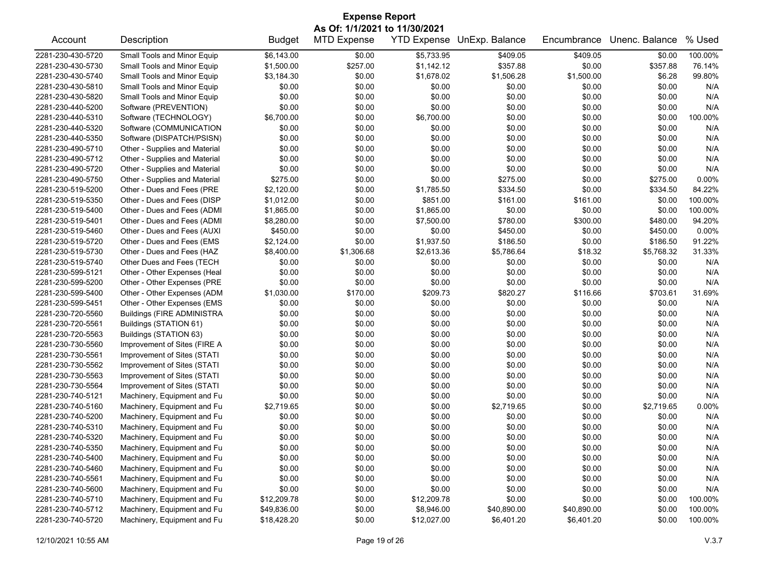| <b>Expense Report</b> |                                   |               |                    |                    |                |             |                |         |  |  |
|-----------------------|-----------------------------------|---------------|--------------------|--------------------|----------------|-------------|----------------|---------|--|--|
|                       | As Of: 1/1/2021 to 11/30/2021     |               |                    |                    |                |             |                |         |  |  |
| Account               | Description                       | <b>Budget</b> | <b>MTD Expense</b> | <b>YTD Expense</b> | UnExp. Balance | Encumbrance | Unenc. Balance | % Used  |  |  |
| 2281-230-430-5720     | Small Tools and Minor Equip       | \$6,143.00    | \$0.00             | \$5,733.95         | \$409.05       | \$409.05    | \$0.00         | 100.00% |  |  |
| 2281-230-430-5730     | Small Tools and Minor Equip       | \$1,500.00    | \$257.00           | \$1,142.12         | \$357.88       | \$0.00      | \$357.88       | 76.14%  |  |  |
| 2281-230-430-5740     | Small Tools and Minor Equip       | \$3,184.30    | \$0.00             | \$1,678.02         | \$1,506.28     | \$1,500.00  | \$6.28         | 99.80%  |  |  |
| 2281-230-430-5810     | Small Tools and Minor Equip       | \$0.00        | \$0.00             | \$0.00             | \$0.00         | \$0.00      | \$0.00         | N/A     |  |  |
| 2281-230-430-5820     | Small Tools and Minor Equip       | \$0.00        | \$0.00             | \$0.00             | \$0.00         | \$0.00      | \$0.00         | N/A     |  |  |
| 2281-230-440-5200     | Software (PREVENTION)             | \$0.00        | \$0.00             | \$0.00             | \$0.00         | \$0.00      | \$0.00         | N/A     |  |  |
| 2281-230-440-5310     | Software (TECHNOLOGY)             | \$6,700.00    | \$0.00             | \$6,700.00         | \$0.00         | \$0.00      | \$0.00         | 100.00% |  |  |
| 2281-230-440-5320     | Software (COMMUNICATION           | \$0.00        | \$0.00             | \$0.00             | \$0.00         | \$0.00      | \$0.00         | N/A     |  |  |
| 2281-230-440-5350     | Software (DISPATCH/PSISN)         | \$0.00        | \$0.00             | \$0.00             | \$0.00         | \$0.00      | \$0.00         | N/A     |  |  |
| 2281-230-490-5710     | Other - Supplies and Material     | \$0.00        | \$0.00             | \$0.00             | \$0.00         | \$0.00      | \$0.00         | N/A     |  |  |
| 2281-230-490-5712     | Other - Supplies and Material     | \$0.00        | \$0.00             | \$0.00             | \$0.00         | \$0.00      | \$0.00         | N/A     |  |  |
| 2281-230-490-5720     | Other - Supplies and Material     | \$0.00        | \$0.00             | \$0.00             | \$0.00         | \$0.00      | \$0.00         | N/A     |  |  |
| 2281-230-490-5750     | Other - Supplies and Material     | \$275.00      | \$0.00             | \$0.00             | \$275.00       | \$0.00      | \$275.00       | 0.00%   |  |  |
| 2281-230-519-5200     | Other - Dues and Fees (PRE        | \$2,120.00    | \$0.00             | \$1,785.50         | \$334.50       | \$0.00      | \$334.50       | 84.22%  |  |  |
| 2281-230-519-5350     | Other - Dues and Fees (DISP       | \$1,012.00    | \$0.00             | \$851.00           | \$161.00       | \$161.00    | \$0.00         | 100.00% |  |  |
| 2281-230-519-5400     | Other - Dues and Fees (ADMI       | \$1,865.00    | \$0.00             | \$1,865.00         | \$0.00         | \$0.00      | \$0.00         | 100.00% |  |  |
| 2281-230-519-5401     | Other - Dues and Fees (ADMI       | \$8,280.00    | \$0.00             | \$7,500.00         | \$780.00       | \$300.00    | \$480.00       | 94.20%  |  |  |
| 2281-230-519-5460     | Other - Dues and Fees (AUXI       | \$450.00      | \$0.00             | \$0.00             | \$450.00       | \$0.00      | \$450.00       | 0.00%   |  |  |
| 2281-230-519-5720     | Other - Dues and Fees (EMS        | \$2,124.00    | \$0.00             | \$1,937.50         | \$186.50       | \$0.00      | \$186.50       | 91.22%  |  |  |
| 2281-230-519-5730     | Other - Dues and Fees (HAZ        | \$8,400.00    | \$1,306.68         | \$2,613.36         | \$5,786.64     | \$18.32     | \$5,768.32     | 31.33%  |  |  |
| 2281-230-519-5740     | Other Dues and Fees (TECH         | \$0.00        | \$0.00             | \$0.00             | \$0.00         | \$0.00      | \$0.00         | N/A     |  |  |
| 2281-230-599-5121     | Other - Other Expenses (Heal      | \$0.00        | \$0.00             | \$0.00             | \$0.00         | \$0.00      | \$0.00         | N/A     |  |  |
| 2281-230-599-5200     | Other - Other Expenses (PRE       | \$0.00        | \$0.00             | \$0.00             | \$0.00         | \$0.00      | \$0.00         | N/A     |  |  |
| 2281-230-599-5400     | Other - Other Expenses (ADM       | \$1,030.00    | \$170.00           | \$209.73           | \$820.27       | \$116.66    | \$703.61       | 31.69%  |  |  |
| 2281-230-599-5451     | Other - Other Expenses (EMS       | \$0.00        | \$0.00             | \$0.00             | \$0.00         | \$0.00      | \$0.00         | N/A     |  |  |
| 2281-230-720-5560     | <b>Buildings (FIRE ADMINISTRA</b> | \$0.00        | \$0.00             | \$0.00             | \$0.00         | \$0.00      | \$0.00         | N/A     |  |  |
| 2281-230-720-5561     | Buildings (STATION 61)            | \$0.00        | \$0.00             | \$0.00             | \$0.00         | \$0.00      | \$0.00         | N/A     |  |  |
| 2281-230-720-5563     | Buildings (STATION 63)            | \$0.00        | \$0.00             | \$0.00             | \$0.00         | \$0.00      | \$0.00         | N/A     |  |  |
| 2281-230-730-5560     | Improvement of Sites (FIRE A      | \$0.00        | \$0.00             | \$0.00             | \$0.00         | \$0.00      | \$0.00         | N/A     |  |  |
| 2281-230-730-5561     | Improvement of Sites (STATI       | \$0.00        | \$0.00             | \$0.00             | \$0.00         | \$0.00      | \$0.00         | N/A     |  |  |
| 2281-230-730-5562     | Improvement of Sites (STATI       | \$0.00        | \$0.00             | \$0.00             | \$0.00         | \$0.00      | \$0.00         | N/A     |  |  |
| 2281-230-730-5563     | Improvement of Sites (STATI       | \$0.00        | \$0.00             | \$0.00             | \$0.00         | \$0.00      | \$0.00         | N/A     |  |  |
| 2281-230-730-5564     | Improvement of Sites (STATI       | \$0.00        | \$0.00             | \$0.00             | \$0.00         | \$0.00      | \$0.00         | N/A     |  |  |
| 2281-230-740-5121     | Machinery, Equipment and Fu       | \$0.00        | \$0.00             | \$0.00             | \$0.00         | \$0.00      | \$0.00         | N/A     |  |  |
| 2281-230-740-5160     | Machinery, Equipment and Fu       | \$2,719.65    | \$0.00             | \$0.00             | \$2,719.65     | \$0.00      | \$2,719.65     | 0.00%   |  |  |
| 2281-230-740-5200     | Machinery, Equipment and Fu       | \$0.00        | \$0.00             | \$0.00             | \$0.00         | \$0.00      | \$0.00         | N/A     |  |  |
| 2281-230-740-5310     | Machinery, Equipment and Fu       | \$0.00        | \$0.00             | \$0.00             | \$0.00         | \$0.00      | \$0.00         | N/A     |  |  |
| 2281-230-740-5320     | Machinery, Equipment and Fu       | \$0.00        | \$0.00             | \$0.00             | \$0.00         | \$0.00      | \$0.00         | N/A     |  |  |
| 2281-230-740-5350     | Machinery, Equipment and Fu       | \$0.00        | \$0.00             | \$0.00             | \$0.00         | \$0.00      | \$0.00         | N/A     |  |  |
| 2281-230-740-5400     | Machinery, Equipment and Fu       | \$0.00        | \$0.00             | \$0.00             | \$0.00         | \$0.00      | \$0.00         | N/A     |  |  |
| 2281-230-740-5460     | Machinery, Equipment and Fu       | \$0.00        | \$0.00             | \$0.00             | \$0.00         | \$0.00      | \$0.00         | N/A     |  |  |
| 2281-230-740-5561     | Machinery, Equipment and Fu       | \$0.00        | \$0.00             | \$0.00             | \$0.00         | \$0.00      | \$0.00         | N/A     |  |  |
| 2281-230-740-5600     | Machinery, Equipment and Fu       | \$0.00        | \$0.00             | \$0.00             | \$0.00         | \$0.00      | \$0.00         | N/A     |  |  |
| 2281-230-740-5710     | Machinery, Equipment and Fu       | \$12,209.78   | \$0.00             | \$12,209.78        | \$0.00         | \$0.00      | \$0.00         | 100.00% |  |  |
| 2281-230-740-5712     | Machinery, Equipment and Fu       | \$49,836.00   | \$0.00             | \$8,946.00         | \$40,890.00    | \$40,890.00 | \$0.00         | 100.00% |  |  |
| 2281-230-740-5720     | Machinery, Equipment and Fu       | \$18,428.20   | \$0.00             | \$12,027.00        | \$6,401.20     | \$6,401.20  | \$0.00         | 100.00% |  |  |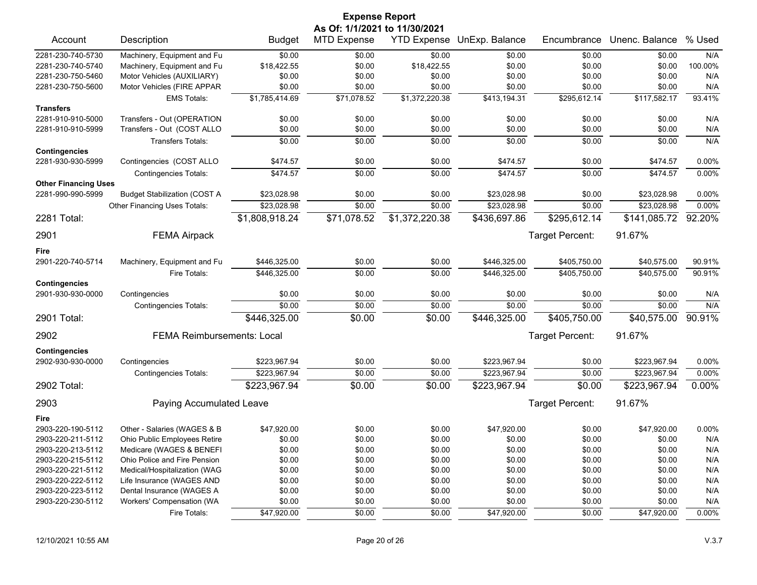| As Of: 1/1/2021 to 11/30/2021<br>YTD Expense UnExp. Balance<br>Unenc. Balance<br>% Used<br>Description<br><b>MTD Expense</b><br>Encumbrance<br>Account<br><b>Budget</b><br>Machinery, Equipment and Fu<br>\$0.00<br>\$0.00<br>\$0.00<br>\$0.00<br>N/A<br>\$0.00<br>\$0.00<br>\$0.00<br>100.00%<br>Machinery, Equipment and Fu<br>\$18,422.55<br>\$0.00<br>\$18,422.55<br>\$0.00<br>\$0.00<br>\$0.00<br>N/A<br>Motor Vehicles (AUXILIARY)<br>\$0.00<br>\$0.00<br>\$0.00<br>\$0.00<br>\$0.00<br>\$0.00<br>\$0.00<br>\$0.00<br>\$0.00<br>\$0.00<br>\$0.00<br>Motor Vehicles (FIRE APPAR<br>N/A<br>\$71,078.52<br>\$1,372,220.38<br>\$295,612.14<br>93.41%<br>\$1,785,414.69<br>\$413,194.31<br>\$117,582.17<br><b>EMS Totals:</b><br>N/A<br>Transfers - Out (OPERATION<br>\$0.00<br>\$0.00<br>\$0.00<br>\$0.00<br>\$0.00<br>\$0.00<br>Transfers - Out (COST ALLO<br>\$0.00<br>\$0.00<br>\$0.00<br>\$0.00<br>\$0.00<br>\$0.00<br>N/A<br>\$0.00<br><b>Transfers Totals:</b><br>\$0.00<br>\$0.00<br>\$0.00<br>\$0.00<br>\$0.00<br>N/A<br>0.00%<br>Contingencies (COST ALLO<br>\$474.57<br>\$0.00<br>\$0.00<br>\$474.57<br>\$0.00<br>\$474.57<br>\$474.57<br>\$474.57<br>0.00%<br>\$474.57<br>\$0.00<br>\$0.00<br>\$0.00<br><b>Contingencies Totals:</b><br><b>Other Financing Uses</b><br>2281-990-990-5999<br>\$23,028.98<br>\$23,028.98<br>0.00%<br><b>Budget Stabilization (COST A</b><br>\$0.00<br>\$0.00<br>\$0.00<br>\$23,028.98<br>\$23,028.98<br>\$0.00<br>\$0.00<br>\$23,028.98<br>\$0.00<br>\$23,028.98<br>0.00%<br>Other Financing Uses Totals:<br>\$71,078.52<br>\$1,372,220.38<br>\$1,808,918.24<br>\$436,697.86<br>\$295,612.14<br>\$141,085.72<br>92.20%<br>91.67%<br>Target Percent:<br><b>FEMA Airpack</b><br>Fire<br>2901-220-740-5714<br>90.91%<br>Machinery, Equipment and Fu<br>\$446,325.00<br>\$0.00<br>\$0.00<br>\$446,325.00<br>\$405,750.00<br>\$40,575.00<br>\$40,575.00<br>90.91%<br>\$446,325.00<br>\$0.00<br>\$0.00<br>\$446,325.00<br>\$405.750.00<br>Fire Totals:<br>\$0.00<br>\$0.00<br>\$0.00<br>\$0.00<br>\$0.00<br>\$0.00<br>N/A<br>Contingencies<br>\$0.00<br>\$0.00<br>\$0.00<br>\$0.00<br>N/A<br><b>Contingencies Totals:</b><br>\$0.00<br>\$0.00<br>\$0.00<br>90.91%<br>\$446,325.00<br>\$0.00<br>\$446,325.00<br>\$405,750.00<br>\$40,575.00<br>91.67%<br><b>FEMA Reimbursements: Local</b><br>Target Percent:<br>\$223,967.94<br>\$0.00<br>\$0.00<br>\$223,967.94<br>\$0.00<br>\$223,967.94<br>0.00%<br>Contingencies<br>\$223,967.94<br>\$0.00<br>\$0.00<br>\$223,967.94<br>0.00%<br>\$0.00<br>\$223,967.94<br><b>Contingencies Totals:</b><br>0.00%<br>\$223,967.94<br>\$0.00<br>\$0.00<br>\$223,967.94<br>\$0.00<br>\$223,967.94<br>91.67%<br>Paying Accumulated Leave<br>Target Percent:<br>Fire<br>Other - Salaries (WAGES & B<br>\$47,920.00<br>\$0.00<br>\$47,920.00<br>\$47,920.00<br>0.00%<br>\$0.00<br>\$0.00<br>\$0.00<br>Ohio Public Employees Retire<br>\$0.00<br>\$0.00<br>\$0.00<br>\$0.00<br>\$0.00<br>N/A<br>Medicare (WAGES & BENEFI<br>\$0.00<br>\$0.00<br>\$0.00<br>\$0.00<br>\$0.00<br>\$0.00<br>N/A<br>\$0.00<br>Ohio Police and Fire Pension<br>\$0.00<br>\$0.00<br>\$0.00<br>\$0.00<br>\$0.00<br>N/A<br>Medical/Hospitalization (WAG<br>\$0.00<br>\$0.00<br>\$0.00<br>\$0.00<br>\$0.00<br>\$0.00<br>N/A<br>Life Insurance (WAGES AND<br>\$0.00<br>\$0.00<br>\$0.00<br>\$0.00<br>\$0.00<br>\$0.00<br>N/A<br>Dental Insurance (WAGES A<br>\$0.00<br>\$0.00<br>\$0.00<br>\$0.00<br>\$0.00<br>\$0.00<br>N/A<br>Workers' Compensation (WA<br>\$0.00<br>\$0.00<br>\$0.00<br>\$0.00<br>\$0.00<br>\$0.00<br>N/A |                      |  | <b>Expense Report</b> |  |  |  |
|---------------------------------------------------------------------------------------------------------------------------------------------------------------------------------------------------------------------------------------------------------------------------------------------------------------------------------------------------------------------------------------------------------------------------------------------------------------------------------------------------------------------------------------------------------------------------------------------------------------------------------------------------------------------------------------------------------------------------------------------------------------------------------------------------------------------------------------------------------------------------------------------------------------------------------------------------------------------------------------------------------------------------------------------------------------------------------------------------------------------------------------------------------------------------------------------------------------------------------------------------------------------------------------------------------------------------------------------------------------------------------------------------------------------------------------------------------------------------------------------------------------------------------------------------------------------------------------------------------------------------------------------------------------------------------------------------------------------------------------------------------------------------------------------------------------------------------------------------------------------------------------------------------------------------------------------------------------------------------------------------------------------------------------------------------------------------------------------------------------------------------------------------------------------------------------------------------------------------------------------------------------------------------------------------------------------------------------------------------------------------------------------------------------------------------------------------------------------------------------------------------------------------------------------------------------------------------------------------------------------------------------------------------------------------------------------------------------------------------------------------------------------------------------------------------------------------------------------------------------------------------------------------------------------------------------------------------------------------------------------------------------------------------------------------------------------------------------------------------------------------------------------------------------------------------------------------------------------------------------------------------------------------------------------------------------------------------------------------------------------------------------------------------------------------------------------------------------------------------------------------------------------------------------------------------------------|----------------------|--|-----------------------|--|--|--|
|                                                                                                                                                                                                                                                                                                                                                                                                                                                                                                                                                                                                                                                                                                                                                                                                                                                                                                                                                                                                                                                                                                                                                                                                                                                                                                                                                                                                                                                                                                                                                                                                                                                                                                                                                                                                                                                                                                                                                                                                                                                                                                                                                                                                                                                                                                                                                                                                                                                                                                                                                                                                                                                                                                                                                                                                                                                                                                                                                                                                                                                                                                                                                                                                                                                                                                                                                                                                                                                                                                                                                                     |                      |  |                       |  |  |  |
|                                                                                                                                                                                                                                                                                                                                                                                                                                                                                                                                                                                                                                                                                                                                                                                                                                                                                                                                                                                                                                                                                                                                                                                                                                                                                                                                                                                                                                                                                                                                                                                                                                                                                                                                                                                                                                                                                                                                                                                                                                                                                                                                                                                                                                                                                                                                                                                                                                                                                                                                                                                                                                                                                                                                                                                                                                                                                                                                                                                                                                                                                                                                                                                                                                                                                                                                                                                                                                                                                                                                                                     |                      |  |                       |  |  |  |
|                                                                                                                                                                                                                                                                                                                                                                                                                                                                                                                                                                                                                                                                                                                                                                                                                                                                                                                                                                                                                                                                                                                                                                                                                                                                                                                                                                                                                                                                                                                                                                                                                                                                                                                                                                                                                                                                                                                                                                                                                                                                                                                                                                                                                                                                                                                                                                                                                                                                                                                                                                                                                                                                                                                                                                                                                                                                                                                                                                                                                                                                                                                                                                                                                                                                                                                                                                                                                                                                                                                                                                     | 2281-230-740-5730    |  |                       |  |  |  |
|                                                                                                                                                                                                                                                                                                                                                                                                                                                                                                                                                                                                                                                                                                                                                                                                                                                                                                                                                                                                                                                                                                                                                                                                                                                                                                                                                                                                                                                                                                                                                                                                                                                                                                                                                                                                                                                                                                                                                                                                                                                                                                                                                                                                                                                                                                                                                                                                                                                                                                                                                                                                                                                                                                                                                                                                                                                                                                                                                                                                                                                                                                                                                                                                                                                                                                                                                                                                                                                                                                                                                                     | 2281-230-740-5740    |  |                       |  |  |  |
|                                                                                                                                                                                                                                                                                                                                                                                                                                                                                                                                                                                                                                                                                                                                                                                                                                                                                                                                                                                                                                                                                                                                                                                                                                                                                                                                                                                                                                                                                                                                                                                                                                                                                                                                                                                                                                                                                                                                                                                                                                                                                                                                                                                                                                                                                                                                                                                                                                                                                                                                                                                                                                                                                                                                                                                                                                                                                                                                                                                                                                                                                                                                                                                                                                                                                                                                                                                                                                                                                                                                                                     | 2281-230-750-5460    |  |                       |  |  |  |
|                                                                                                                                                                                                                                                                                                                                                                                                                                                                                                                                                                                                                                                                                                                                                                                                                                                                                                                                                                                                                                                                                                                                                                                                                                                                                                                                                                                                                                                                                                                                                                                                                                                                                                                                                                                                                                                                                                                                                                                                                                                                                                                                                                                                                                                                                                                                                                                                                                                                                                                                                                                                                                                                                                                                                                                                                                                                                                                                                                                                                                                                                                                                                                                                                                                                                                                                                                                                                                                                                                                                                                     | 2281-230-750-5600    |  |                       |  |  |  |
|                                                                                                                                                                                                                                                                                                                                                                                                                                                                                                                                                                                                                                                                                                                                                                                                                                                                                                                                                                                                                                                                                                                                                                                                                                                                                                                                                                                                                                                                                                                                                                                                                                                                                                                                                                                                                                                                                                                                                                                                                                                                                                                                                                                                                                                                                                                                                                                                                                                                                                                                                                                                                                                                                                                                                                                                                                                                                                                                                                                                                                                                                                                                                                                                                                                                                                                                                                                                                                                                                                                                                                     |                      |  |                       |  |  |  |
|                                                                                                                                                                                                                                                                                                                                                                                                                                                                                                                                                                                                                                                                                                                                                                                                                                                                                                                                                                                                                                                                                                                                                                                                                                                                                                                                                                                                                                                                                                                                                                                                                                                                                                                                                                                                                                                                                                                                                                                                                                                                                                                                                                                                                                                                                                                                                                                                                                                                                                                                                                                                                                                                                                                                                                                                                                                                                                                                                                                                                                                                                                                                                                                                                                                                                                                                                                                                                                                                                                                                                                     | <b>Transfers</b>     |  |                       |  |  |  |
|                                                                                                                                                                                                                                                                                                                                                                                                                                                                                                                                                                                                                                                                                                                                                                                                                                                                                                                                                                                                                                                                                                                                                                                                                                                                                                                                                                                                                                                                                                                                                                                                                                                                                                                                                                                                                                                                                                                                                                                                                                                                                                                                                                                                                                                                                                                                                                                                                                                                                                                                                                                                                                                                                                                                                                                                                                                                                                                                                                                                                                                                                                                                                                                                                                                                                                                                                                                                                                                                                                                                                                     | 2281-910-910-5000    |  |                       |  |  |  |
|                                                                                                                                                                                                                                                                                                                                                                                                                                                                                                                                                                                                                                                                                                                                                                                                                                                                                                                                                                                                                                                                                                                                                                                                                                                                                                                                                                                                                                                                                                                                                                                                                                                                                                                                                                                                                                                                                                                                                                                                                                                                                                                                                                                                                                                                                                                                                                                                                                                                                                                                                                                                                                                                                                                                                                                                                                                                                                                                                                                                                                                                                                                                                                                                                                                                                                                                                                                                                                                                                                                                                                     | 2281-910-910-5999    |  |                       |  |  |  |
|                                                                                                                                                                                                                                                                                                                                                                                                                                                                                                                                                                                                                                                                                                                                                                                                                                                                                                                                                                                                                                                                                                                                                                                                                                                                                                                                                                                                                                                                                                                                                                                                                                                                                                                                                                                                                                                                                                                                                                                                                                                                                                                                                                                                                                                                                                                                                                                                                                                                                                                                                                                                                                                                                                                                                                                                                                                                                                                                                                                                                                                                                                                                                                                                                                                                                                                                                                                                                                                                                                                                                                     |                      |  |                       |  |  |  |
|                                                                                                                                                                                                                                                                                                                                                                                                                                                                                                                                                                                                                                                                                                                                                                                                                                                                                                                                                                                                                                                                                                                                                                                                                                                                                                                                                                                                                                                                                                                                                                                                                                                                                                                                                                                                                                                                                                                                                                                                                                                                                                                                                                                                                                                                                                                                                                                                                                                                                                                                                                                                                                                                                                                                                                                                                                                                                                                                                                                                                                                                                                                                                                                                                                                                                                                                                                                                                                                                                                                                                                     | <b>Contingencies</b> |  |                       |  |  |  |
|                                                                                                                                                                                                                                                                                                                                                                                                                                                                                                                                                                                                                                                                                                                                                                                                                                                                                                                                                                                                                                                                                                                                                                                                                                                                                                                                                                                                                                                                                                                                                                                                                                                                                                                                                                                                                                                                                                                                                                                                                                                                                                                                                                                                                                                                                                                                                                                                                                                                                                                                                                                                                                                                                                                                                                                                                                                                                                                                                                                                                                                                                                                                                                                                                                                                                                                                                                                                                                                                                                                                                                     | 2281-930-930-5999    |  |                       |  |  |  |
|                                                                                                                                                                                                                                                                                                                                                                                                                                                                                                                                                                                                                                                                                                                                                                                                                                                                                                                                                                                                                                                                                                                                                                                                                                                                                                                                                                                                                                                                                                                                                                                                                                                                                                                                                                                                                                                                                                                                                                                                                                                                                                                                                                                                                                                                                                                                                                                                                                                                                                                                                                                                                                                                                                                                                                                                                                                                                                                                                                                                                                                                                                                                                                                                                                                                                                                                                                                                                                                                                                                                                                     |                      |  |                       |  |  |  |
|                                                                                                                                                                                                                                                                                                                                                                                                                                                                                                                                                                                                                                                                                                                                                                                                                                                                                                                                                                                                                                                                                                                                                                                                                                                                                                                                                                                                                                                                                                                                                                                                                                                                                                                                                                                                                                                                                                                                                                                                                                                                                                                                                                                                                                                                                                                                                                                                                                                                                                                                                                                                                                                                                                                                                                                                                                                                                                                                                                                                                                                                                                                                                                                                                                                                                                                                                                                                                                                                                                                                                                     |                      |  |                       |  |  |  |
|                                                                                                                                                                                                                                                                                                                                                                                                                                                                                                                                                                                                                                                                                                                                                                                                                                                                                                                                                                                                                                                                                                                                                                                                                                                                                                                                                                                                                                                                                                                                                                                                                                                                                                                                                                                                                                                                                                                                                                                                                                                                                                                                                                                                                                                                                                                                                                                                                                                                                                                                                                                                                                                                                                                                                                                                                                                                                                                                                                                                                                                                                                                                                                                                                                                                                                                                                                                                                                                                                                                                                                     |                      |  |                       |  |  |  |
|                                                                                                                                                                                                                                                                                                                                                                                                                                                                                                                                                                                                                                                                                                                                                                                                                                                                                                                                                                                                                                                                                                                                                                                                                                                                                                                                                                                                                                                                                                                                                                                                                                                                                                                                                                                                                                                                                                                                                                                                                                                                                                                                                                                                                                                                                                                                                                                                                                                                                                                                                                                                                                                                                                                                                                                                                                                                                                                                                                                                                                                                                                                                                                                                                                                                                                                                                                                                                                                                                                                                                                     |                      |  |                       |  |  |  |
|                                                                                                                                                                                                                                                                                                                                                                                                                                                                                                                                                                                                                                                                                                                                                                                                                                                                                                                                                                                                                                                                                                                                                                                                                                                                                                                                                                                                                                                                                                                                                                                                                                                                                                                                                                                                                                                                                                                                                                                                                                                                                                                                                                                                                                                                                                                                                                                                                                                                                                                                                                                                                                                                                                                                                                                                                                                                                                                                                                                                                                                                                                                                                                                                                                                                                                                                                                                                                                                                                                                                                                     | 2281 Total:          |  |                       |  |  |  |
|                                                                                                                                                                                                                                                                                                                                                                                                                                                                                                                                                                                                                                                                                                                                                                                                                                                                                                                                                                                                                                                                                                                                                                                                                                                                                                                                                                                                                                                                                                                                                                                                                                                                                                                                                                                                                                                                                                                                                                                                                                                                                                                                                                                                                                                                                                                                                                                                                                                                                                                                                                                                                                                                                                                                                                                                                                                                                                                                                                                                                                                                                                                                                                                                                                                                                                                                                                                                                                                                                                                                                                     | 2901                 |  |                       |  |  |  |
|                                                                                                                                                                                                                                                                                                                                                                                                                                                                                                                                                                                                                                                                                                                                                                                                                                                                                                                                                                                                                                                                                                                                                                                                                                                                                                                                                                                                                                                                                                                                                                                                                                                                                                                                                                                                                                                                                                                                                                                                                                                                                                                                                                                                                                                                                                                                                                                                                                                                                                                                                                                                                                                                                                                                                                                                                                                                                                                                                                                                                                                                                                                                                                                                                                                                                                                                                                                                                                                                                                                                                                     |                      |  |                       |  |  |  |
|                                                                                                                                                                                                                                                                                                                                                                                                                                                                                                                                                                                                                                                                                                                                                                                                                                                                                                                                                                                                                                                                                                                                                                                                                                                                                                                                                                                                                                                                                                                                                                                                                                                                                                                                                                                                                                                                                                                                                                                                                                                                                                                                                                                                                                                                                                                                                                                                                                                                                                                                                                                                                                                                                                                                                                                                                                                                                                                                                                                                                                                                                                                                                                                                                                                                                                                                                                                                                                                                                                                                                                     |                      |  |                       |  |  |  |
|                                                                                                                                                                                                                                                                                                                                                                                                                                                                                                                                                                                                                                                                                                                                                                                                                                                                                                                                                                                                                                                                                                                                                                                                                                                                                                                                                                                                                                                                                                                                                                                                                                                                                                                                                                                                                                                                                                                                                                                                                                                                                                                                                                                                                                                                                                                                                                                                                                                                                                                                                                                                                                                                                                                                                                                                                                                                                                                                                                                                                                                                                                                                                                                                                                                                                                                                                                                                                                                                                                                                                                     |                      |  |                       |  |  |  |
|                                                                                                                                                                                                                                                                                                                                                                                                                                                                                                                                                                                                                                                                                                                                                                                                                                                                                                                                                                                                                                                                                                                                                                                                                                                                                                                                                                                                                                                                                                                                                                                                                                                                                                                                                                                                                                                                                                                                                                                                                                                                                                                                                                                                                                                                                                                                                                                                                                                                                                                                                                                                                                                                                                                                                                                                                                                                                                                                                                                                                                                                                                                                                                                                                                                                                                                                                                                                                                                                                                                                                                     | <b>Contingencies</b> |  |                       |  |  |  |
|                                                                                                                                                                                                                                                                                                                                                                                                                                                                                                                                                                                                                                                                                                                                                                                                                                                                                                                                                                                                                                                                                                                                                                                                                                                                                                                                                                                                                                                                                                                                                                                                                                                                                                                                                                                                                                                                                                                                                                                                                                                                                                                                                                                                                                                                                                                                                                                                                                                                                                                                                                                                                                                                                                                                                                                                                                                                                                                                                                                                                                                                                                                                                                                                                                                                                                                                                                                                                                                                                                                                                                     | 2901-930-930-0000    |  |                       |  |  |  |
|                                                                                                                                                                                                                                                                                                                                                                                                                                                                                                                                                                                                                                                                                                                                                                                                                                                                                                                                                                                                                                                                                                                                                                                                                                                                                                                                                                                                                                                                                                                                                                                                                                                                                                                                                                                                                                                                                                                                                                                                                                                                                                                                                                                                                                                                                                                                                                                                                                                                                                                                                                                                                                                                                                                                                                                                                                                                                                                                                                                                                                                                                                                                                                                                                                                                                                                                                                                                                                                                                                                                                                     |                      |  |                       |  |  |  |
|                                                                                                                                                                                                                                                                                                                                                                                                                                                                                                                                                                                                                                                                                                                                                                                                                                                                                                                                                                                                                                                                                                                                                                                                                                                                                                                                                                                                                                                                                                                                                                                                                                                                                                                                                                                                                                                                                                                                                                                                                                                                                                                                                                                                                                                                                                                                                                                                                                                                                                                                                                                                                                                                                                                                                                                                                                                                                                                                                                                                                                                                                                                                                                                                                                                                                                                                                                                                                                                                                                                                                                     | 2901 Total:          |  |                       |  |  |  |
|                                                                                                                                                                                                                                                                                                                                                                                                                                                                                                                                                                                                                                                                                                                                                                                                                                                                                                                                                                                                                                                                                                                                                                                                                                                                                                                                                                                                                                                                                                                                                                                                                                                                                                                                                                                                                                                                                                                                                                                                                                                                                                                                                                                                                                                                                                                                                                                                                                                                                                                                                                                                                                                                                                                                                                                                                                                                                                                                                                                                                                                                                                                                                                                                                                                                                                                                                                                                                                                                                                                                                                     | 2902                 |  |                       |  |  |  |
|                                                                                                                                                                                                                                                                                                                                                                                                                                                                                                                                                                                                                                                                                                                                                                                                                                                                                                                                                                                                                                                                                                                                                                                                                                                                                                                                                                                                                                                                                                                                                                                                                                                                                                                                                                                                                                                                                                                                                                                                                                                                                                                                                                                                                                                                                                                                                                                                                                                                                                                                                                                                                                                                                                                                                                                                                                                                                                                                                                                                                                                                                                                                                                                                                                                                                                                                                                                                                                                                                                                                                                     | <b>Contingencies</b> |  |                       |  |  |  |
|                                                                                                                                                                                                                                                                                                                                                                                                                                                                                                                                                                                                                                                                                                                                                                                                                                                                                                                                                                                                                                                                                                                                                                                                                                                                                                                                                                                                                                                                                                                                                                                                                                                                                                                                                                                                                                                                                                                                                                                                                                                                                                                                                                                                                                                                                                                                                                                                                                                                                                                                                                                                                                                                                                                                                                                                                                                                                                                                                                                                                                                                                                                                                                                                                                                                                                                                                                                                                                                                                                                                                                     | 2902-930-930-0000    |  |                       |  |  |  |
|                                                                                                                                                                                                                                                                                                                                                                                                                                                                                                                                                                                                                                                                                                                                                                                                                                                                                                                                                                                                                                                                                                                                                                                                                                                                                                                                                                                                                                                                                                                                                                                                                                                                                                                                                                                                                                                                                                                                                                                                                                                                                                                                                                                                                                                                                                                                                                                                                                                                                                                                                                                                                                                                                                                                                                                                                                                                                                                                                                                                                                                                                                                                                                                                                                                                                                                                                                                                                                                                                                                                                                     |                      |  |                       |  |  |  |
|                                                                                                                                                                                                                                                                                                                                                                                                                                                                                                                                                                                                                                                                                                                                                                                                                                                                                                                                                                                                                                                                                                                                                                                                                                                                                                                                                                                                                                                                                                                                                                                                                                                                                                                                                                                                                                                                                                                                                                                                                                                                                                                                                                                                                                                                                                                                                                                                                                                                                                                                                                                                                                                                                                                                                                                                                                                                                                                                                                                                                                                                                                                                                                                                                                                                                                                                                                                                                                                                                                                                                                     | 2902 Total:          |  |                       |  |  |  |
|                                                                                                                                                                                                                                                                                                                                                                                                                                                                                                                                                                                                                                                                                                                                                                                                                                                                                                                                                                                                                                                                                                                                                                                                                                                                                                                                                                                                                                                                                                                                                                                                                                                                                                                                                                                                                                                                                                                                                                                                                                                                                                                                                                                                                                                                                                                                                                                                                                                                                                                                                                                                                                                                                                                                                                                                                                                                                                                                                                                                                                                                                                                                                                                                                                                                                                                                                                                                                                                                                                                                                                     | 2903                 |  |                       |  |  |  |
|                                                                                                                                                                                                                                                                                                                                                                                                                                                                                                                                                                                                                                                                                                                                                                                                                                                                                                                                                                                                                                                                                                                                                                                                                                                                                                                                                                                                                                                                                                                                                                                                                                                                                                                                                                                                                                                                                                                                                                                                                                                                                                                                                                                                                                                                                                                                                                                                                                                                                                                                                                                                                                                                                                                                                                                                                                                                                                                                                                                                                                                                                                                                                                                                                                                                                                                                                                                                                                                                                                                                                                     |                      |  |                       |  |  |  |
|                                                                                                                                                                                                                                                                                                                                                                                                                                                                                                                                                                                                                                                                                                                                                                                                                                                                                                                                                                                                                                                                                                                                                                                                                                                                                                                                                                                                                                                                                                                                                                                                                                                                                                                                                                                                                                                                                                                                                                                                                                                                                                                                                                                                                                                                                                                                                                                                                                                                                                                                                                                                                                                                                                                                                                                                                                                                                                                                                                                                                                                                                                                                                                                                                                                                                                                                                                                                                                                                                                                                                                     | 2903-220-190-5112    |  |                       |  |  |  |
|                                                                                                                                                                                                                                                                                                                                                                                                                                                                                                                                                                                                                                                                                                                                                                                                                                                                                                                                                                                                                                                                                                                                                                                                                                                                                                                                                                                                                                                                                                                                                                                                                                                                                                                                                                                                                                                                                                                                                                                                                                                                                                                                                                                                                                                                                                                                                                                                                                                                                                                                                                                                                                                                                                                                                                                                                                                                                                                                                                                                                                                                                                                                                                                                                                                                                                                                                                                                                                                                                                                                                                     | 2903-220-211-5112    |  |                       |  |  |  |
|                                                                                                                                                                                                                                                                                                                                                                                                                                                                                                                                                                                                                                                                                                                                                                                                                                                                                                                                                                                                                                                                                                                                                                                                                                                                                                                                                                                                                                                                                                                                                                                                                                                                                                                                                                                                                                                                                                                                                                                                                                                                                                                                                                                                                                                                                                                                                                                                                                                                                                                                                                                                                                                                                                                                                                                                                                                                                                                                                                                                                                                                                                                                                                                                                                                                                                                                                                                                                                                                                                                                                                     | 2903-220-213-5112    |  |                       |  |  |  |
|                                                                                                                                                                                                                                                                                                                                                                                                                                                                                                                                                                                                                                                                                                                                                                                                                                                                                                                                                                                                                                                                                                                                                                                                                                                                                                                                                                                                                                                                                                                                                                                                                                                                                                                                                                                                                                                                                                                                                                                                                                                                                                                                                                                                                                                                                                                                                                                                                                                                                                                                                                                                                                                                                                                                                                                                                                                                                                                                                                                                                                                                                                                                                                                                                                                                                                                                                                                                                                                                                                                                                                     | 2903-220-215-5112    |  |                       |  |  |  |
|                                                                                                                                                                                                                                                                                                                                                                                                                                                                                                                                                                                                                                                                                                                                                                                                                                                                                                                                                                                                                                                                                                                                                                                                                                                                                                                                                                                                                                                                                                                                                                                                                                                                                                                                                                                                                                                                                                                                                                                                                                                                                                                                                                                                                                                                                                                                                                                                                                                                                                                                                                                                                                                                                                                                                                                                                                                                                                                                                                                                                                                                                                                                                                                                                                                                                                                                                                                                                                                                                                                                                                     | 2903-220-221-5112    |  |                       |  |  |  |
|                                                                                                                                                                                                                                                                                                                                                                                                                                                                                                                                                                                                                                                                                                                                                                                                                                                                                                                                                                                                                                                                                                                                                                                                                                                                                                                                                                                                                                                                                                                                                                                                                                                                                                                                                                                                                                                                                                                                                                                                                                                                                                                                                                                                                                                                                                                                                                                                                                                                                                                                                                                                                                                                                                                                                                                                                                                                                                                                                                                                                                                                                                                                                                                                                                                                                                                                                                                                                                                                                                                                                                     | 2903-220-222-5112    |  |                       |  |  |  |
|                                                                                                                                                                                                                                                                                                                                                                                                                                                                                                                                                                                                                                                                                                                                                                                                                                                                                                                                                                                                                                                                                                                                                                                                                                                                                                                                                                                                                                                                                                                                                                                                                                                                                                                                                                                                                                                                                                                                                                                                                                                                                                                                                                                                                                                                                                                                                                                                                                                                                                                                                                                                                                                                                                                                                                                                                                                                                                                                                                                                                                                                                                                                                                                                                                                                                                                                                                                                                                                                                                                                                                     | 2903-220-223-5112    |  |                       |  |  |  |
|                                                                                                                                                                                                                                                                                                                                                                                                                                                                                                                                                                                                                                                                                                                                                                                                                                                                                                                                                                                                                                                                                                                                                                                                                                                                                                                                                                                                                                                                                                                                                                                                                                                                                                                                                                                                                                                                                                                                                                                                                                                                                                                                                                                                                                                                                                                                                                                                                                                                                                                                                                                                                                                                                                                                                                                                                                                                                                                                                                                                                                                                                                                                                                                                                                                                                                                                                                                                                                                                                                                                                                     | 2903-220-230-5112    |  |                       |  |  |  |
| Fire Totals:<br>\$0.00<br>\$0.00<br>\$47,920.00<br>\$47,920.00<br>\$0.00<br>\$47,920.00<br>0.00%                                                                                                                                                                                                                                                                                                                                                                                                                                                                                                                                                                                                                                                                                                                                                                                                                                                                                                                                                                                                                                                                                                                                                                                                                                                                                                                                                                                                                                                                                                                                                                                                                                                                                                                                                                                                                                                                                                                                                                                                                                                                                                                                                                                                                                                                                                                                                                                                                                                                                                                                                                                                                                                                                                                                                                                                                                                                                                                                                                                                                                                                                                                                                                                                                                                                                                                                                                                                                                                                    |                      |  |                       |  |  |  |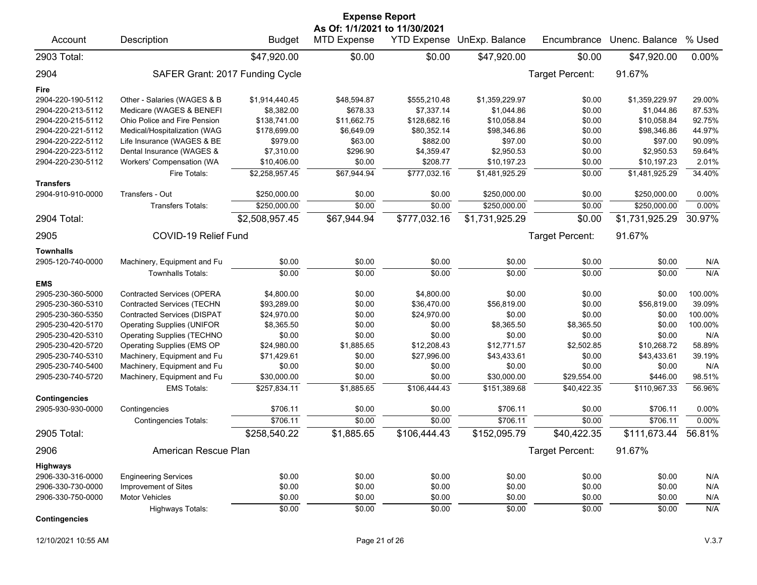| <b>Expense Report</b> |                                    |                |                                                     |                    |                |                 |                |         |  |  |
|-----------------------|------------------------------------|----------------|-----------------------------------------------------|--------------------|----------------|-----------------|----------------|---------|--|--|
| Account               | Description                        | <b>Budget</b>  | As Of: 1/1/2021 to 11/30/2021<br><b>MTD Expense</b> | <b>YTD Expense</b> | UnExp. Balance | Encumbrance     | Unenc. Balance | % Used  |  |  |
| 2903 Total:           |                                    | \$47,920.00    | \$0.00                                              | \$0.00             | \$47,920.00    | \$0.00          | \$47,920.00    | 0.00%   |  |  |
| 2904                  | SAFER Grant: 2017 Funding Cycle    |                |                                                     |                    |                | Target Percent: | 91.67%         |         |  |  |
| Fire                  |                                    |                |                                                     |                    |                |                 |                |         |  |  |
| 2904-220-190-5112     | Other - Salaries (WAGES & B        | \$1,914,440.45 | \$48,594.87                                         | \$555,210.48       | \$1,359,229.97 | \$0.00          | \$1,359,229.97 | 29.00%  |  |  |
| 2904-220-213-5112     | Medicare (WAGES & BENEFI           | \$8,382.00     | \$678.33                                            | \$7,337.14         | \$1,044.86     | \$0.00          | \$1,044.86     | 87.53%  |  |  |
| 2904-220-215-5112     | Ohio Police and Fire Pension       | \$138,741.00   | \$11,662.75                                         | \$128,682.16       | \$10,058.84    | \$0.00          | \$10,058.84    | 92.75%  |  |  |
| 2904-220-221-5112     | Medical/Hospitalization (WAG       | \$178,699.00   | \$6,649.09                                          | \$80,352.14        | \$98,346.86    | \$0.00          | \$98,346.86    | 44.97%  |  |  |
| 2904-220-222-5112     | Life Insurance (WAGES & BE         | \$979.00       | \$63.00                                             | \$882.00           | \$97.00        | \$0.00          | \$97.00        | 90.09%  |  |  |
| 2904-220-223-5112     | Dental Insurance (WAGES &          | \$7,310.00     | \$296.90                                            | \$4,359.47         | \$2,950.53     | \$0.00          | \$2,950.53     | 59.64%  |  |  |
| 2904-220-230-5112     | Workers' Compensation (WA          | \$10,406.00    | \$0.00                                              | \$208.77           | \$10,197.23    | \$0.00          | \$10,197.23    | 2.01%   |  |  |
| <b>Transfers</b>      | Fire Totals:                       | \$2,258,957.45 | \$67,944.94                                         | \$777,032.16       | \$1,481,925.29 | \$0.00          | \$1,481,925.29 | 34.40%  |  |  |
| 2904-910-910-0000     | Transfers - Out                    | \$250,000.00   | \$0.00                                              | \$0.00             | \$250,000.00   | \$0.00          | \$250,000.00   | 0.00%   |  |  |
|                       | <b>Transfers Totals:</b>           | \$250,000.00   | \$0.00                                              | \$0.00             | \$250,000.00   | \$0.00          | \$250,000.00   | 0.00%   |  |  |
| 2904 Total:           |                                    | \$2,508,957.45 | \$67,944.94                                         | \$777,032.16       | \$1,731,925.29 | \$0.00          | \$1,731,925.29 | 30.97%  |  |  |
| 2905                  | <b>COVID-19 Relief Fund</b>        |                |                                                     |                    |                | Target Percent: | 91.67%         |         |  |  |
| <b>Townhalls</b>      |                                    |                |                                                     |                    |                |                 |                |         |  |  |
| 2905-120-740-0000     | Machinery, Equipment and Fu        | \$0.00         | \$0.00                                              | \$0.00             | \$0.00         | \$0.00          | \$0.00         | N/A     |  |  |
|                       | <b>Townhalls Totals:</b>           | \$0.00         | \$0.00                                              | \$0.00             | \$0.00         | \$0.00          | \$0.00         | N/A     |  |  |
| <b>EMS</b>            |                                    |                |                                                     |                    |                |                 |                |         |  |  |
| 2905-230-360-5000     | <b>Contracted Services (OPERA</b>  | \$4,800.00     | \$0.00                                              | \$4,800.00         | \$0.00         | \$0.00          | \$0.00         | 100.00% |  |  |
| 2905-230-360-5310     | <b>Contracted Services (TECHN</b>  | \$93,289.00    | \$0.00                                              | \$36,470.00        | \$56,819.00    | \$0.00          | \$56,819.00    | 39.09%  |  |  |
| 2905-230-360-5350     | <b>Contracted Services (DISPAT</b> | \$24,970.00    | \$0.00                                              | \$24,970.00        | \$0.00         | \$0.00          | \$0.00         | 100.00% |  |  |
| 2905-230-420-5170     | <b>Operating Supplies (UNIFOR</b>  | \$8,365.50     | \$0.00                                              | \$0.00             | \$8,365.50     | \$8,365.50      | \$0.00         | 100.00% |  |  |
| 2905-230-420-5310     | <b>Operating Supplies (TECHNO</b>  | \$0.00         | \$0.00                                              | \$0.00             | \$0.00         | \$0.00          | \$0.00         | N/A     |  |  |
| 2905-230-420-5720     | Operating Supplies (EMS OP         | \$24,980.00    | \$1,885.65                                          | \$12,208.43        | \$12,771.57    | \$2,502.85      | \$10,268.72    | 58.89%  |  |  |
| 2905-230-740-5310     | Machinery, Equipment and Fu        | \$71,429.61    | \$0.00                                              | \$27,996.00        | \$43,433.61    | \$0.00          | \$43,433.61    | 39.19%  |  |  |
| 2905-230-740-5400     | Machinery, Equipment and Fu        | \$0.00         | \$0.00                                              | \$0.00             | \$0.00         | \$0.00          | \$0.00         | N/A     |  |  |
| 2905-230-740-5720     | Machinery, Equipment and Fu        | \$30,000.00    | \$0.00                                              | \$0.00             | \$30,000.00    | \$29,554.00     | \$446.00       | 98.51%  |  |  |
|                       | <b>EMS Totals:</b>                 | \$257,834.11   | \$1,885.65                                          | \$106,444.43       | \$151,389.68   | \$40,422.35     | \$110,967.33   | 56.96%  |  |  |
| <b>Contingencies</b>  |                                    |                |                                                     |                    |                |                 |                |         |  |  |
| 2905-930-930-0000     | Contingencies                      | \$706.11       | \$0.00                                              | \$0.00             | \$706.11       | \$0.00          | \$706.11       | 0.00%   |  |  |
|                       | <b>Contingencies Totals:</b>       | \$706.11       | \$0.00                                              | \$0.00             | \$706.11       | \$0.00          | \$706.11       | 0.00%   |  |  |
| 2905 Total:           |                                    | \$258,540.22   | \$1,885.65                                          | \$106,444.43       | \$152,095.79   | \$40,422.35     | \$111,673.44   | 56.81%  |  |  |
| 2906                  | American Rescue Plan               |                |                                                     |                    |                | Target Percent: | 91.67%         |         |  |  |
| Highways              |                                    |                |                                                     |                    |                |                 |                |         |  |  |
| 2906-330-316-0000     | <b>Engineering Services</b>        | \$0.00         | \$0.00                                              | \$0.00             | \$0.00         | \$0.00          | \$0.00         | N/A     |  |  |
| 2906-330-730-0000     | Improvement of Sites               | \$0.00         | \$0.00                                              | \$0.00             | \$0.00         | \$0.00          | \$0.00         | N/A     |  |  |
| 2906-330-750-0000     | <b>Motor Vehicles</b>              | \$0.00         | \$0.00                                              | \$0.00             | \$0.00         | \$0.00          | \$0.00         | N/A     |  |  |
|                       | Highways Totals:                   | \$0.00         | \$0.00                                              | \$0.00             | \$0.00         | \$0.00          | \$0.00         | N/A     |  |  |
| <b>Contingencies</b>  |                                    |                |                                                     |                    |                |                 |                |         |  |  |

12/10/2021 10:55 AM Page 21 of 26 V.3.7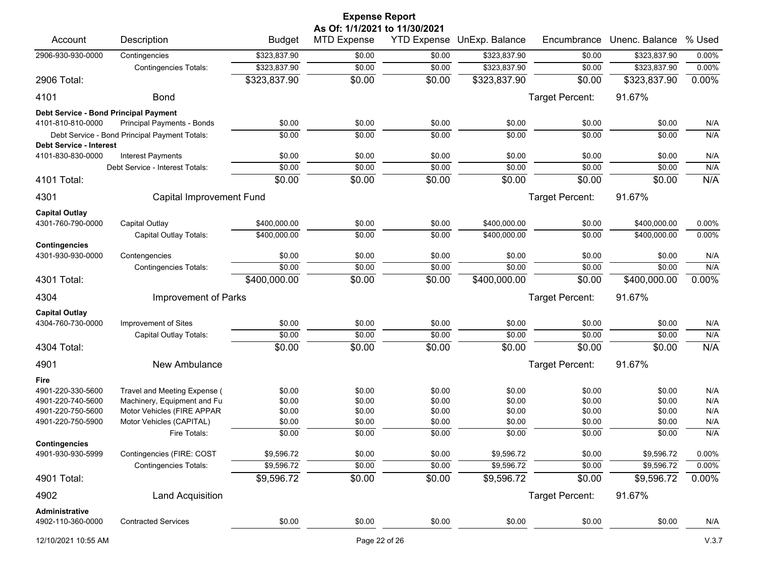| <b>Expense Report</b><br>As Of: 1/1/2021 to 11/30/2021 |                                               |               |                    |                    |                |                 |                |        |  |
|--------------------------------------------------------|-----------------------------------------------|---------------|--------------------|--------------------|----------------|-----------------|----------------|--------|--|
| Account                                                | Description                                   | <b>Budget</b> | <b>MTD Expense</b> | <b>YTD Expense</b> | UnExp. Balance | Encumbrance     | Unenc. Balance | % Used |  |
| 2906-930-930-0000                                      | Contingencies                                 | \$323,837.90  | \$0.00             | \$0.00             | \$323,837.90   | \$0.00          | \$323,837.90   | 0.00%  |  |
|                                                        | <b>Contingencies Totals:</b>                  | \$323,837.90  | \$0.00             | \$0.00             | \$323,837.90   | \$0.00          | \$323,837.90   | 0.00%  |  |
| 2906 Total:                                            |                                               | \$323,837.90  | \$0.00             | \$0.00             | \$323,837.90   | \$0.00          | \$323,837.90   | 0.00%  |  |
| 4101                                                   | <b>Bond</b>                                   |               |                    |                    |                | Target Percent: | 91.67%         |        |  |
| Debt Service - Bond Principal Payment                  |                                               |               |                    |                    |                |                 |                |        |  |
| 4101-810-810-0000                                      | Principal Payments - Bonds                    | \$0.00        | \$0.00             | \$0.00             | \$0.00         | \$0.00          | \$0.00         | N/A    |  |
|                                                        | Debt Service - Bond Principal Payment Totals: | \$0.00        | \$0.00             | \$0.00             | \$0.00         | \$0.00          | \$0.00         | N/A    |  |
| <b>Debt Service - Interest</b>                         |                                               |               |                    |                    |                |                 |                |        |  |
| 4101-830-830-0000                                      | <b>Interest Payments</b>                      | \$0.00        | \$0.00             | \$0.00             | \$0.00         | \$0.00          | \$0.00         | N/A    |  |
|                                                        | Debt Service - Interest Totals:               | \$0.00        | \$0.00             | \$0.00             | \$0.00         | \$0.00          | \$0.00         | N/A    |  |
| 4101 Total:                                            |                                               | \$0.00        | \$0.00             | \$0.00             | \$0.00         | \$0.00          | \$0.00         | N/A    |  |
| 4301                                                   | Capital Improvement Fund                      |               |                    |                    |                | Target Percent: | 91.67%         |        |  |
| <b>Capital Outlay</b>                                  |                                               |               |                    |                    |                |                 |                |        |  |
| 4301-760-790-0000                                      | Capital Outlay                                | \$400,000.00  | \$0.00             | \$0.00             | \$400,000.00   | \$0.00          | \$400,000.00   | 0.00%  |  |
|                                                        | Capital Outlay Totals:                        | \$400,000.00  | \$0.00             | \$0.00             | \$400,000.00   | \$0.00          | \$400,000.00   | 0.00%  |  |
| <b>Contingencies</b><br>4301-930-930-0000              | Contengencies                                 | \$0.00        | \$0.00             | \$0.00             | \$0.00         | \$0.00          | \$0.00         | N/A    |  |
|                                                        | <b>Contingencies Totals:</b>                  | \$0.00        | \$0.00             | \$0.00             | \$0.00         | \$0.00          | \$0.00         | N/A    |  |
| 4301 Total:                                            |                                               | \$400,000.00  | \$0.00             | \$0.00             | \$400,000.00   | \$0.00          | \$400,000.00   | 0.00%  |  |
| 4304                                                   | Improvement of Parks                          |               |                    |                    |                | Target Percent: | 91.67%         |        |  |
| <b>Capital Outlay</b>                                  |                                               |               |                    |                    |                |                 |                |        |  |
| 4304-760-730-0000                                      | Improvement of Sites                          | \$0.00        | \$0.00             | \$0.00             | \$0.00         | \$0.00          | \$0.00         | N/A    |  |
|                                                        | Capital Outlay Totals:                        | \$0.00        | \$0.00             | \$0.00             | \$0.00         | \$0.00          | \$0.00         | N/A    |  |
| 4304 Total:                                            |                                               | \$0.00        | \$0.00             | \$0.00             | \$0.00         | \$0.00          | \$0.00         | N/A    |  |
| 4901                                                   | New Ambulance                                 |               |                    |                    |                | Target Percent: | 91.67%         |        |  |
| Fire                                                   |                                               |               |                    |                    |                |                 |                |        |  |
| 4901-220-330-5600                                      | Travel and Meeting Expense (                  | \$0.00        | \$0.00             | \$0.00             | \$0.00         | \$0.00          | \$0.00         | N/A    |  |
| 4901-220-740-5600                                      | Machinery, Equipment and Fu                   | \$0.00        | \$0.00             | \$0.00             | \$0.00         | \$0.00          | \$0.00         | N/A    |  |
| 4901-220-750-5600                                      | Motor Vehicles (FIRE APPAR                    | \$0.00        | \$0.00             | \$0.00             | \$0.00         | \$0.00          | \$0.00         | N/A    |  |
| 4901-220-750-5900                                      | Motor Vehicles (CAPITAL)                      | \$0.00        | \$0.00             | \$0.00             | \$0.00         | \$0.00          | \$0.00         | N/A    |  |
|                                                        | Fire Totals:                                  | \$0.00        | \$0.00             | \$0.00             | \$0.00         | \$0.00          | \$0.00         | N/A    |  |
| <b>Contingencies</b><br>4901-930-930-5999              | Contingencies (FIRE: COST                     | \$9,596.72    | \$0.00             | \$0.00             | \$9,596.72     | \$0.00          | \$9,596.72     | 0.00%  |  |
|                                                        | <b>Contingencies Totals:</b>                  | \$9,596.72    | \$0.00             | \$0.00             | \$9,596.72     | \$0.00          | \$9,596.72     | 0.00%  |  |
| 4901 Total:                                            |                                               | \$9,596.72    | \$0.00             | \$0.00             | \$9,596.72     | \$0.00          | \$9,596.72     | 0.00%  |  |
| 4902                                                   | Land Acquisition                              |               |                    |                    |                | Target Percent: | 91.67%         |        |  |
| Administrative                                         |                                               |               |                    |                    |                |                 |                |        |  |
| 4902-110-360-0000                                      | <b>Contracted Services</b>                    | \$0.00        | \$0.00             | \$0.00             | \$0.00         | \$0.00          | \$0.00         | N/A    |  |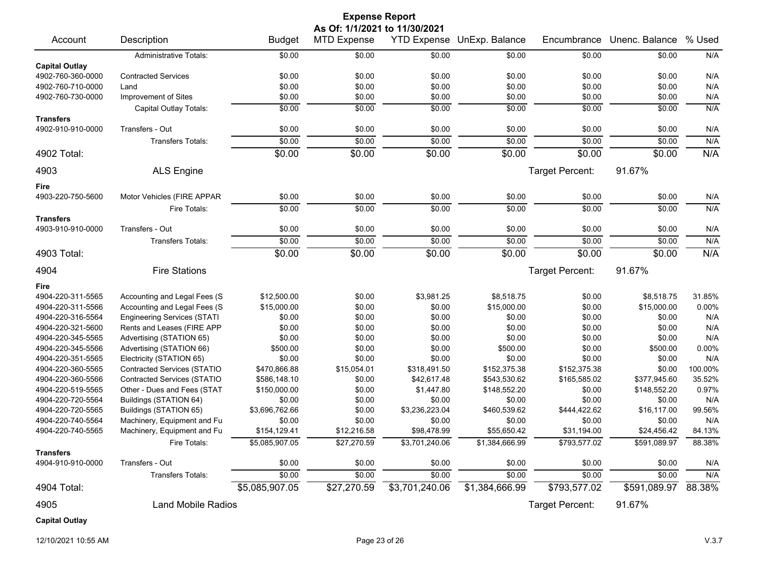| <b>Expense Report</b><br>As Of: 1/1/2021 to 11/30/2021 |                                    |                |                    |                |                                   |                 |                |         |  |
|--------------------------------------------------------|------------------------------------|----------------|--------------------|----------------|-----------------------------------|-----------------|----------------|---------|--|
| Account                                                | Description                        | <b>Budget</b>  | <b>MTD Expense</b> |                | <b>YTD Expense UnExp. Balance</b> | Encumbrance     | Unenc. Balance | % Used  |  |
|                                                        | <b>Administrative Totals:</b>      | \$0.00         | \$0.00             | \$0.00         | \$0.00                            | \$0.00          | \$0.00         | N/A     |  |
| <b>Capital Outlay</b>                                  |                                    |                |                    |                |                                   |                 |                |         |  |
| 4902-760-360-0000                                      | <b>Contracted Services</b>         | \$0.00         | \$0.00             | \$0.00         | \$0.00                            | \$0.00          | \$0.00         | N/A     |  |
| 4902-760-710-0000                                      | Land                               | \$0.00         | \$0.00             | \$0.00         | \$0.00                            | \$0.00          | \$0.00         | N/A     |  |
| 4902-760-730-0000                                      | Improvement of Sites               | \$0.00         | \$0.00             | \$0.00         | \$0.00                            | \$0.00          | \$0.00         | N/A     |  |
|                                                        | Capital Outlay Totals:             | \$0.00         | \$0.00             | \$0.00         | \$0.00                            | \$0.00          | \$0.00         | N/A     |  |
| <b>Transfers</b><br>4902-910-910-0000                  | Transfers - Out                    | \$0.00         | \$0.00             | \$0.00         | \$0.00                            | \$0.00          | \$0.00         | N/A     |  |
|                                                        | <b>Transfers Totals:</b>           | \$0.00         | \$0.00             | \$0.00         | \$0.00                            | \$0.00          |                | N/A     |  |
|                                                        |                                    |                |                    |                |                                   |                 | \$0.00         |         |  |
| 4902 Total:                                            |                                    | \$0.00         | \$0.00             | \$0.00         | \$0.00                            | \$0.00          | \$0.00         | N/A     |  |
| 4903                                                   | <b>ALS Engine</b>                  |                |                    |                |                                   | Target Percent: | 91.67%         |         |  |
| Fire                                                   |                                    |                |                    |                |                                   |                 |                |         |  |
| 4903-220-750-5600                                      | Motor Vehicles (FIRE APPAR         | \$0.00         | \$0.00             | \$0.00         | \$0.00                            | \$0.00          | \$0.00         | N/A     |  |
|                                                        | Fire Totals:                       | \$0.00         | \$0.00             | \$0.00         | \$0.00                            | \$0.00          | \$0.00         | N/A     |  |
| <b>Transfers</b>                                       |                                    |                |                    |                |                                   |                 |                |         |  |
| 4903-910-910-0000                                      | Transfers - Out                    | \$0.00         | \$0.00             | \$0.00         | \$0.00                            | \$0.00          | \$0.00         | N/A     |  |
|                                                        | <b>Transfers Totals:</b>           | \$0.00         | \$0.00             | \$0.00         | \$0.00                            | \$0.00          | \$0.00         | N/A     |  |
| 4903 Total:                                            |                                    | \$0.00         | \$0.00             | \$0.00         | \$0.00                            | \$0.00          | \$0.00         | N/A     |  |
| 4904                                                   | <b>Fire Stations</b>               |                |                    |                |                                   | Target Percent: | 91.67%         |         |  |
| Fire                                                   |                                    |                |                    |                |                                   |                 |                |         |  |
| 4904-220-311-5565                                      | Accounting and Legal Fees (S       | \$12,500.00    | \$0.00             | \$3,981.25     | \$8,518.75                        | \$0.00          | \$8,518.75     | 31.85%  |  |
| 4904-220-311-5566                                      | Accounting and Legal Fees (S       | \$15,000.00    | \$0.00             | \$0.00         | \$15,000.00                       | \$0.00          | \$15,000.00    | 0.00%   |  |
| 4904-220-316-5564                                      | <b>Engineering Services (STATI</b> | \$0.00         | \$0.00             | \$0.00         | \$0.00                            | \$0.00          | \$0.00         | N/A     |  |
| 4904-220-321-5600                                      | Rents and Leases (FIRE APP         | \$0.00         | \$0.00             | \$0.00         | \$0.00                            | \$0.00          | \$0.00         | N/A     |  |
| 4904-220-345-5565                                      | Advertising (STATION 65)           | \$0.00         | \$0.00             | \$0.00         | \$0.00                            | \$0.00          | \$0.00         | N/A     |  |
| 4904-220-345-5566                                      | Advertising (STATION 66)           | \$500.00       | \$0.00             | \$0.00         | \$500.00                          | \$0.00          | \$500.00       | 0.00%   |  |
| 4904-220-351-5565                                      | Electricity (STATION 65)           | \$0.00         | \$0.00             | \$0.00         | \$0.00                            | \$0.00          | \$0.00         | N/A     |  |
| 4904-220-360-5565                                      | <b>Contracted Services (STATIO</b> | \$470,866.88   | \$15,054.01        | \$318,491.50   | \$152,375.38                      | \$152,375.38    | \$0.00         | 100.00% |  |
| 4904-220-360-5566                                      | <b>Contracted Services (STATIO</b> | \$586,148.10   | \$0.00             | \$42,617.48    | \$543,530.62                      | \$165,585.02    | \$377,945.60   | 35.52%  |  |
| 4904-220-519-5565                                      | Other - Dues and Fees (STAT        | \$150,000.00   | \$0.00             | \$1,447.80     | \$148,552.20                      | \$0.00          | \$148,552.20   | 0.97%   |  |
| 4904-220-720-5564                                      | Buildings (STATION 64)             | \$0.00         | \$0.00             | \$0.00         | \$0.00                            | \$0.00          | \$0.00         | N/A     |  |
| 4904-220-720-5565                                      | Buildings (STATION 65)             | \$3,696,762.66 | \$0.00             | \$3,236,223.04 | \$460,539.62                      | \$444,422.62    | \$16,117.00    | 99.56%  |  |
| 4904-220-740-5564                                      | Machinery, Equipment and Fu        | \$0.00         | \$0.00             | \$0.00         | \$0.00                            | \$0.00          | \$0.00         | N/A     |  |
| 4904-220-740-5565                                      | Machinery, Equipment and Fu        | \$154,129.41   | \$12,216.58        | \$98,478.99    | \$55,650.42                       | \$31,194.00     | \$24,456.42    | 84.13%  |  |
|                                                        | Fire Totals:                       | \$5,085,907.05 | \$27,270.59        | \$3,701,240.06 | \$1,384,666.99                    | \$793,577.02    | \$591,089.97   | 88.38%  |  |
| <b>Transfers</b>                                       |                                    |                |                    |                |                                   |                 |                |         |  |
| 4904-910-910-0000                                      | Transfers - Out                    | \$0.00         | \$0.00             | \$0.00         | \$0.00                            | \$0.00          | \$0.00         | N/A     |  |
|                                                        | <b>Transfers Totals:</b>           | \$0.00         | \$0.00             | \$0.00         | \$0.00                            | \$0.00          | \$0.00         | N/A     |  |
| 4904 Total:                                            |                                    | \$5,085,907.05 | \$27,270.59        | \$3,701,240.06 | \$1,384,666.99                    | \$793,577.02    | \$591,089.97   | 88.38%  |  |
| 4905                                                   | <b>Land Mobile Radios</b>          |                |                    |                |                                   | Target Percent: | 91.67%         |         |  |
| <b>Capital Outlay</b>                                  |                                    |                |                    |                |                                   |                 |                |         |  |

12/10/2021 10:55 AM Page 23 of 26 V.3.7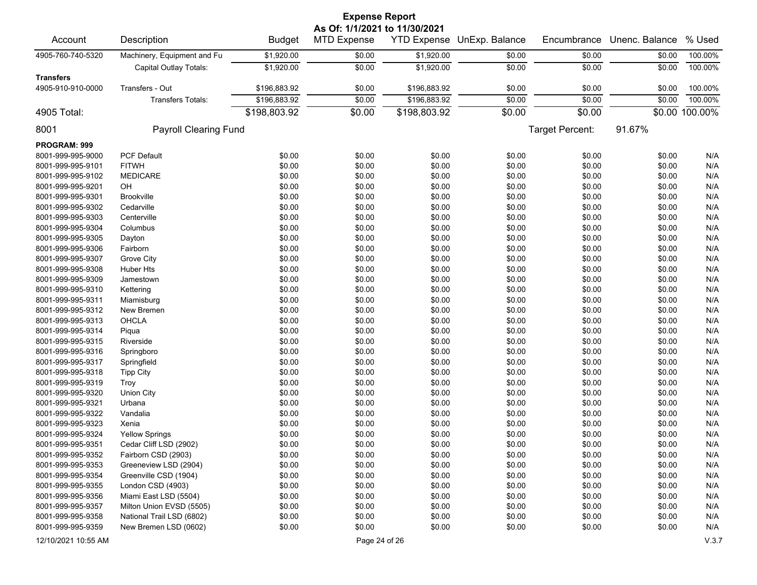|                               |                             |               | <b>Expense Report</b> |                    |                |                        |                |                |  |  |
|-------------------------------|-----------------------------|---------------|-----------------------|--------------------|----------------|------------------------|----------------|----------------|--|--|
| As Of: 1/1/2021 to 11/30/2021 |                             |               |                       |                    |                |                        |                |                |  |  |
| Account                       | Description                 | <b>Budget</b> | <b>MTD Expense</b>    | <b>YTD Expense</b> | UnExp. Balance | Encumbrance            | Unenc. Balance | % Used         |  |  |
| 4905-760-740-5320             | Machinery, Equipment and Fu | \$1,920.00    | \$0.00                | \$1,920.00         | \$0.00         | \$0.00                 | \$0.00         | 100.00%        |  |  |
|                               | Capital Outlay Totals:      | \$1,920.00    | \$0.00                | \$1,920.00         | \$0.00         | \$0.00                 | \$0.00         | 100.00%        |  |  |
| <b>Transfers</b>              |                             |               |                       |                    |                |                        |                |                |  |  |
| 4905-910-910-0000             | Transfers - Out             | \$196,883.92  | \$0.00                | \$196,883.92       | \$0.00         | \$0.00                 | \$0.00         | 100.00%        |  |  |
|                               | <b>Transfers Totals:</b>    | \$196,883.92  | \$0.00                | \$196,883.92       | \$0.00         | \$0.00                 | \$0.00         | 100.00%        |  |  |
| 4905 Total:                   |                             | \$198,803.92  | \$0.00                | \$198,803.92       | \$0.00         | \$0.00                 |                | \$0.00 100.00% |  |  |
| 8001                          | Payroll Clearing Fund       |               |                       |                    |                | <b>Target Percent:</b> | 91.67%         |                |  |  |
| PROGRAM: 999                  |                             |               |                       |                    |                |                        |                |                |  |  |
| 8001-999-995-9000             | <b>PCF Default</b>          | \$0.00        | \$0.00                | \$0.00             | \$0.00         | \$0.00                 | \$0.00         | N/A            |  |  |
| 8001-999-995-9101             | <b>FITWH</b>                | \$0.00        | \$0.00                | \$0.00             | \$0.00         | \$0.00                 | \$0.00         | N/A            |  |  |
| 8001-999-995-9102             | <b>MEDICARE</b>             | \$0.00        | \$0.00                | \$0.00             | \$0.00         | \$0.00                 | \$0.00         | N/A            |  |  |
| 8001-999-995-9201             | OH                          | \$0.00        | \$0.00                | \$0.00             | \$0.00         | \$0.00                 | \$0.00         | N/A            |  |  |
| 8001-999-995-9301             | Brookville                  | \$0.00        | \$0.00                | \$0.00             | \$0.00         | \$0.00                 | \$0.00         | N/A            |  |  |
| 8001-999-995-9302             | Cedarville                  | \$0.00        | \$0.00                | \$0.00             | \$0.00         | \$0.00                 | \$0.00         | N/A            |  |  |
| 8001-999-995-9303             | Centerville                 | \$0.00        | \$0.00                | \$0.00             | \$0.00         | \$0.00                 | \$0.00         | N/A            |  |  |
| 8001-999-995-9304             | Columbus                    | \$0.00        | \$0.00                | \$0.00             | \$0.00         | \$0.00                 | \$0.00         | N/A            |  |  |
| 8001-999-995-9305             | Dayton                      | \$0.00        | \$0.00                | \$0.00             | \$0.00         | \$0.00                 | \$0.00         | N/A            |  |  |
| 8001-999-995-9306             | Fairborn                    | \$0.00        | \$0.00                | \$0.00             | \$0.00         | \$0.00                 | \$0.00         | N/A            |  |  |
| 8001-999-995-9307             | Grove City                  | \$0.00        | \$0.00                | \$0.00             | \$0.00         | \$0.00                 | \$0.00         | N/A            |  |  |
| 8001-999-995-9308             | <b>Huber Hts</b>            | \$0.00        | \$0.00                | \$0.00             | \$0.00         | \$0.00                 | \$0.00         | N/A            |  |  |
| 8001-999-995-9309             | Jamestown                   | \$0.00        | \$0.00                | \$0.00             | \$0.00         | \$0.00                 | \$0.00         | N/A            |  |  |
| 8001-999-995-9310             | Kettering                   | \$0.00        | \$0.00                | \$0.00             | \$0.00         | \$0.00                 | \$0.00         | N/A            |  |  |
| 8001-999-995-9311             | Miamisburg                  | \$0.00        | \$0.00                | \$0.00             | \$0.00         | \$0.00                 | \$0.00         | N/A            |  |  |
| 8001-999-995-9312             | New Bremen                  | \$0.00        | \$0.00                | \$0.00             | \$0.00         | \$0.00                 | \$0.00         | N/A            |  |  |
| 8001-999-995-9313             | <b>OHCLA</b>                | \$0.00        | \$0.00                | \$0.00             | \$0.00         | \$0.00                 | \$0.00         | N/A            |  |  |
| 8001-999-995-9314             | Piqua                       | \$0.00        | \$0.00                | \$0.00             | \$0.00         | \$0.00                 | \$0.00         | N/A            |  |  |
| 8001-999-995-9315             | Riverside                   | \$0.00        | \$0.00                | \$0.00             | \$0.00         | \$0.00                 | \$0.00         | N/A            |  |  |
| 8001-999-995-9316             | Springboro                  | \$0.00        | \$0.00                | \$0.00             | \$0.00         | \$0.00                 | \$0.00         | N/A            |  |  |
| 8001-999-995-9317             | Springfield                 | \$0.00        | \$0.00                | \$0.00             | \$0.00         | \$0.00                 | \$0.00         | N/A            |  |  |
| 8001-999-995-9318             | <b>Tipp City</b>            | \$0.00        | \$0.00                | \$0.00             | \$0.00         | \$0.00                 | \$0.00         | N/A            |  |  |
| 8001-999-995-9319             | Troy                        | \$0.00        | \$0.00                | \$0.00             | \$0.00         | \$0.00                 | \$0.00         | N/A            |  |  |
| 8001-999-995-9320             | <b>Union City</b>           | \$0.00        | \$0.00                | \$0.00             | \$0.00         | \$0.00                 | \$0.00         | N/A            |  |  |
| 8001-999-995-9321             | Urbana                      | \$0.00        | \$0.00                | \$0.00             | \$0.00         | \$0.00                 | \$0.00         | N/A            |  |  |
| 8001-999-995-9322             | Vandalia                    | \$0.00        | \$0.00                | \$0.00             | \$0.00         | \$0.00                 | \$0.00         | N/A            |  |  |
| 8001-999-995-9323             | Xenia                       | \$0.00        | \$0.00                | \$0.00             | \$0.00         | \$0.00                 | \$0.00         | N/A            |  |  |
| 8001-999-995-9324             | <b>Yellow Springs</b>       | \$0.00        | \$0.00                | \$0.00             | \$0.00         | \$0.00                 | \$0.00         | N/A            |  |  |
| 8001-999-995-9351             | Cedar Cliff LSD (2902)      | \$0.00        | \$0.00                | \$0.00             | \$0.00         | \$0.00                 | \$0.00         | N/A            |  |  |
| 8001-999-995-9352             | Fairborn CSD (2903)         | \$0.00        | \$0.00                | \$0.00             | \$0.00         | \$0.00                 | \$0.00         | N/A            |  |  |
| 8001-999-995-9353             | Greeneview LSD (2904)       | \$0.00        | \$0.00                | \$0.00             | \$0.00         | \$0.00                 | \$0.00         | N/A            |  |  |
| 8001-999-995-9354             | Greenville CSD (1904)       | \$0.00        | \$0.00                | \$0.00             | \$0.00         | \$0.00                 | \$0.00         | N/A            |  |  |
| 8001-999-995-9355             | London CSD (4903)           | \$0.00        | \$0.00                | \$0.00             | \$0.00         | \$0.00                 | \$0.00         | N/A            |  |  |
| 8001-999-995-9356             | Miami East LSD (5504)       | \$0.00        | \$0.00                | \$0.00             | \$0.00         | \$0.00                 | \$0.00         | N/A            |  |  |
| 8001-999-995-9357             | Milton Union EVSD (5505)    | \$0.00        | \$0.00                | \$0.00             | \$0.00         | \$0.00                 | \$0.00         | N/A            |  |  |
| 8001-999-995-9358             | National Trail LSD (6802)   | \$0.00        | \$0.00                | \$0.00             | \$0.00         | \$0.00                 | \$0.00         | N/A            |  |  |
| 8001-999-995-9359             | New Bremen LSD (0602)       | \$0.00        | \$0.00                | \$0.00             | \$0.00         | \$0.00                 | \$0.00         | N/A            |  |  |
| 12/10/2021 10:55 AM           |                             |               | Page 24 of 26         |                    |                |                        |                | V.3.7          |  |  |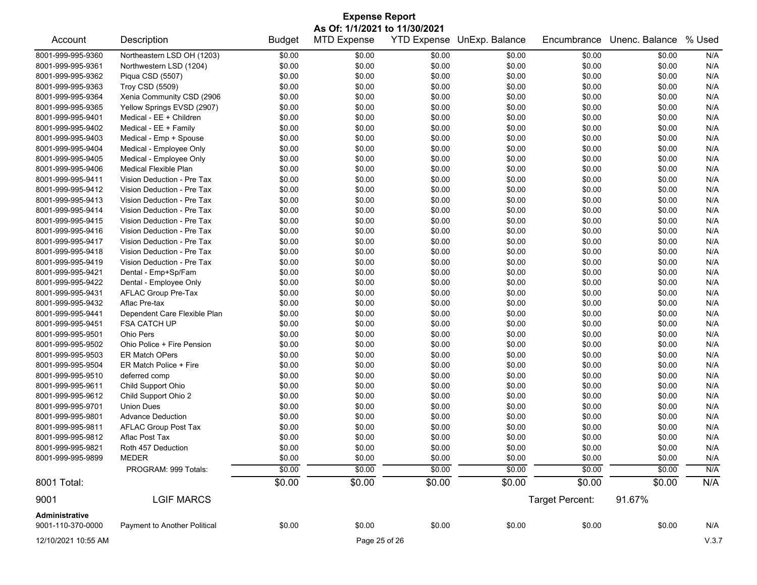| <b>Expense Report</b><br>As Of: 1/1/2021 to 11/30/2021 |                              |               |                    |        |                            |                 |                |        |  |  |  |
|--------------------------------------------------------|------------------------------|---------------|--------------------|--------|----------------------------|-----------------|----------------|--------|--|--|--|
| Account                                                | Description                  | <b>Budget</b> | <b>MTD Expense</b> |        | YTD Expense UnExp. Balance | Encumbrance     | Unenc. Balance | % Used |  |  |  |
| 8001-999-995-9360                                      | Northeastern LSD OH (1203)   | \$0.00        | \$0.00             | \$0.00 | \$0.00                     | \$0.00          | \$0.00         | N/A    |  |  |  |
| 8001-999-995-9361                                      | Northwestern LSD (1204)      | \$0.00        | \$0.00             | \$0.00 | \$0.00                     | \$0.00          | \$0.00         | N/A    |  |  |  |
| 8001-999-995-9362                                      | Piqua CSD (5507)             | \$0.00        | \$0.00             | \$0.00 | \$0.00                     | \$0.00          | \$0.00         | N/A    |  |  |  |
| 8001-999-995-9363                                      | Troy CSD (5509)              | \$0.00        | \$0.00             | \$0.00 | \$0.00                     | \$0.00          | \$0.00         | N/A    |  |  |  |
| 8001-999-995-9364                                      | Xenia Community CSD (2906    | \$0.00        | \$0.00             | \$0.00 | \$0.00                     | \$0.00          | \$0.00         | N/A    |  |  |  |
| 8001-999-995-9365                                      | Yellow Springs EVSD (2907)   | \$0.00        | \$0.00             | \$0.00 | \$0.00                     | \$0.00          | \$0.00         | N/A    |  |  |  |
| 8001-999-995-9401                                      | Medical - EE + Children      | \$0.00        | \$0.00             | \$0.00 | \$0.00                     | \$0.00          | \$0.00         | N/A    |  |  |  |
| 8001-999-995-9402                                      | Medical - EE + Family        | \$0.00        | \$0.00             | \$0.00 | \$0.00                     | \$0.00          | \$0.00         | N/A    |  |  |  |
| 8001-999-995-9403                                      | Medical - Emp + Spouse       | \$0.00        | \$0.00             | \$0.00 | \$0.00                     | \$0.00          | \$0.00         | N/A    |  |  |  |
| 8001-999-995-9404                                      | Medical - Employee Only      | \$0.00        | \$0.00             | \$0.00 | \$0.00                     | \$0.00          | \$0.00         | N/A    |  |  |  |
| 8001-999-995-9405                                      | Medical - Employee Only      | \$0.00        | \$0.00             | \$0.00 | \$0.00                     | \$0.00          | \$0.00         | N/A    |  |  |  |
| 8001-999-995-9406                                      | Medical Flexible Plan        | \$0.00        | \$0.00             | \$0.00 | \$0.00                     | \$0.00          | \$0.00         | N/A    |  |  |  |
| 8001-999-995-9411                                      | Vision Deduction - Pre Tax   | \$0.00        | \$0.00             | \$0.00 | \$0.00                     | \$0.00          | \$0.00         | N/A    |  |  |  |
| 8001-999-995-9412                                      | Vision Deduction - Pre Tax   | \$0.00        | \$0.00             | \$0.00 | \$0.00                     | \$0.00          | \$0.00         | N/A    |  |  |  |
| 8001-999-995-9413                                      | Vision Deduction - Pre Tax   | \$0.00        | \$0.00             | \$0.00 | \$0.00                     | \$0.00          | \$0.00         | N/A    |  |  |  |
| 8001-999-995-9414                                      | Vision Deduction - Pre Tax   | \$0.00        | \$0.00             | \$0.00 | \$0.00                     | \$0.00          | \$0.00         | N/A    |  |  |  |
| 8001-999-995-9415                                      | Vision Deduction - Pre Tax   | \$0.00        | \$0.00             | \$0.00 | \$0.00                     | \$0.00          | \$0.00         | N/A    |  |  |  |
| 8001-999-995-9416                                      | Vision Deduction - Pre Tax   | \$0.00        | \$0.00             | \$0.00 | \$0.00                     | \$0.00          | \$0.00         | N/A    |  |  |  |
| 8001-999-995-9417                                      | Vision Deduction - Pre Tax   | \$0.00        | \$0.00             | \$0.00 | \$0.00                     | \$0.00          | \$0.00         | N/A    |  |  |  |
| 8001-999-995-9418                                      | Vision Deduction - Pre Tax   | \$0.00        | \$0.00             | \$0.00 | \$0.00                     | \$0.00          | \$0.00         | N/A    |  |  |  |
| 8001-999-995-9419                                      | Vision Deduction - Pre Tax   | \$0.00        | \$0.00             | \$0.00 | \$0.00                     | \$0.00          | \$0.00         | N/A    |  |  |  |
| 8001-999-995-9421                                      | Dental - Emp+Sp/Fam          | \$0.00        | \$0.00             | \$0.00 | \$0.00                     | \$0.00          | \$0.00         | N/A    |  |  |  |
| 8001-999-995-9422                                      | Dental - Employee Only       | \$0.00        | \$0.00             | \$0.00 | \$0.00                     | \$0.00          | \$0.00         | N/A    |  |  |  |
| 8001-999-995-9431                                      | AFLAC Group Pre-Tax          | \$0.00        | \$0.00             | \$0.00 | \$0.00                     | \$0.00          | \$0.00         | N/A    |  |  |  |
| 8001-999-995-9432                                      | Aflac Pre-tax                | \$0.00        | \$0.00             | \$0.00 | \$0.00                     | \$0.00          | \$0.00         | N/A    |  |  |  |
| 8001-999-995-9441                                      | Dependent Care Flexible Plan | \$0.00        | \$0.00             | \$0.00 | \$0.00                     | \$0.00          | \$0.00         | N/A    |  |  |  |
| 8001-999-995-9451                                      | <b>FSA CATCH UP</b>          | \$0.00        | \$0.00             | \$0.00 | \$0.00                     | \$0.00          | \$0.00         | N/A    |  |  |  |
| 8001-999-995-9501                                      | <b>Ohio Pers</b>             | \$0.00        | \$0.00             | \$0.00 | \$0.00                     | \$0.00          | \$0.00         | N/A    |  |  |  |
| 8001-999-995-9502                                      | Ohio Police + Fire Pension   | \$0.00        | \$0.00             | \$0.00 | \$0.00                     | \$0.00          | \$0.00         | N/A    |  |  |  |
| 8001-999-995-9503                                      | <b>ER Match OPers</b>        | \$0.00        | \$0.00             | \$0.00 | \$0.00                     | \$0.00          | \$0.00         | N/A    |  |  |  |
| 8001-999-995-9504                                      | ER Match Police + Fire       | \$0.00        | \$0.00             | \$0.00 | \$0.00                     | \$0.00          | \$0.00         | N/A    |  |  |  |
| 8001-999-995-9510                                      | deferred comp                | \$0.00        | \$0.00             | \$0.00 | \$0.00                     | \$0.00          | \$0.00         | N/A    |  |  |  |
| 8001-999-995-9611                                      | Child Support Ohio           | \$0.00        | \$0.00             | \$0.00 | \$0.00                     | \$0.00          | \$0.00         | N/A    |  |  |  |
| 8001-999-995-9612                                      | Child Support Ohio 2         | \$0.00        | \$0.00             | \$0.00 | \$0.00                     | \$0.00          | \$0.00         | N/A    |  |  |  |
| 8001-999-995-9701                                      | <b>Union Dues</b>            | \$0.00        | \$0.00             | \$0.00 | \$0.00                     | \$0.00          | \$0.00         | N/A    |  |  |  |
| 8001-999-995-9801                                      | <b>Advance Deduction</b>     | \$0.00        | \$0.00             | \$0.00 | \$0.00                     | \$0.00          | \$0.00         | N/A    |  |  |  |
| 8001-999-995-9811                                      | <b>AFLAC Group Post Tax</b>  | \$0.00        | \$0.00             | \$0.00 | \$0.00                     | \$0.00          | \$0.00         | N/A    |  |  |  |
| 8001-999-995-9812                                      | Aflac Post Tax               | \$0.00        | \$0.00             | \$0.00 | \$0.00                     | \$0.00          | \$0.00         | N/A    |  |  |  |
| 8001-999-995-9821                                      | Roth 457 Deduction           | \$0.00        | \$0.00             | \$0.00 | \$0.00                     | \$0.00          | \$0.00         | N/A    |  |  |  |
| 8001-999-995-9899                                      | <b>MEDER</b>                 | \$0.00        | \$0.00             | \$0.00 | \$0.00                     | \$0.00          | \$0.00         | N/A    |  |  |  |
|                                                        | PROGRAM: 999 Totals:         | \$0.00        | \$0.00             | \$0.00 | \$0.00                     | \$0.00          | \$0.00         | N/A    |  |  |  |
| 8001 Total:                                            |                              | \$0.00        | \$0.00             | \$0.00 | \$0.00                     | \$0.00          | \$0.00         | N/A    |  |  |  |
| 9001                                                   | <b>LGIF MARCS</b>            |               |                    |        |                            | Target Percent: | 91.67%         |        |  |  |  |
| Administrative                                         |                              |               |                    |        |                            |                 |                |        |  |  |  |
| 9001-110-370-0000                                      | Payment to Another Political | \$0.00        | \$0.00             | \$0.00 | \$0.00                     | \$0.00          | \$0.00         | N/A    |  |  |  |
| 12/10/2021 10:55 AM                                    |                              |               | Page 25 of 26      |        |                            |                 |                | V.3.7  |  |  |  |